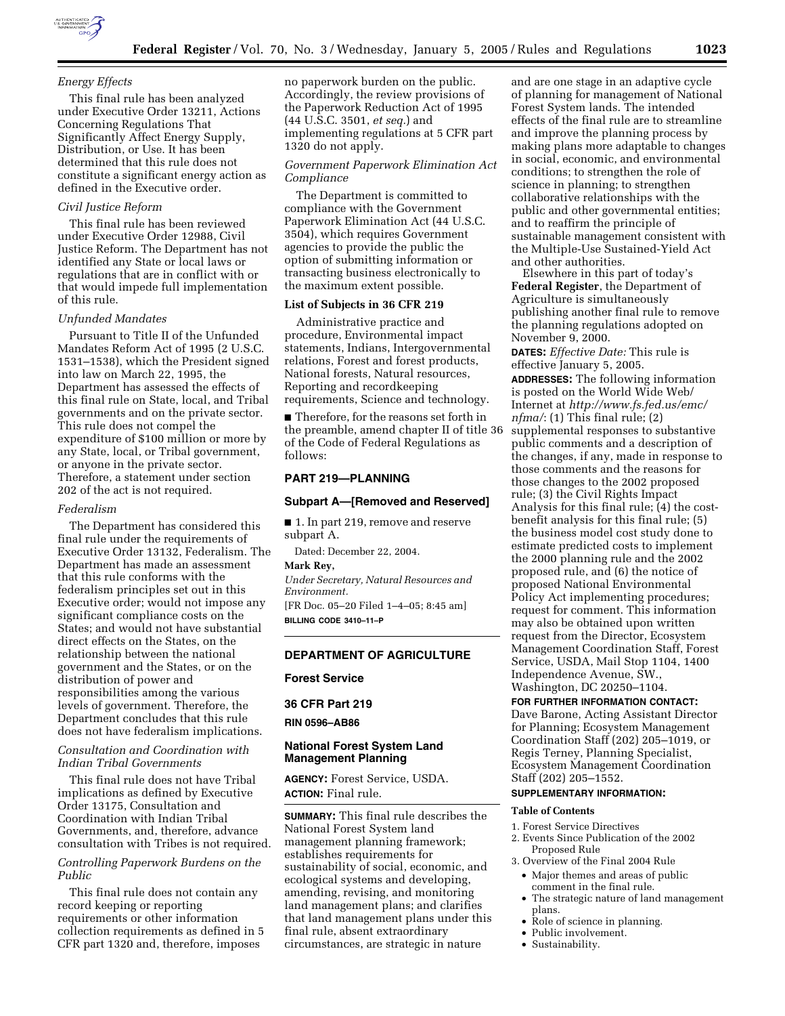

# *Energy Effects*

This final rule has been analyzed under Executive Order 13211, Actions Concerning Regulations That Significantly Affect Energy Supply, Distribution, or Use. It has been determined that this rule does not constitute a significant energy action as defined in the Executive order.

# *Civil Justice Reform*

This final rule has been reviewed under Executive Order 12988, Civil Justice Reform. The Department has not identified any State or local laws or regulations that are in conflict with or that would impede full implementation of this rule.

## *Unfunded Mandates*

Pursuant to Title II of the Unfunded Mandates Reform Act of 1995 (2 U.S.C. 1531–1538), which the President signed into law on March 22, 1995, the Department has assessed the effects of this final rule on State, local, and Tribal governments and on the private sector. This rule does not compel the expenditure of \$100 million or more by any State, local, or Tribal government, or anyone in the private sector. Therefore, a statement under section 202 of the act is not required.

#### *Federalism*

The Department has considered this final rule under the requirements of Executive Order 13132, Federalism. The Department has made an assessment that this rule conforms with the federalism principles set out in this Executive order; would not impose any significant compliance costs on the States; and would not have substantial direct effects on the States, on the relationship between the national government and the States, or on the distribution of power and responsibilities among the various levels of government. Therefore, the Department concludes that this rule does not have federalism implications.

# *Consultation and Coordination with Indian Tribal Governments*

This final rule does not have Tribal implications as defined by Executive Order 13175, Consultation and Coordination with Indian Tribal Governments, and, therefore, advance consultation with Tribes is not required.

# *Controlling Paperwork Burdens on the Public*

This final rule does not contain any record keeping or reporting requirements or other information collection requirements as defined in 5 CFR part 1320 and, therefore, imposes

no paperwork burden on the public. Accordingly, the review provisions of the Paperwork Reduction Act of 1995 (44 U.S.C. 3501, *et seq.*) and implementing regulations at 5 CFR part 1320 do not apply.

## *Government Paperwork Elimination Act Compliance*

The Department is committed to compliance with the Government Paperwork Elimination Act (44 U.S.C. 3504), which requires Government agencies to provide the public the option of submitting information or transacting business electronically to the maximum extent possible.

# **List of Subjects in 36 CFR 219**

Administrative practice and procedure, Environmental impact statements, Indians, Intergovernmental relations, Forest and forest products, National forests, Natural resources, Reporting and recordkeeping requirements, Science and technology.

■ Therefore, for the reasons set forth in the preamble, amend chapter II of title 36 of the Code of Federal Regulations as follows:

# **PART 219—PLANNING**

## **Subpart A—[Removed and Reserved]**

■ 1. In part 219, remove and reserve subpart A.

Dated: December 22, 2004.

### **Mark Rey,**

*Under Secretary, Natural Resources and Environment.*

[FR Doc. 05–20 Filed 1–4–05; 8:45 am] **BILLING CODE 3410–11–P**

# **DEPARTMENT OF AGRICULTURE**

# **Forest Service**

# **36 CFR Part 219**

**RIN 0596–AB86**

# **National Forest System Land Management Planning**

**AGENCY:** Forest Service, USDA. **ACTION:** Final rule.

**SUMMARY:** This final rule describes the National Forest System land management planning framework; establishes requirements for sustainability of social, economic, and ecological systems and developing, amending, revising, and monitoring land management plans; and clarifies that land management plans under this final rule, absent extraordinary circumstances, are strategic in nature

and are one stage in an adaptive cycle of planning for management of National Forest System lands. The intended effects of the final rule are to streamline and improve the planning process by making plans more adaptable to changes in social, economic, and environmental conditions; to strengthen the role of science in planning; to strengthen collaborative relationships with the public and other governmental entities; and to reaffirm the principle of sustainable management consistent with the Multiple-Use Sustained-Yield Act and other authorities.

Elsewhere in this part of today's **Federal Register**, the Department of Agriculture is simultaneously publishing another final rule to remove the planning regulations adopted on November 9, 2000.

**DATES:** *Effective Date:* This rule is effective January 5, 2005.

**ADDRESSES:** The following information is posted on the World Wide Web/ Internet at *http://www.fs.fed.us/emc/ nfma/*: (1) This final rule; (2) supplemental responses to substantive public comments and a description of the changes, if any, made in response to those comments and the reasons for those changes to the 2002 proposed rule; (3) the Civil Rights Impact Analysis for this final rule; (4) the costbenefit analysis for this final rule; (5) the business model cost study done to estimate predicted costs to implement the 2000 planning rule and the 2002 proposed rule, and (6) the notice of proposed National Environmental Policy Act implementing procedures; request for comment. This information may also be obtained upon written request from the Director, Ecosystem Management Coordination Staff, Forest Service, USDA, Mail Stop 1104, 1400 Independence Avenue, SW., Washington, DC 20250–1104.

## **FOR FURTHER INFORMATION CONTACT:**

Dave Barone, Acting Assistant Director for Planning; Ecosystem Management Coordination Staff (202) 205–1019, or Regis Terney, Planning Specialist, Ecosystem Management Coordination Staff (202) 205–1552.

# **SUPPLEMENTARY INFORMATION:**

#### **Table of Contents**

- 1. Forest Service Directives
- 2. Events Since Publication of the 2002 Proposed Rule
- 3. Overview of the Final 2004 Rule
	- Major themes and areas of public comment in the final rule.
	- The strategic nature of land management plans.
	- Role of science in planning.
	- Public involvement.
	- Sustainability.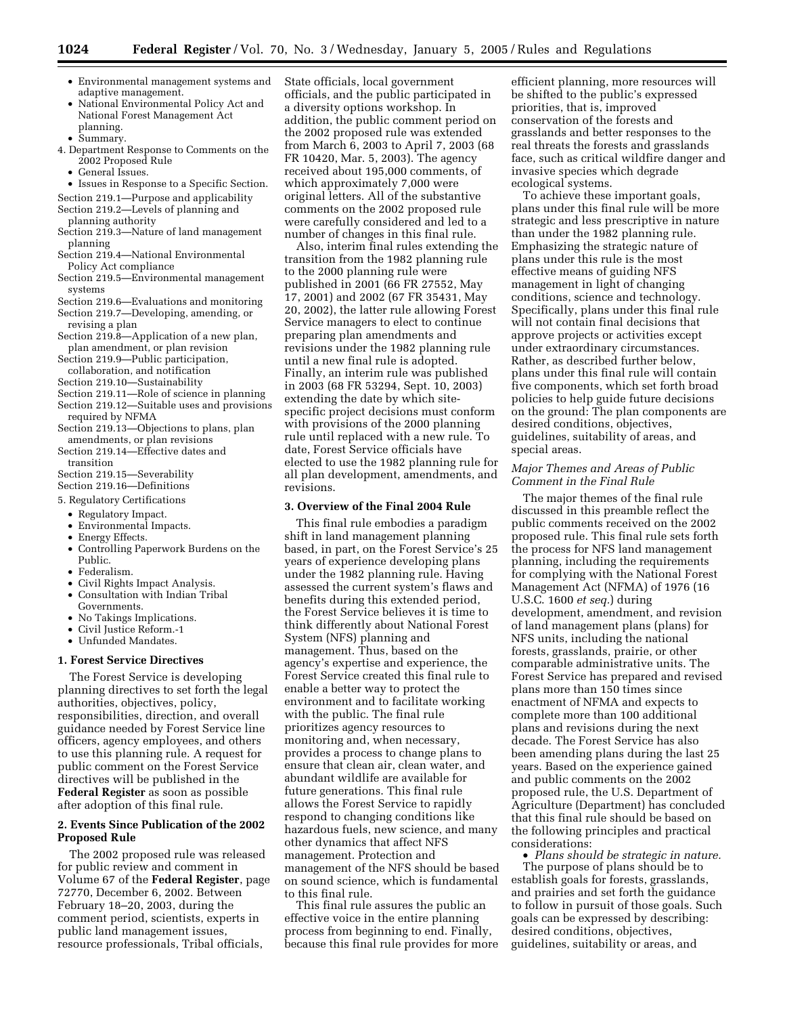- Environmental management systems and adaptive management.
- National Environmental Policy Act and National Forest Management Act planning.
- Summary.
- 4. Department Response to Comments on the 2002 Proposed Rule
	- General Issues.
- Issues in Response to a Specific Section.
- Section 219.1—Purpose and applicability
- Section 219.2—Levels of planning and planning authority
- Section 219.3—Nature of land management planning
- Section 219.4—National Environmental Policy Act compliance
- Section 219.5—Environmental management systems
- Section 219.6—Evaluations and monitoring
- Section 219.7—Developing, amending, or revising a plan
- Section 219.8—Application of a new plan, plan amendment, or plan revision Section 219.9—Public participation,
- collaboration, and notification
- Section 219.10—Sustainability
- Section 219.11—Role of science in planning Section 219.12—Suitable uses and provisions
- required by NFMA Section 219.13—Objections to plans, plan amendments, or plan revisions
- Section 219.14—Effective dates and
- transition Section 219.15—Severability
- Section 219.16—Definitions
- 5. Regulatory Certifications
- Regulatory Impact.
- Environmental Impacts.
- Energy Effects.
- 
- Controlling Paperwork Burdens on the Public.
- Federalism.
- Civil Rights Impact Analysis.
- Consultation with Indian Tribal Governments.
- No Takings Implications.
- Civil Justice Reform.-1
- Unfunded Mandates.

## **1. Forest Service Directives**

The Forest Service is developing planning directives to set forth the legal authorities, objectives, policy, responsibilities, direction, and overall guidance needed by Forest Service line officers, agency employees, and others to use this planning rule. A request for public comment on the Forest Service directives will be published in the **Federal Register** as soon as possible after adoption of this final rule.

# **2. Events Since Publication of the 2002 Proposed Rule**

The 2002 proposed rule was released for public review and comment in Volume 67 of the **Federal Register**, page 72770, December 6, 2002. Between February 18–20, 2003, during the comment period, scientists, experts in public land management issues, resource professionals, Tribal officials,

State officials, local government officials, and the public participated in a diversity options workshop. In addition, the public comment period on the 2002 proposed rule was extended from March 6, 2003 to April 7, 2003 (68 FR 10420, Mar. 5, 2003). The agency received about 195,000 comments, of which approximately 7,000 were original letters. All of the substantive comments on the 2002 proposed rule were carefully considered and led to a number of changes in this final rule.

Also, interim final rules extending the transition from the 1982 planning rule to the 2000 planning rule were published in 2001 (66 FR 27552, May 17, 2001) and 2002 (67 FR 35431, May 20, 2002), the latter rule allowing Forest Service managers to elect to continue preparing plan amendments and revisions under the 1982 planning rule until a new final rule is adopted. Finally, an interim rule was published in 2003 (68 FR 53294, Sept. 10, 2003) extending the date by which sitespecific project decisions must conform with provisions of the 2000 planning rule until replaced with a new rule. To date, Forest Service officials have elected to use the 1982 planning rule for all plan development, amendments, and revisions.

## **3. Overview of the Final 2004 Rule**

This final rule embodies a paradigm shift in land management planning based, in part, on the Forest Service's 25 years of experience developing plans under the 1982 planning rule. Having assessed the current system's flaws and benefits during this extended period, the Forest Service believes it is time to think differently about National Forest System (NFS) planning and management. Thus, based on the agency's expertise and experience, the Forest Service created this final rule to enable a better way to protect the environment and to facilitate working with the public. The final rule prioritizes agency resources to monitoring and, when necessary, provides a process to change plans to ensure that clean air, clean water, and abundant wildlife are available for future generations. This final rule allows the Forest Service to rapidly respond to changing conditions like hazardous fuels, new science, and many other dynamics that affect NFS management. Protection and management of the NFS should be based on sound science, which is fundamental to this final rule.

This final rule assures the public an effective voice in the entire planning process from beginning to end. Finally, because this final rule provides for more

efficient planning, more resources will be shifted to the public's expressed priorities, that is, improved conservation of the forests and grasslands and better responses to the real threats the forests and grasslands face, such as critical wildfire danger and invasive species which degrade ecological systems.

To achieve these important goals, plans under this final rule will be more strategic and less prescriptive in nature than under the 1982 planning rule. Emphasizing the strategic nature of plans under this rule is the most effective means of guiding NFS management in light of changing conditions, science and technology. Specifically, plans under this final rule will not contain final decisions that approve projects or activities except under extraordinary circumstances. Rather, as described further below, plans under this final rule will contain five components, which set forth broad policies to help guide future decisions on the ground: The plan components are desired conditions, objectives, guidelines, suitability of areas, and special areas.

# *Major Themes and Areas of Public Comment in the Final Rule*

The major themes of the final rule discussed in this preamble reflect the public comments received on the 2002 proposed rule. This final rule sets forth the process for NFS land management planning, including the requirements for complying with the National Forest Management Act (NFMA) of 1976 (16 U.S.C. 1600 *et seq.*) during development, amendment, and revision of land management plans (plans) for NFS units, including the national forests, grasslands, prairie, or other comparable administrative units. The Forest Service has prepared and revised plans more than 150 times since enactment of NFMA and expects to complete more than 100 additional plans and revisions during the next decade. The Forest Service has also been amending plans during the last 25 years. Based on the experience gained and public comments on the 2002 proposed rule, the U.S. Department of Agriculture (Department) has concluded that this final rule should be based on the following principles and practical considerations:

• *Plans should be strategic in nature.* The purpose of plans should be to establish goals for forests, grasslands, and prairies and set forth the guidance to follow in pursuit of those goals. Such goals can be expressed by describing: desired conditions, objectives, guidelines, suitability or areas, and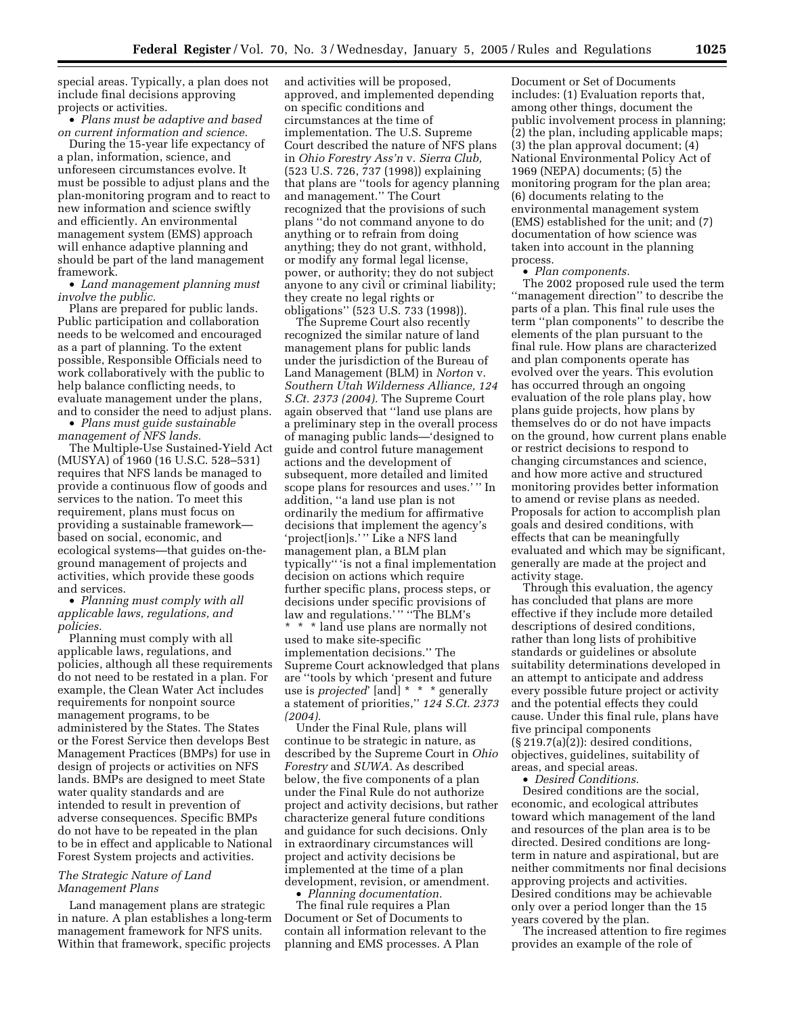special areas. Typically, a plan does not include final decisions approving projects or activities.

• *Plans must be adaptive and based on current information and science.*

During the 15-year life expectancy of a plan, information, science, and unforeseen circumstances evolve. It must be possible to adjust plans and the plan-monitoring program and to react to new information and science swiftly and efficiently. An environmental management system (EMS) approach will enhance adaptive planning and should be part of the land management framework.

• *Land management planning must involve the public.*

Plans are prepared for public lands. Public participation and collaboration needs to be welcomed and encouraged as a part of planning. To the extent possible, Responsible Officials need to work collaboratively with the public to help balance conflicting needs, to evaluate management under the plans, and to consider the need to adjust plans. • *Plans must guide sustainable* 

*management of NFS lands.*

The Multiple-Use Sustained-Yield Act (MUSYA) of 1960 (16 U.S.C. 528–531) requires that NFS lands be managed to provide a continuous flow of goods and services to the nation. To meet this requirement, plans must focus on providing a sustainable framework based on social, economic, and ecological systems—that guides on-theground management of projects and activities, which provide these goods and services.

• *Planning must comply with all applicable laws, regulations, and policies.*

Planning must comply with all applicable laws, regulations, and policies, although all these requirements do not need to be restated in a plan. For example, the Clean Water Act includes requirements for nonpoint source management programs, to be administered by the States. The States or the Forest Service then develops Best Management Practices (BMPs) for use in design of projects or activities on NFS lands. BMPs are designed to meet State water quality standards and are intended to result in prevention of adverse consequences. Specific BMPs do not have to be repeated in the plan to be in effect and applicable to National Forest System projects and activities.

# *The Strategic Nature of Land Management Plans*

Land management plans are strategic in nature. A plan establishes a long-term management framework for NFS units. Within that framework, specific projects

and activities will be proposed, approved, and implemented depending on specific conditions and circumstances at the time of implementation. The U.S. Supreme Court described the nature of NFS plans in *Ohio Forestry Ass'n* v. *Sierra Club,* (523 U.S. 726, 737 (1998)) explaining that plans are ''tools for agency planning and management.'' The Court recognized that the provisions of such plans ''do not command anyone to do anything or to refrain from doing anything; they do not grant, withhold, or modify any formal legal license, power, or authority; they do not subject anyone to any civil or criminal liability; they create no legal rights or obligations'' (523 U.S. 733 (1998)).

The Supreme Court also recently recognized the similar nature of land management plans for public lands under the jurisdiction of the Bureau of Land Management (BLM) in *Norton* v. *Southern Utah Wilderness Alliance, 124 S.Ct. 2373 (2004).* The Supreme Court again observed that ''land use plans are a preliminary step in the overall process of managing public lands—'designed to guide and control future management actions and the development of subsequent, more detailed and limited scope plans for resources and uses.' '' In addition, ''a land use plan is not ordinarily the medium for affirmative decisions that implement the agency's 'project[ion]s.' '' Like a NFS land management plan, a BLM plan typically'' 'is not a final implementation decision on actions which require further specific plans, process steps, or decisions under specific provisions of law and regulations.'" "The BLM's \* \* \* land use plans are normally not used to make site-specific implementation decisions.'' The Supreme Court acknowledged that plans are ''tools by which 'present and future use is *projected*' [and] \* \* \* generally a statement of priorities,'' *124 S.Ct. 2373 (2004).*

Under the Final Rule, plans will continue to be strategic in nature, as described by the Supreme Court in *Ohio Forestry* and *SUWA.* As described below, the five components of a plan under the Final Rule do not authorize project and activity decisions, but rather characterize general future conditions and guidance for such decisions. Only in extraordinary circumstances will project and activity decisions be implemented at the time of a plan development, revision, or amendment.

• *Planning documentation.*

The final rule requires a Plan Document or Set of Documents to contain all information relevant to the planning and EMS processes. A Plan

Document or Set of Documents includes: (1) Evaluation reports that, among other things, document the public involvement process in planning; (2) the plan, including applicable maps; (3) the plan approval document; (4) National Environmental Policy Act of 1969 (NEPA) documents; (5) the monitoring program for the plan area; (6) documents relating to the environmental management system (EMS) established for the unit; and (7) documentation of how science was taken into account in the planning process.

• *Plan components.*

The 2002 proposed rule used the term ''management direction'' to describe the parts of a plan. This final rule uses the term ''plan components'' to describe the elements of the plan pursuant to the final rule. How plans are characterized and plan components operate has evolved over the years. This evolution has occurred through an ongoing evaluation of the role plans play, how plans guide projects, how plans by themselves do or do not have impacts on the ground, how current plans enable or restrict decisions to respond to changing circumstances and science, and how more active and structured monitoring provides better information to amend or revise plans as needed. Proposals for action to accomplish plan goals and desired conditions, with effects that can be meaningfully evaluated and which may be significant, generally are made at the project and activity stage.

Through this evaluation, the agency has concluded that plans are more effective if they include more detailed descriptions of desired conditions, rather than long lists of prohibitive standards or guidelines or absolute suitability determinations developed in an attempt to anticipate and address every possible future project or activity and the potential effects they could cause. Under this final rule, plans have five principal components  $(\S 219.7(a)(2))$ : desired conditions, objectives, guidelines, suitability of areas, and special areas.

• *Desired Conditions.*

Desired conditions are the social, economic, and ecological attributes toward which management of the land and resources of the plan area is to be directed. Desired conditions are longterm in nature and aspirational, but are neither commitments nor final decisions approving projects and activities. Desired conditions may be achievable only over a period longer than the 15 years covered by the plan.

The increased attention to fire regimes provides an example of the role of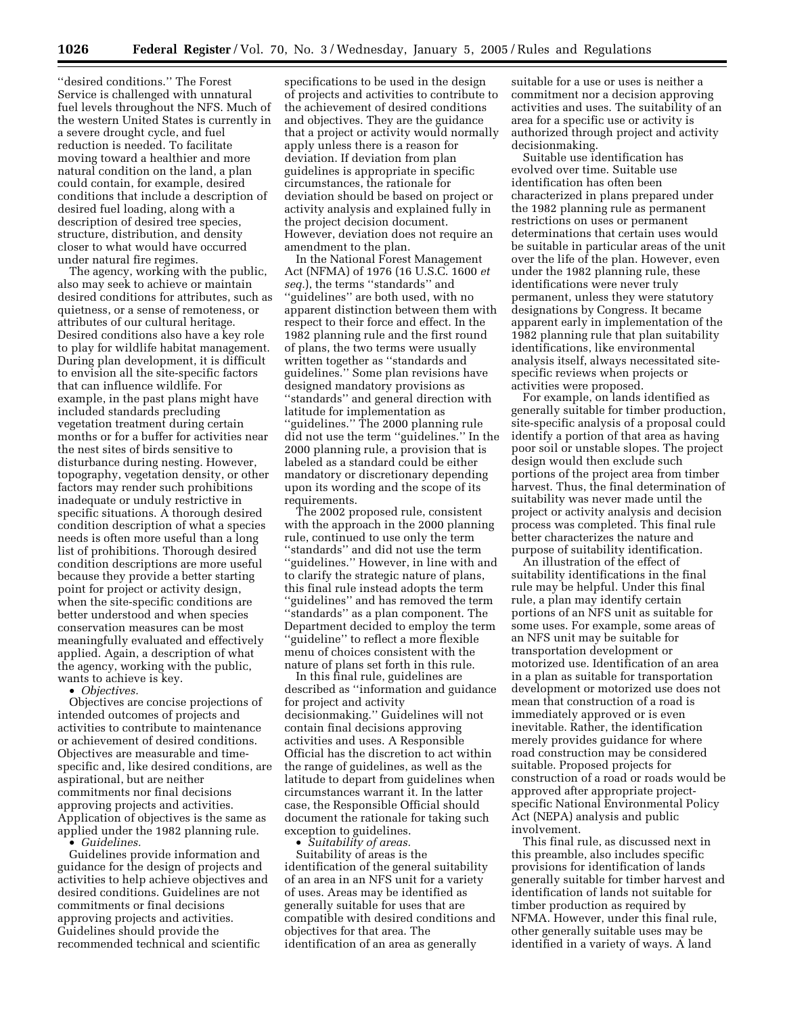''desired conditions.'' The Forest Service is challenged with unnatural fuel levels throughout the NFS. Much of the western United States is currently in a severe drought cycle, and fuel reduction is needed. To facilitate moving toward a healthier and more natural condition on the land, a plan could contain, for example, desired conditions that include a description of desired fuel loading, along with a description of desired tree species, structure, distribution, and density closer to what would have occurred under natural fire regimes.

The agency, working with the public, also may seek to achieve or maintain desired conditions for attributes, such as quietness, or a sense of remoteness, or attributes of our cultural heritage. Desired conditions also have a key role to play for wildlife habitat management. During plan development, it is difficult to envision all the site-specific factors that can influence wildlife. For example, in the past plans might have included standards precluding vegetation treatment during certain months or for a buffer for activities near the nest sites of birds sensitive to disturbance during nesting. However, topography, vegetation density, or other factors may render such prohibitions inadequate or unduly restrictive in specific situations. A thorough desired condition description of what a species needs is often more useful than a long list of prohibitions. Thorough desired condition descriptions are more useful because they provide a better starting point for project or activity design, when the site-specific conditions are better understood and when species conservation measures can be most meaningfully evaluated and effectively applied. Again, a description of what the agency, working with the public, wants to achieve is key.

• *Objectives.*

Objectives are concise projections of intended outcomes of projects and activities to contribute to maintenance or achievement of desired conditions. Objectives are measurable and timespecific and, like desired conditions, are aspirational, but are neither commitments nor final decisions approving projects and activities. Application of objectives is the same as applied under the 1982 planning rule. • *Guidelines.*

Guidelines provide information and guidance for the design of projects and activities to help achieve objectives and desired conditions. Guidelines are not commitments or final decisions approving projects and activities. Guidelines should provide the recommended technical and scientific

specifications to be used in the design of projects and activities to contribute to the achievement of desired conditions and objectives. They are the guidance that a project or activity would normally apply unless there is a reason for deviation. If deviation from plan guidelines is appropriate in specific circumstances, the rationale for deviation should be based on project or activity analysis and explained fully in the project decision document. However, deviation does not require an amendment to the plan.

In the National Forest Management Act (NFMA) of 1976 (16 U.S.C. 1600 *et seq.*), the terms ''standards'' and ''guidelines'' are both used, with no apparent distinction between them with respect to their force and effect. In the 1982 planning rule and the first round of plans, the two terms were usually written together as ''standards and guidelines.'' Some plan revisions have designed mandatory provisions as ''standards'' and general direction with latitude for implementation as ''guidelines.'' The 2000 planning rule did not use the term ''guidelines.'' In the 2000 planning rule, a provision that is labeled as a standard could be either mandatory or discretionary depending upon its wording and the scope of its requirements.

The 2002 proposed rule, consistent with the approach in the 2000 planning rule, continued to use only the term ''standards'' and did not use the term "guidelines." However, in line with and to clarify the strategic nature of plans, this final rule instead adopts the term ''guidelines'' and has removed the term ''standards'' as a plan component. The Department decided to employ the term ''guideline'' to reflect a more flexible menu of choices consistent with the nature of plans set forth in this rule.

In this final rule, guidelines are described as ''information and guidance for project and activity decisionmaking.'' Guidelines will not contain final decisions approving activities and uses. A Responsible Official has the discretion to act within the range of guidelines, as well as the latitude to depart from guidelines when circumstances warrant it. In the latter case, the Responsible Official should document the rationale for taking such exception to guidelines.

• *Suitability of areas.*

Suitability of areas is the identification of the general suitability of an area in an NFS unit for a variety of uses. Areas may be identified as generally suitable for uses that are compatible with desired conditions and objectives for that area. The identification of an area as generally

suitable for a use or uses is neither a commitment nor a decision approving activities and uses. The suitability of an area for a specific use or activity is authorized through project and activity decisionmaking.

Suitable use identification has evolved over time. Suitable use identification has often been characterized in plans prepared under the 1982 planning rule as permanent restrictions on uses or permanent determinations that certain uses would be suitable in particular areas of the unit over the life of the plan. However, even under the 1982 planning rule, these identifications were never truly permanent, unless they were statutory designations by Congress. It became apparent early in implementation of the 1982 planning rule that plan suitability identifications, like environmental analysis itself, always necessitated sitespecific reviews when projects or activities were proposed.

For example, on lands identified as generally suitable for timber production, site-specific analysis of a proposal could identify a portion of that area as having poor soil or unstable slopes. The project design would then exclude such portions of the project area from timber harvest. Thus, the final determination of suitability was never made until the project or activity analysis and decision process was completed. This final rule better characterizes the nature and purpose of suitability identification.

An illustration of the effect of suitability identifications in the final rule may be helpful. Under this final rule, a plan may identify certain portions of an NFS unit as suitable for some uses. For example, some areas of an NFS unit may be suitable for transportation development or motorized use. Identification of an area in a plan as suitable for transportation development or motorized use does not mean that construction of a road is immediately approved or is even inevitable. Rather, the identification merely provides guidance for where road construction may be considered suitable. Proposed projects for construction of a road or roads would be approved after appropriate projectspecific National Environmental Policy Act (NEPA) analysis and public involvement.

This final rule, as discussed next in this preamble, also includes specific provisions for identification of lands generally suitable for timber harvest and identification of lands not suitable for timber production as required by NFMA. However, under this final rule, other generally suitable uses may be identified in a variety of ways. A land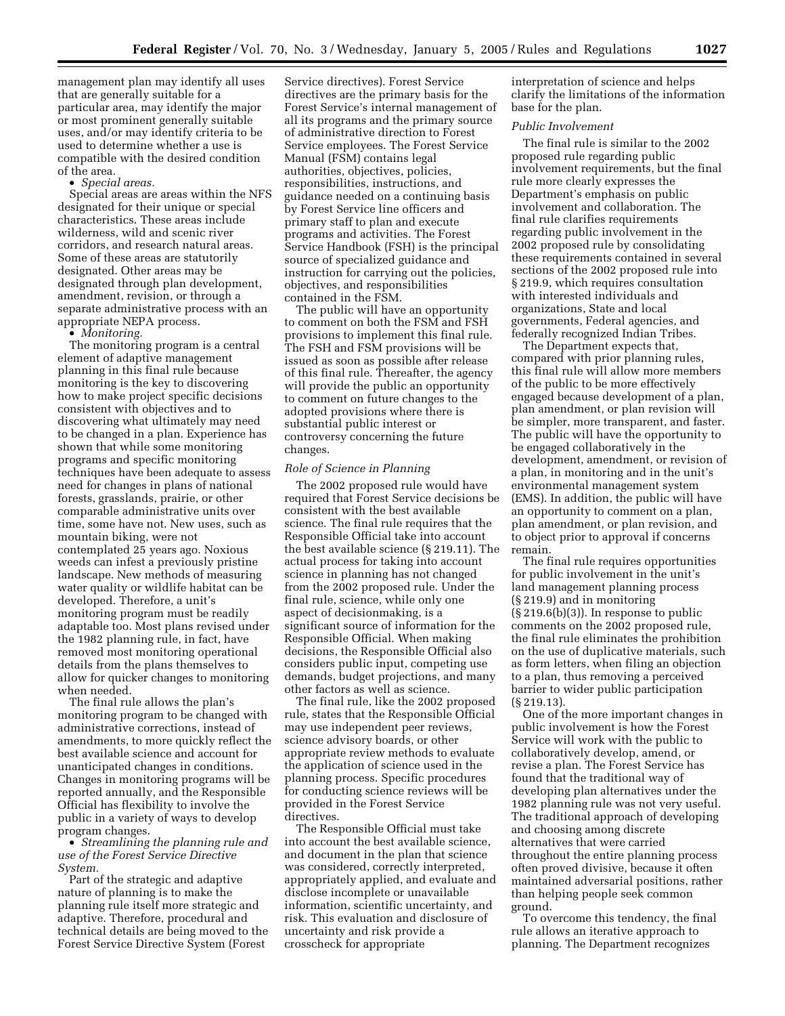management plan may identify all uses that are generally suitable for a particular area, may identify the major or most prominent generally suitable uses, and/or may identify criteria to be used to determine whether a use is compatible with the desired condition of the area.

• *Special areas.*

Special areas are areas within the NFS designated for their unique or special characteristics. These areas include wilderness, wild and scenic river corridors, and research natural areas. Some of these areas are statutorily designated. Other areas may be designated through plan development, amendment, revision, or through a separate administrative process with an appropriate NEPA process.

• *Monitoring.*

The monitoring program is a central element of adaptive management planning in this final rule because monitoring is the key to discovering how to make project specific decisions consistent with objectives and to discovering what ultimately may need to be changed in a plan. Experience has shown that while some monitoring programs and specific monitoring techniques have been adequate to assess need for changes in plans of national forests, grasslands, prairie, or other comparable administrative units over time, some have not. New uses, such as mountain biking, were not contemplated 25 years ago. Noxious weeds can infest a previously pristine landscape. New methods of measuring water quality or wildlife habitat can be developed. Therefore, a unit's monitoring program must be readily adaptable too. Most plans revised under the 1982 planning rule, in fact, have removed most monitoring operational details from the plans themselves to allow for quicker changes to monitoring when needed.

The final rule allows the plan's monitoring program to be changed with administrative corrections, instead of amendments, to more quickly reflect the best available science and account for unanticipated changes in conditions. Changes in monitoring programs will be reported annually, and the Responsible Official has flexibility to involve the public in a variety of ways to develop program changes.

• *Streamlining the planning rule and use of the Forest Service Directive System.*

Part of the strategic and adaptive nature of planning is to make the planning rule itself more strategic and adaptive. Therefore, procedural and technical details are being moved to the Forest Service Directive System (Forest

Service directives). Forest Service directives are the primary basis for the Forest Service's internal management of all its programs and the primary source of administrative direction to Forest Service employees. The Forest Service Manual (FSM) contains legal authorities, objectives, policies, responsibilities, instructions, and guidance needed on a continuing basis by Forest Service line officers and primary staff to plan and execute programs and activities. The Forest Service Handbook (FSH) is the principal source of specialized guidance and instruction for carrying out the policies, objectives, and responsibilities contained in the FSM.

The public will have an opportunity to comment on both the FSM and FSH provisions to implement this final rule. The FSH and FSM provisions will be issued as soon as possible after release of this final rule. Thereafter, the agency will provide the public an opportunity to comment on future changes to the adopted provisions where there is substantial public interest or controversy concerning the future changes.

#### *Role of Science in Planning*

The 2002 proposed rule would have required that Forest Service decisions be consistent with the best available science. The final rule requires that the Responsible Official take into account the best available science (§ 219.11). The actual process for taking into account science in planning has not changed from the 2002 proposed rule. Under the final rule, science, while only one aspect of decisionmaking, is a significant source of information for the Responsible Official. When making decisions, the Responsible Official also considers public input, competing use demands, budget projections, and many other factors as well as science.

The final rule, like the 2002 proposed rule, states that the Responsible Official may use independent peer reviews, science advisory boards, or other appropriate review methods to evaluate the application of science used in the planning process. Specific procedures for conducting science reviews will be provided in the Forest Service directives.

The Responsible Official must take into account the best available science, and document in the plan that science was considered, correctly interpreted, appropriately applied, and evaluate and disclose incomplete or unavailable information, scientific uncertainty, and risk. This evaluation and disclosure of uncertainty and risk provide a crosscheck for appropriate

interpretation of science and helps clarify the limitations of the information base for the plan.

# *Public Involvement*

The final rule is similar to the 2002 proposed rule regarding public involvement requirements, but the final rule more clearly expresses the Department's emphasis on public involvement and collaboration. The final rule clarifies requirements regarding public involvement in the 2002 proposed rule by consolidating these requirements contained in several sections of the 2002 proposed rule into § 219.9, which requires consultation with interested individuals and organizations, State and local governments, Federal agencies, and federally recognized Indian Tribes.

The Department expects that, compared with prior planning rules, this final rule will allow more members of the public to be more effectively engaged because development of a plan, plan amendment, or plan revision will be simpler, more transparent, and faster. The public will have the opportunity to be engaged collaboratively in the development, amendment, or revision of a plan, in monitoring and in the unit's environmental management system (EMS). In addition, the public will have an opportunity to comment on a plan, plan amendment, or plan revision, and to object prior to approval if concerns remain.

The final rule requires opportunities for public involvement in the unit's land management planning process (§ 219.9) and in monitoring (§ 219.6(b)(3)). In response to public comments on the 2002 proposed rule, the final rule eliminates the prohibition on the use of duplicative materials, such as form letters, when filing an objection to a plan, thus removing a perceived barrier to wider public participation (§ 219.13).

One of the more important changes in public involvement is how the Forest Service will work with the public to collaboratively develop, amend, or revise a plan. The Forest Service has found that the traditional way of developing plan alternatives under the 1982 planning rule was not very useful. The traditional approach of developing and choosing among discrete alternatives that were carried throughout the entire planning process often proved divisive, because it often maintained adversarial positions, rather than helping people seek common ground.

To overcome this tendency, the final rule allows an iterative approach to planning. The Department recognizes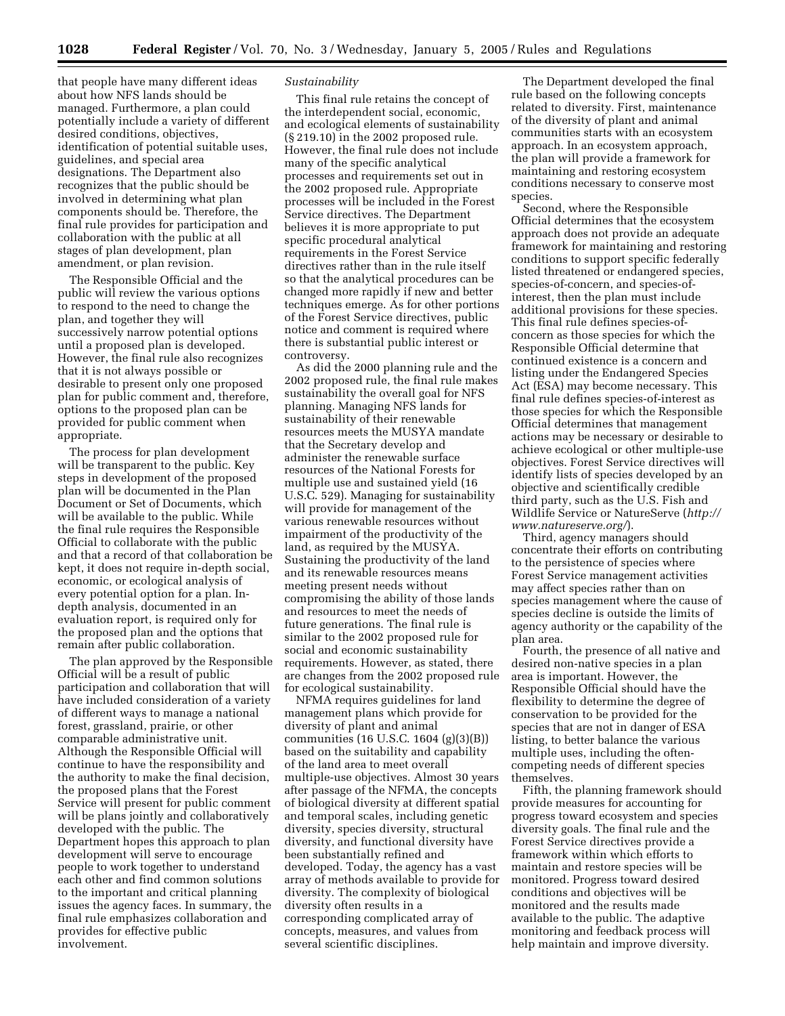that people have many different ideas about how NFS lands should be managed. Furthermore, a plan could potentially include a variety of different desired conditions, objectives, identification of potential suitable uses, guidelines, and special area designations. The Department also recognizes that the public should be involved in determining what plan components should be. Therefore, the final rule provides for participation and collaboration with the public at all stages of plan development, plan amendment, or plan revision.

The Responsible Official and the public will review the various options to respond to the need to change the plan, and together they will successively narrow potential options until a proposed plan is developed. However, the final rule also recognizes that it is not always possible or desirable to present only one proposed plan for public comment and, therefore, options to the proposed plan can be provided for public comment when appropriate.

The process for plan development will be transparent to the public. Key steps in development of the proposed plan will be documented in the Plan Document or Set of Documents, which will be available to the public. While the final rule requires the Responsible Official to collaborate with the public and that a record of that collaboration be kept, it does not require in-depth social, economic, or ecological analysis of every potential option for a plan. Indepth analysis, documented in an evaluation report, is required only for the proposed plan and the options that remain after public collaboration.

The plan approved by the Responsible Official will be a result of public participation and collaboration that will have included consideration of a variety of different ways to manage a national forest, grassland, prairie, or other comparable administrative unit. Although the Responsible Official will continue to have the responsibility and the authority to make the final decision, the proposed plans that the Forest Service will present for public comment will be plans jointly and collaboratively developed with the public. The Department hopes this approach to plan development will serve to encourage people to work together to understand each other and find common solutions to the important and critical planning issues the agency faces. In summary, the final rule emphasizes collaboration and provides for effective public involvement.

## *Sustainability*

This final rule retains the concept of the interdependent social, economic, and ecological elements of sustainability (§ 219.10) in the 2002 proposed rule. However, the final rule does not include many of the specific analytical processes and requirements set out in the 2002 proposed rule. Appropriate processes will be included in the Forest Service directives. The Department believes it is more appropriate to put specific procedural analytical requirements in the Forest Service directives rather than in the rule itself so that the analytical procedures can be changed more rapidly if new and better techniques emerge. As for other portions of the Forest Service directives, public notice and comment is required where there is substantial public interest or controversy.

As did the 2000 planning rule and the 2002 proposed rule, the final rule makes sustainability the overall goal for NFS planning. Managing NFS lands for sustainability of their renewable resources meets the MUSYA mandate that the Secretary develop and administer the renewable surface resources of the National Forests for multiple use and sustained yield (16 U.S.C. 529). Managing for sustainability will provide for management of the various renewable resources without impairment of the productivity of the land, as required by the MUSYA. Sustaining the productivity of the land and its renewable resources means meeting present needs without compromising the ability of those lands and resources to meet the needs of future generations. The final rule is similar to the 2002 proposed rule for social and economic sustainability requirements. However, as stated, there are changes from the 2002 proposed rule for ecological sustainability.

NFMA requires guidelines for land management plans which provide for diversity of plant and animal communities (16 U.S.C. 1604 (g)(3)(B)) based on the suitability and capability of the land area to meet overall multiple-use objectives. Almost 30 years after passage of the NFMA, the concepts of biological diversity at different spatial and temporal scales, including genetic diversity, species diversity, structural diversity, and functional diversity have been substantially refined and developed. Today, the agency has a vast array of methods available to provide for diversity. The complexity of biological diversity often results in a corresponding complicated array of concepts, measures, and values from several scientific disciplines.

The Department developed the final rule based on the following concepts related to diversity. First, maintenance of the diversity of plant and animal communities starts with an ecosystem approach. In an ecosystem approach, the plan will provide a framework for maintaining and restoring ecosystem conditions necessary to conserve most species.

Second, where the Responsible Official determines that the ecosystem approach does not provide an adequate framework for maintaining and restoring conditions to support specific federally listed threatened or endangered species, species-of-concern, and species-ofinterest, then the plan must include additional provisions for these species. This final rule defines species-ofconcern as those species for which the Responsible Official determine that continued existence is a concern and listing under the Endangered Species Act (ESA) may become necessary. This final rule defines species-of-interest as those species for which the Responsible Official determines that management actions may be necessary or desirable to achieve ecological or other multiple-use objectives. Forest Service directives will identify lists of species developed by an objective and scientifically credible third party, such as the U.S. Fish and Wildlife Service or NatureServe (*http:// www.natureserve.org/*).

Third, agency managers should concentrate their efforts on contributing to the persistence of species where Forest Service management activities may affect species rather than on species management where the cause of species decline is outside the limits of agency authority or the capability of the plan area.

Fourth, the presence of all native and desired non-native species in a plan area is important. However, the Responsible Official should have the flexibility to determine the degree of conservation to be provided for the species that are not in danger of ESA listing, to better balance the various multiple uses, including the oftencompeting needs of different species themselves.

Fifth, the planning framework should provide measures for accounting for progress toward ecosystem and species diversity goals. The final rule and the Forest Service directives provide a framework within which efforts to maintain and restore species will be monitored. Progress toward desired conditions and objectives will be monitored and the results made available to the public. The adaptive monitoring and feedback process will help maintain and improve diversity.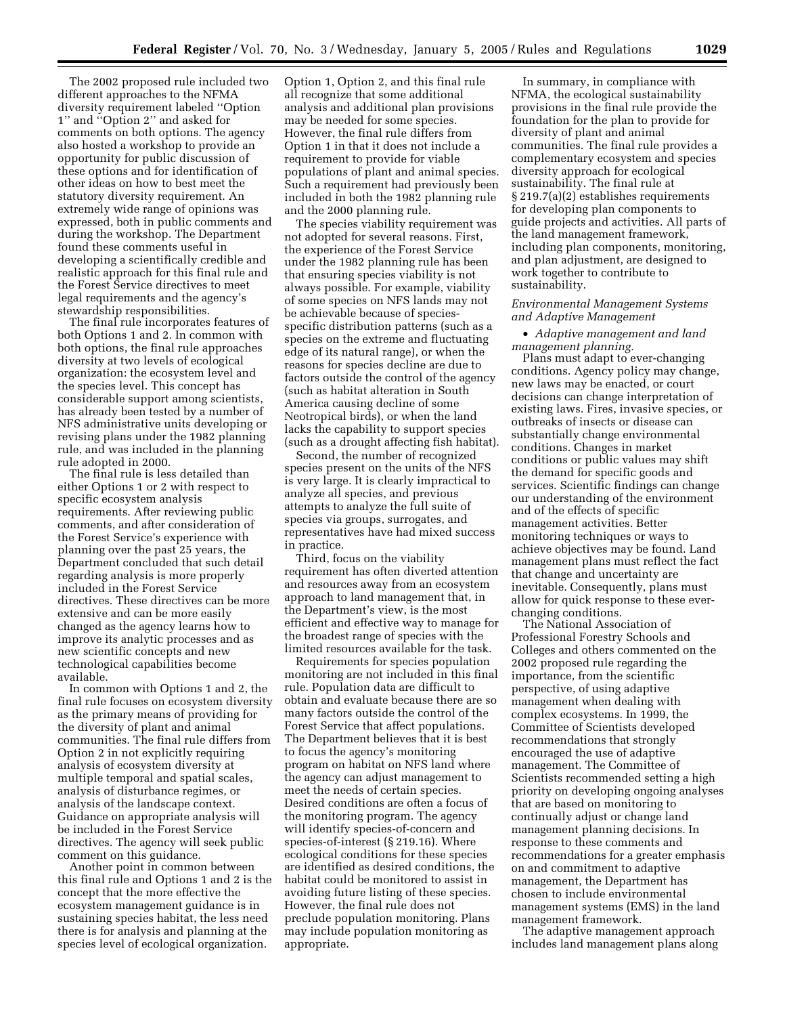The 2002 proposed rule included two different approaches to the NFMA diversity requirement labeled ''Option 1'' and ''Option 2'' and asked for comments on both options. The agency also hosted a workshop to provide an opportunity for public discussion of these options and for identification of other ideas on how to best meet the statutory diversity requirement. An extremely wide range of opinions was expressed, both in public comments and during the workshop. The Department found these comments useful in developing a scientifically credible and realistic approach for this final rule and the Forest Service directives to meet legal requirements and the agency's stewardship responsibilities.

The final rule incorporates features of both Options 1 and 2. In common with both options, the final rule approaches diversity at two levels of ecological organization: the ecosystem level and the species level. This concept has considerable support among scientists, has already been tested by a number of NFS administrative units developing or revising plans under the 1982 planning rule, and was included in the planning rule adopted in 2000.

The final rule is less detailed than either Options 1 or 2 with respect to specific ecosystem analysis requirements. After reviewing public comments, and after consideration of the Forest Service's experience with planning over the past 25 years, the Department concluded that such detail regarding analysis is more properly included in the Forest Service directives. These directives can be more extensive and can be more easily changed as the agency learns how to improve its analytic processes and as new scientific concepts and new technological capabilities become available.

In common with Options 1 and 2, the final rule focuses on ecosystem diversity as the primary means of providing for the diversity of plant and animal communities. The final rule differs from Option 2 in not explicitly requiring analysis of ecosystem diversity at multiple temporal and spatial scales, analysis of disturbance regimes, or analysis of the landscape context. Guidance on appropriate analysis will be included in the Forest Service directives. The agency will seek public comment on this guidance.

Another point in common between this final rule and Options 1 and 2 is the concept that the more effective the ecosystem management guidance is in sustaining species habitat, the less need there is for analysis and planning at the species level of ecological organization.

Option 1, Option 2, and this final rule all recognize that some additional analysis and additional plan provisions may be needed for some species. However, the final rule differs from Option 1 in that it does not include a requirement to provide for viable populations of plant and animal species. Such a requirement had previously been included in both the 1982 planning rule and the 2000 planning rule.

The species viability requirement was not adopted for several reasons. First, the experience of the Forest Service under the 1982 planning rule has been that ensuring species viability is not always possible. For example, viability of some species on NFS lands may not be achievable because of speciesspecific distribution patterns (such as a species on the extreme and fluctuating edge of its natural range), or when the reasons for species decline are due to factors outside the control of the agency (such as habitat alteration in South America causing decline of some Neotropical birds), or when the land lacks the capability to support species (such as a drought affecting fish habitat).

Second, the number of recognized species present on the units of the NFS is very large. It is clearly impractical to analyze all species, and previous attempts to analyze the full suite of species via groups, surrogates, and representatives have had mixed success in practice.

Third, focus on the viability requirement has often diverted attention and resources away from an ecosystem approach to land management that, in the Department's view, is the most efficient and effective way to manage for the broadest range of species with the limited resources available for the task.

Requirements for species population monitoring are not included in this final rule. Population data are difficult to obtain and evaluate because there are so many factors outside the control of the Forest Service that affect populations. The Department believes that it is best to focus the agency's monitoring program on habitat on NFS land where the agency can adjust management to meet the needs of certain species. Desired conditions are often a focus of the monitoring program. The agency will identify species-of-concern and species-of-interest (§ 219.16). Where ecological conditions for these species are identified as desired conditions, the habitat could be monitored to assist in avoiding future listing of these species. However, the final rule does not preclude population monitoring. Plans may include population monitoring as appropriate.

In summary, in compliance with NFMA, the ecological sustainability provisions in the final rule provide the foundation for the plan to provide for diversity of plant and animal communities. The final rule provides a complementary ecosystem and species diversity approach for ecological sustainability. The final rule at § 219.7(a)(2) establishes requirements for developing plan components to guide projects and activities. All parts of the land management framework, including plan components, monitoring, and plan adjustment, are designed to work together to contribute to sustainability.

## *Environmental Management Systems and Adaptive Management*

• *Adaptive management and land management planning.*

Plans must adapt to ever-changing conditions. Agency policy may change, new laws may be enacted, or court decisions can change interpretation of existing laws. Fires, invasive species, or outbreaks of insects or disease can substantially change environmental conditions. Changes in market conditions or public values may shift the demand for specific goods and services. Scientific findings can change our understanding of the environment and of the effects of specific management activities. Better monitoring techniques or ways to achieve objectives may be found. Land management plans must reflect the fact that change and uncertainty are inevitable. Consequently, plans must allow for quick response to these everchanging conditions.

The National Association of Professional Forestry Schools and Colleges and others commented on the 2002 proposed rule regarding the importance, from the scientific perspective, of using adaptive management when dealing with complex ecosystems. In 1999, the Committee of Scientists developed recommendations that strongly encouraged the use of adaptive management. The Committee of Scientists recommended setting a high priority on developing ongoing analyses that are based on monitoring to continually adjust or change land management planning decisions. In response to these comments and recommendations for a greater emphasis on and commitment to adaptive management, the Department has chosen to include environmental management systems (EMS) in the land management framework.

The adaptive management approach includes land management plans along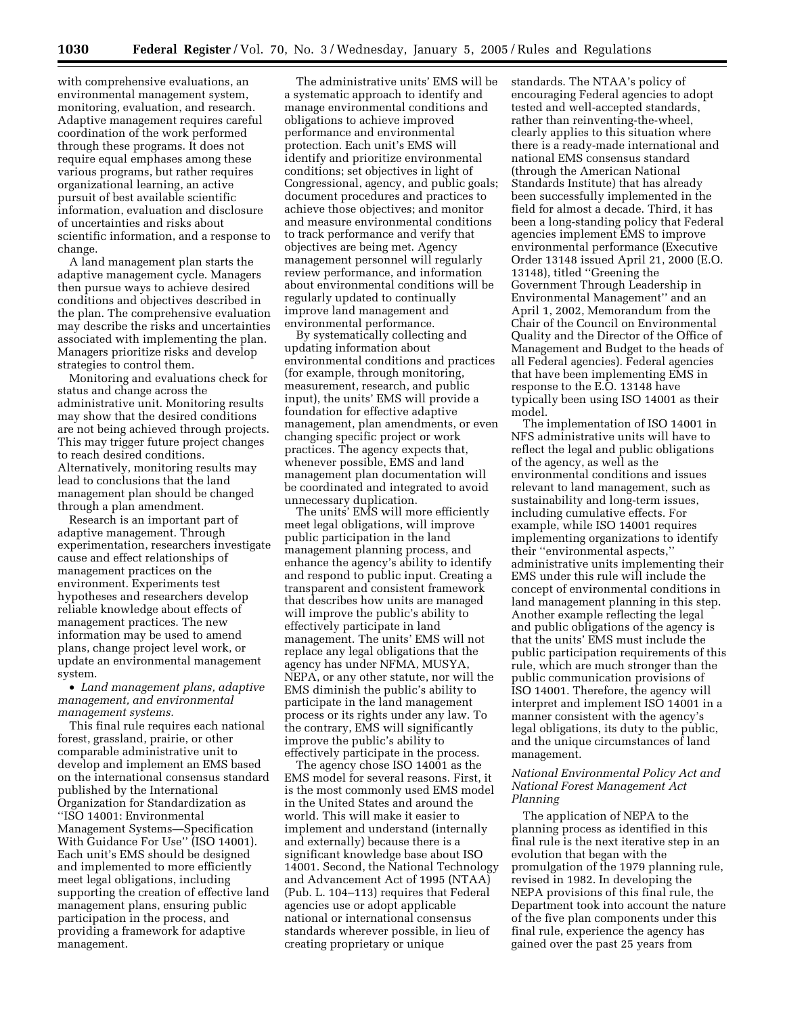with comprehensive evaluations, an environmental management system, monitoring, evaluation, and research. Adaptive management requires careful coordination of the work performed through these programs. It does not require equal emphases among these various programs, but rather requires organizational learning, an active pursuit of best available scientific information, evaluation and disclosure of uncertainties and risks about scientific information, and a response to change.

A land management plan starts the adaptive management cycle. Managers then pursue ways to achieve desired conditions and objectives described in the plan. The comprehensive evaluation may describe the risks and uncertainties associated with implementing the plan. Managers prioritize risks and develop strategies to control them.

Monitoring and evaluations check for status and change across the administrative unit. Monitoring results may show that the desired conditions are not being achieved through projects. This may trigger future project changes to reach desired conditions. Alternatively, monitoring results may lead to conclusions that the land management plan should be changed through a plan amendment.

Research is an important part of adaptive management. Through experimentation, researchers investigate cause and effect relationships of management practices on the environment. Experiments test hypotheses and researchers develop reliable knowledge about effects of management practices. The new information may be used to amend plans, change project level work, or update an environmental management system.

• *Land management plans, adaptive management, and environmental management systems.*

This final rule requires each national forest, grassland, prairie, or other comparable administrative unit to develop and implement an EMS based on the international consensus standard published by the International Organization for Standardization as ''ISO 14001: Environmental Management Systems—Specification With Guidance For Use'' (ISO 14001). Each unit's EMS should be designed and implemented to more efficiently meet legal obligations, including supporting the creation of effective land management plans, ensuring public participation in the process, and providing a framework for adaptive management.

The administrative units' EMS will be a systematic approach to identify and manage environmental conditions and obligations to achieve improved performance and environmental protection. Each unit's EMS will identify and prioritize environmental conditions; set objectives in light of Congressional, agency, and public goals; document procedures and practices to achieve those objectives; and monitor and measure environmental conditions to track performance and verify that objectives are being met. Agency management personnel will regularly review performance, and information about environmental conditions will be regularly updated to continually improve land management and environmental performance.

By systematically collecting and updating information about environmental conditions and practices (for example, through monitoring, measurement, research, and public input), the units' EMS will provide a foundation for effective adaptive management, plan amendments, or even changing specific project or work practices. The agency expects that, whenever possible, EMS and land management plan documentation will be coordinated and integrated to avoid unnecessary duplication.

The units' EMS will more efficiently meet legal obligations, will improve public participation in the land management planning process, and enhance the agency's ability to identify and respond to public input. Creating a transparent and consistent framework that describes how units are managed will improve the public's ability to effectively participate in land management. The units' EMS will not replace any legal obligations that the agency has under NFMA, MUSYA, NEPA, or any other statute, nor will the EMS diminish the public's ability to participate in the land management process or its rights under any law. To the contrary, EMS will significantly improve the public's ability to effectively participate in the process.

The agency chose ISO 14001 as the EMS model for several reasons. First, it is the most commonly used EMS model in the United States and around the world. This will make it easier to implement and understand (internally and externally) because there is a significant knowledge base about ISO 14001. Second, the National Technology and Advancement Act of 1995 (NTAA) (Pub. L. 104–113) requires that Federal agencies use or adopt applicable national or international consensus standards wherever possible, in lieu of creating proprietary or unique

standards. The NTAA's policy of encouraging Federal agencies to adopt tested and well-accepted standards, rather than reinventing-the-wheel, clearly applies to this situation where there is a ready-made international and national EMS consensus standard (through the American National Standards Institute) that has already been successfully implemented in the field for almost a decade. Third, it has been a long-standing policy that Federal agencies implement EMS to improve environmental performance (Executive Order 13148 issued April 21, 2000 (E.O. 13148), titled ''Greening the Government Through Leadership in Environmental Management'' and an April 1, 2002, Memorandum from the Chair of the Council on Environmental Quality and the Director of the Office of Management and Budget to the heads of all Federal agencies). Federal agencies that have been implementing EMS in response to the E.O. 13148 have typically been using ISO 14001 as their model.

The implementation of ISO 14001 in NFS administrative units will have to reflect the legal and public obligations of the agency, as well as the environmental conditions and issues relevant to land management, such as sustainability and long-term issues, including cumulative effects. For example, while ISO 14001 requires implementing organizations to identify their ''environmental aspects,'' administrative units implementing their EMS under this rule will include the concept of environmental conditions in land management planning in this step. Another example reflecting the legal and public obligations of the agency is that the units' EMS must include the public participation requirements of this rule, which are much stronger than the public communication provisions of ISO 14001. Therefore, the agency will interpret and implement ISO 14001 in a manner consistent with the agency's legal obligations, its duty to the public, and the unique circumstances of land management.

# *National Environmental Policy Act and National Forest Management Act Planning*

The application of NEPA to the planning process as identified in this final rule is the next iterative step in an evolution that began with the promulgation of the 1979 planning rule, revised in 1982. In developing the NEPA provisions of this final rule, the Department took into account the nature of the five plan components under this final rule, experience the agency has gained over the past 25 years from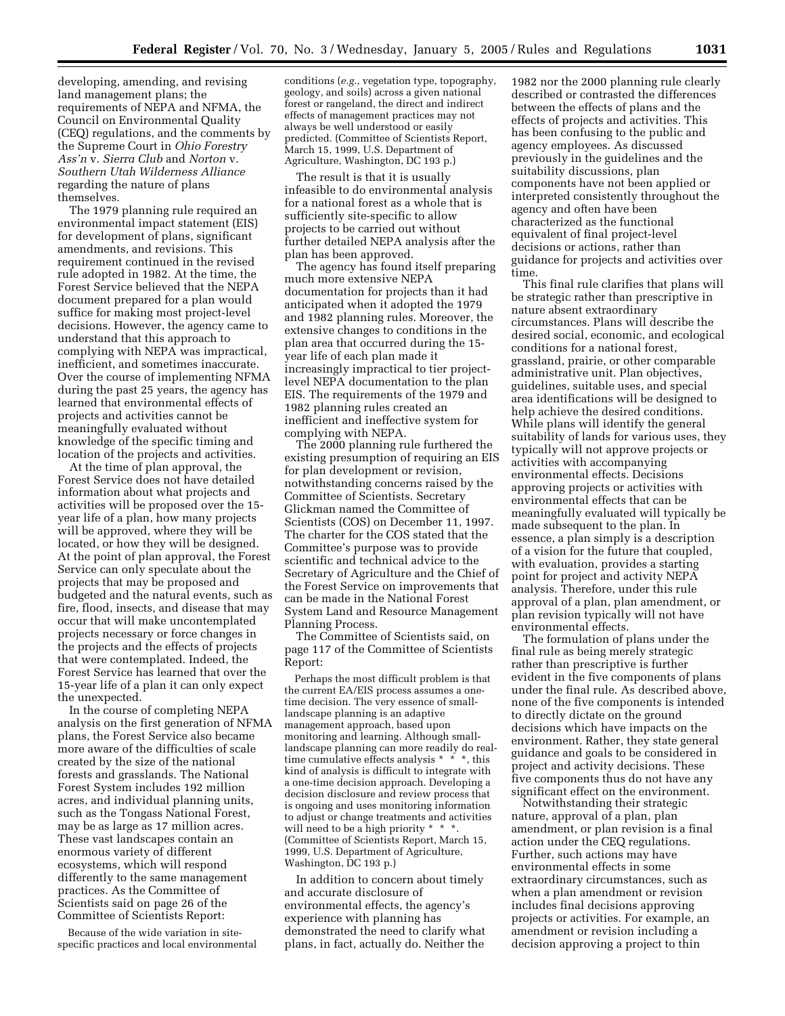developing, amending, and revising land management plans; the requirements of NEPA and NFMA, the Council on Environmental Quality (CEQ) regulations, and the comments by the Supreme Court in *Ohio Forestry Ass'n* v. *Sierra Club* and *Norton* v. *Southern Utah Wilderness Alliance* regarding the nature of plans themselves.

The 1979 planning rule required an environmental impact statement (EIS) for development of plans, significant amendments, and revisions. This requirement continued in the revised rule adopted in 1982. At the time, the Forest Service believed that the NEPA document prepared for a plan would suffice for making most project-level decisions. However, the agency came to understand that this approach to complying with NEPA was impractical, inefficient, and sometimes inaccurate. Over the course of implementing NFMA during the past 25 years, the agency has learned that environmental effects of projects and activities cannot be meaningfully evaluated without knowledge of the specific timing and location of the projects and activities.

At the time of plan approval, the Forest Service does not have detailed information about what projects and activities will be proposed over the 15 year life of a plan, how many projects will be approved, where they will be located, or how they will be designed. At the point of plan approval, the Forest Service can only speculate about the projects that may be proposed and budgeted and the natural events, such as fire, flood, insects, and disease that may occur that will make uncontemplated projects necessary or force changes in the projects and the effects of projects that were contemplated. Indeed, the Forest Service has learned that over the 15-year life of a plan it can only expect the unexpected.

In the course of completing NEPA analysis on the first generation of NFMA plans, the Forest Service also became more aware of the difficulties of scale created by the size of the national forests and grasslands. The National Forest System includes 192 million acres, and individual planning units, such as the Tongass National Forest, may be as large as 17 million acres. These vast landscapes contain an enormous variety of different ecosystems, which will respond differently to the same management practices. As the Committee of Scientists said on page 26 of the Committee of Scientists Report:

Because of the wide variation in sitespecific practices and local environmental

conditions (*e.g.*, vegetation type, topography, geology, and soils) across a given national forest or rangeland, the direct and indirect effects of management practices may not always be well understood or easily predicted. (Committee of Scientists Report, March 15, 1999, U.S. Department of Agriculture, Washington, DC 193 p.)

The result is that it is usually infeasible to do environmental analysis for a national forest as a whole that is sufficiently site-specific to allow projects to be carried out without further detailed NEPA analysis after the plan has been approved.

The agency has found itself preparing much more extensive NEPA documentation for projects than it had anticipated when it adopted the 1979 and 1982 planning rules. Moreover, the extensive changes to conditions in the plan area that occurred during the 15 year life of each plan made it increasingly impractical to tier projectlevel NEPA documentation to the plan EIS. The requirements of the 1979 and 1982 planning rules created an inefficient and ineffective system for complying with NEPA.

The 2000 planning rule furthered the existing presumption of requiring an EIS for plan development or revision, notwithstanding concerns raised by the Committee of Scientists. Secretary Glickman named the Committee of Scientists (COS) on December 11, 1997. The charter for the COS stated that the Committee's purpose was to provide scientific and technical advice to the Secretary of Agriculture and the Chief of the Forest Service on improvements that can be made in the National Forest System Land and Resource Management Planning Process.

The Committee of Scientists said, on page 117 of the Committee of Scientists Report:

Perhaps the most difficult problem is that the current EA/EIS process assumes a onetime decision. The very essence of smalllandscape planning is an adaptive management approach, based upon monitoring and learning. Although smalllandscape planning can more readily do realtime cumulative effects analysis \* \* \*, this kind of analysis is difficult to integrate with a one-time decision approach. Developing a decision disclosure and review process that is ongoing and uses monitoring information to adjust or change treatments and activities will need to be a high priority \* \* \*. (Committee of Scientists Report, March 15, 1999, U.S. Department of Agriculture, Washington, DC 193 p.)

In addition to concern about timely and accurate disclosure of environmental effects, the agency's experience with planning has demonstrated the need to clarify what plans, in fact, actually do. Neither the

1982 nor the 2000 planning rule clearly described or contrasted the differences between the effects of plans and the effects of projects and activities. This has been confusing to the public and agency employees. As discussed previously in the guidelines and the suitability discussions, plan components have not been applied or interpreted consistently throughout the agency and often have been characterized as the functional equivalent of final project-level decisions or actions, rather than guidance for projects and activities over time.

This final rule clarifies that plans will be strategic rather than prescriptive in nature absent extraordinary circumstances. Plans will describe the desired social, economic, and ecological conditions for a national forest, grassland, prairie, or other comparable administrative unit. Plan objectives, guidelines, suitable uses, and special area identifications will be designed to help achieve the desired conditions. While plans will identify the general suitability of lands for various uses, they typically will not approve projects or activities with accompanying environmental effects. Decisions approving projects or activities with environmental effects that can be meaningfully evaluated will typically be made subsequent to the plan. In essence, a plan simply is a description of a vision for the future that coupled, with evaluation, provides a starting point for project and activity NEPA analysis. Therefore, under this rule approval of a plan, plan amendment, or plan revision typically will not have environmental effects.

The formulation of plans under the final rule as being merely strategic rather than prescriptive is further evident in the five components of plans under the final rule. As described above, none of the five components is intended to directly dictate on the ground decisions which have impacts on the environment. Rather, they state general guidance and goals to be considered in project and activity decisions. These five components thus do not have any significant effect on the environment.

Notwithstanding their strategic nature, approval of a plan, plan amendment, or plan revision is a final action under the CEQ regulations. Further, such actions may have environmental effects in some extraordinary circumstances, such as when a plan amendment or revision includes final decisions approving projects or activities. For example, an amendment or revision including a decision approving a project to thin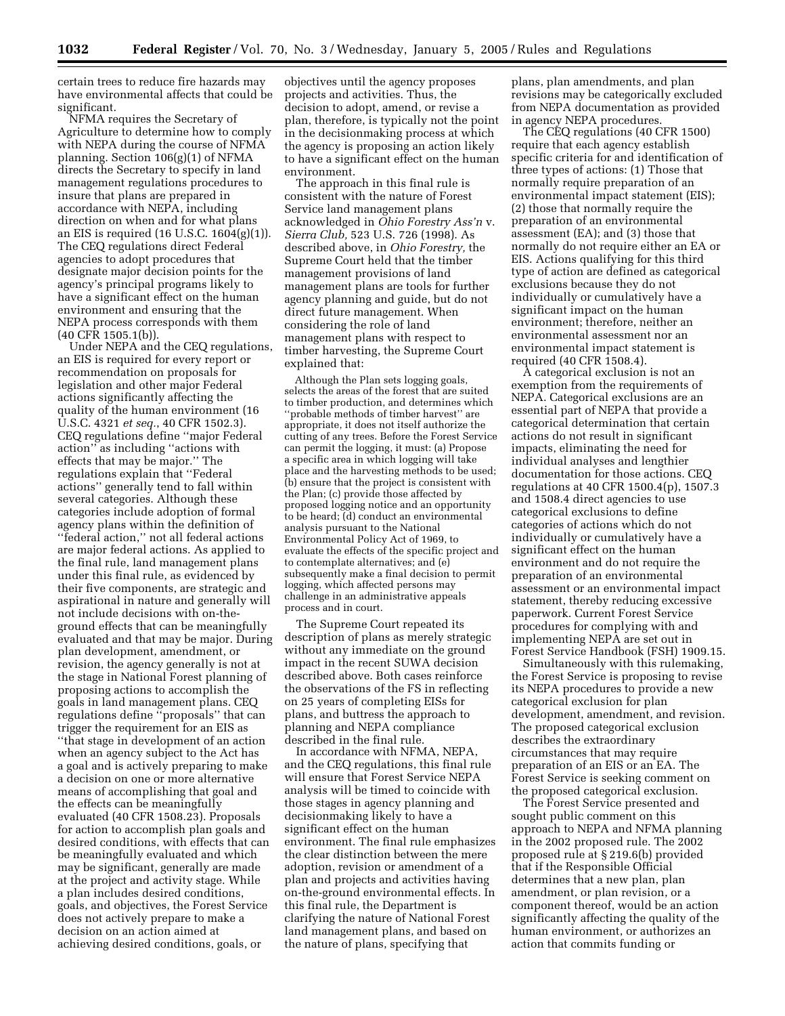certain trees to reduce fire hazards may have environmental affects that could be significant.

NFMA requires the Secretary of Agriculture to determine how to comply with NEPA during the course of NFMA planning. Section 106(g)(1) of NFMA directs the Secretary to specify in land management regulations procedures to insure that plans are prepared in accordance with NEPA, including direction on when and for what plans an EIS is required (16 U.S.C. 1604(g)(1)). The CEQ regulations direct Federal agencies to adopt procedures that designate major decision points for the agency's principal programs likely to have a significant effect on the human environment and ensuring that the NEPA process corresponds with them (40 CFR 1505.1(b)).

Under NEPA and the CEQ regulations, an EIS is required for every report or recommendation on proposals for legislation and other major Federal actions significantly affecting the quality of the human environment (16 U.S.C. 4321 *et seq.*, 40 CFR 1502.3). CEQ regulations define ''major Federal action'' as including ''actions with effects that may be major.'' The regulations explain that ''Federal actions'' generally tend to fall within several categories. Although these categories include adoption of formal agency plans within the definition of ''federal action,'' not all federal actions are major federal actions. As applied to the final rule, land management plans under this final rule, as evidenced by their five components, are strategic and aspirational in nature and generally will not include decisions with on-theground effects that can be meaningfully evaluated and that may be major. During plan development, amendment, or revision, the agency generally is not at the stage in National Forest planning of proposing actions to accomplish the goals in land management plans. CEQ regulations define ''proposals'' that can trigger the requirement for an EIS as ''that stage in development of an action when an agency subject to the Act has a goal and is actively preparing to make a decision on one or more alternative means of accomplishing that goal and the effects can be meaningfully evaluated (40 CFR 1508.23). Proposals for action to accomplish plan goals and desired conditions, with effects that can be meaningfully evaluated and which may be significant, generally are made at the project and activity stage. While a plan includes desired conditions, goals, and objectives, the Forest Service does not actively prepare to make a decision on an action aimed at achieving desired conditions, goals, or

objectives until the agency proposes projects and activities. Thus, the decision to adopt, amend, or revise a plan, therefore, is typically not the point in the decisionmaking process at which the agency is proposing an action likely to have a significant effect on the human environment.

The approach in this final rule is consistent with the nature of Forest Service land management plans acknowledged in *Ohio Forestry Ass'n* v. *Sierra Club,* 523 U.S. 726 (1998). As described above, in *Ohio Forestry,* the Supreme Court held that the timber management provisions of land management plans are tools for further agency planning and guide, but do not direct future management. When considering the role of land management plans with respect to timber harvesting, the Supreme Court explained that:

Although the Plan sets logging goals, selects the areas of the forest that are suited to timber production, and determines which ''probable methods of timber harvest'' are appropriate, it does not itself authorize the cutting of any trees. Before the Forest Service can permit the logging, it must: (a) Propose a specific area in which logging will take place and the harvesting methods to be used; (b) ensure that the project is consistent with the Plan; (c) provide those affected by proposed logging notice and an opportunity to be heard; (d) conduct an environmental analysis pursuant to the National Environmental Policy Act of 1969, to evaluate the effects of the specific project and to contemplate alternatives; and (e) subsequently make a final decision to permit logging, which affected persons may challenge in an administrative appeals process and in court.

The Supreme Court repeated its description of plans as merely strategic without any immediate on the ground impact in the recent SUWA decision described above. Both cases reinforce the observations of the FS in reflecting on 25 years of completing EISs for plans, and buttress the approach to planning and NEPA compliance described in the final rule.

In accordance with NFMA, NEPA, and the CEQ regulations, this final rule will ensure that Forest Service NEPA analysis will be timed to coincide with those stages in agency planning and decisionmaking likely to have a significant effect on the human environment. The final rule emphasizes the clear distinction between the mere adoption, revision or amendment of a plan and projects and activities having on-the-ground environmental effects. In this final rule, the Department is clarifying the nature of National Forest land management plans, and based on the nature of plans, specifying that

plans, plan amendments, and plan revisions may be categorically excluded from NEPA documentation as provided in agency NEPA procedures.

The CEQ regulations (40 CFR 1500) require that each agency establish specific criteria for and identification of three types of actions: (1) Those that normally require preparation of an environmental impact statement (EIS); (2) those that normally require the preparation of an environmental assessment (EA); and (3) those that normally do not require either an EA or EIS. Actions qualifying for this third type of action are defined as categorical exclusions because they do not individually or cumulatively have a significant impact on the human environment; therefore, neither an environmental assessment nor an environmental impact statement is required (40 CFR 1508.4).

A categorical exclusion is not an exemption from the requirements of NEPA. Categorical exclusions are an essential part of NEPA that provide a categorical determination that certain actions do not result in significant impacts, eliminating the need for individual analyses and lengthier documentation for those actions. CEQ regulations at 40 CFR 1500.4(p), 1507.3 and 1508.4 direct agencies to use categorical exclusions to define categories of actions which do not individually or cumulatively have a significant effect on the human environment and do not require the preparation of an environmental assessment or an environmental impact statement, thereby reducing excessive paperwork. Current Forest Service procedures for complying with and implementing NEPA are set out in Forest Service Handbook (FSH) 1909.15.

Simultaneously with this rulemaking, the Forest Service is proposing to revise its NEPA procedures to provide a new categorical exclusion for plan development, amendment, and revision. The proposed categorical exclusion describes the extraordinary circumstances that may require preparation of an EIS or an EA. The Forest Service is seeking comment on the proposed categorical exclusion.

The Forest Service presented and sought public comment on this approach to NEPA and NFMA planning in the 2002 proposed rule. The 2002 proposed rule at § 219.6(b) provided that if the Responsible Official determines that a new plan, plan amendment, or plan revision, or a component thereof, would be an action significantly affecting the quality of the human environment, or authorizes an action that commits funding or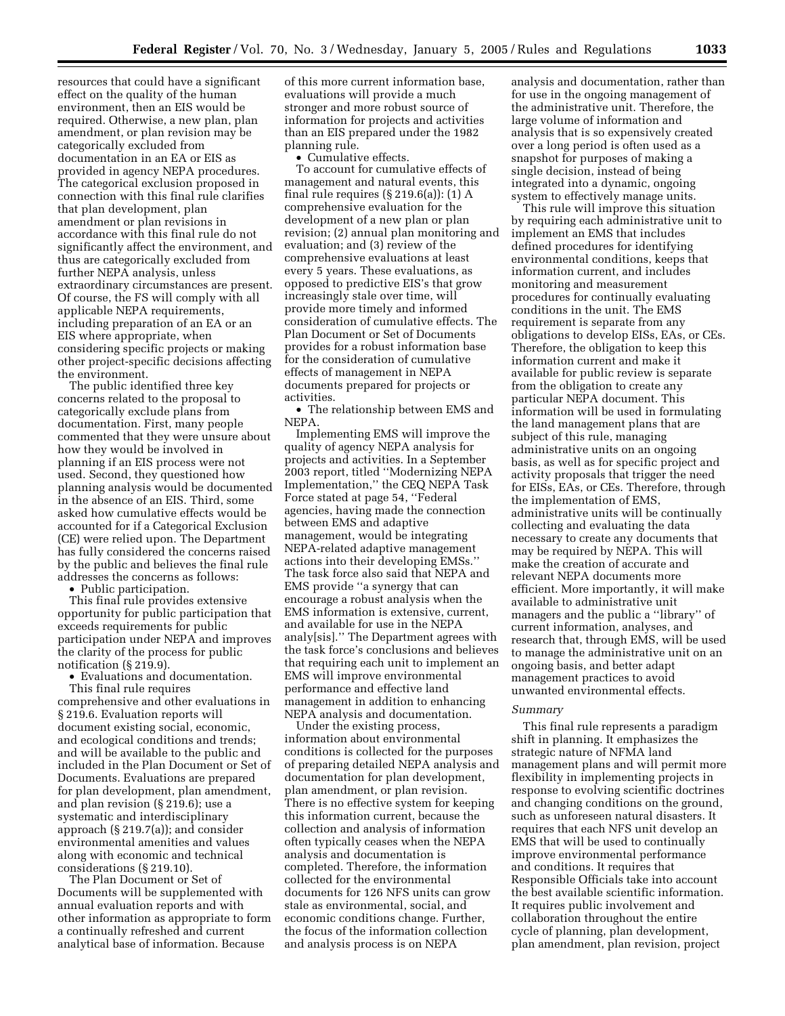resources that could have a significant effect on the quality of the human environment, then an EIS would be required. Otherwise, a new plan, plan amendment, or plan revision may be categorically excluded from documentation in an EA or EIS as provided in agency NEPA procedures. The categorical exclusion proposed in connection with this final rule clarifies that plan development, plan amendment or plan revisions in accordance with this final rule do not significantly affect the environment, and thus are categorically excluded from further NEPA analysis, unless extraordinary circumstances are present. Of course, the FS will comply with all applicable NEPA requirements, including preparation of an EA or an EIS where appropriate, when considering specific projects or making other project-specific decisions affecting the environment.

The public identified three key concerns related to the proposal to categorically exclude plans from documentation. First, many people commented that they were unsure about how they would be involved in planning if an EIS process were not used. Second, they questioned how planning analysis would be documented in the absence of an EIS. Third, some asked how cumulative effects would be accounted for if a Categorical Exclusion (CE) were relied upon. The Department has fully considered the concerns raised by the public and believes the final rule addresses the concerns as follows:

• Public participation.

This final rule provides extensive opportunity for public participation that exceeds requirements for public participation under NEPA and improves the clarity of the process for public notification (§ 219.9).

• Evaluations and documentation.

This final rule requires comprehensive and other evaluations in § 219.6. Evaluation reports will document existing social, economic, and ecological conditions and trends; and will be available to the public and included in the Plan Document or Set of Documents. Evaluations are prepared for plan development, plan amendment, and plan revision (§ 219.6); use a systematic and interdisciplinary approach (§ 219.7(a)); and consider environmental amenities and values along with economic and technical considerations (§ 219.10).

The Plan Document or Set of Documents will be supplemented with annual evaluation reports and with other information as appropriate to form a continually refreshed and current analytical base of information. Because

of this more current information base, evaluations will provide a much stronger and more robust source of information for projects and activities than an EIS prepared under the 1982 planning rule.

• Cumulative effects.

To account for cumulative effects of management and natural events, this final rule requires  $(\S 219.6(a))$ : (1) A comprehensive evaluation for the development of a new plan or plan revision; (2) annual plan monitoring and evaluation; and (3) review of the comprehensive evaluations at least every 5 years. These evaluations, as opposed to predictive EIS's that grow increasingly stale over time, will provide more timely and informed consideration of cumulative effects. The Plan Document or Set of Documents provides for a robust information base for the consideration of cumulative effects of management in NEPA documents prepared for projects or activities.

• The relationship between EMS and NEPA.

Implementing EMS will improve the quality of agency NEPA analysis for projects and activities. In a September 2003 report, titled ''Modernizing NEPA Implementation,'' the CEQ NEPA Task Force stated at page 54, ''Federal agencies, having made the connection between EMS and adaptive management, would be integrating NEPA-related adaptive management actions into their developing EMSs.'' The task force also said that NEPA and EMS provide ''a synergy that can encourage a robust analysis when the EMS information is extensive, current, and available for use in the NEPA analy[sis].'' The Department agrees with the task force's conclusions and believes that requiring each unit to implement an EMS will improve environmental performance and effective land management in addition to enhancing NEPA analysis and documentation.

Under the existing process, information about environmental conditions is collected for the purposes of preparing detailed NEPA analysis and documentation for plan development, plan amendment, or plan revision. There is no effective system for keeping this information current, because the collection and analysis of information often typically ceases when the NEPA analysis and documentation is completed. Therefore, the information collected for the environmental documents for 126 NFS units can grow stale as environmental, social, and economic conditions change. Further, the focus of the information collection and analysis process is on NEPA

analysis and documentation, rather than for use in the ongoing management of the administrative unit. Therefore, the large volume of information and analysis that is so expensively created over a long period is often used as a snapshot for purposes of making a single decision, instead of being integrated into a dynamic, ongoing system to effectively manage units.

This rule will improve this situation by requiring each administrative unit to implement an EMS that includes defined procedures for identifying environmental conditions, keeps that information current, and includes monitoring and measurement procedures for continually evaluating conditions in the unit. The EMS requirement is separate from any obligations to develop EISs, EAs, or CEs. Therefore, the obligation to keep this information current and make it available for public review is separate from the obligation to create any particular NEPA document. This information will be used in formulating the land management plans that are subject of this rule, managing administrative units on an ongoing basis, as well as for specific project and activity proposals that trigger the need for EISs, EAs, or CEs. Therefore, through the implementation of EMS, administrative units will be continually collecting and evaluating the data necessary to create any documents that may be required by NEPA. This will make the creation of accurate and relevant NEPA documents more efficient. More importantly, it will make available to administrative unit managers and the public a ''library'' of current information, analyses, and research that, through EMS, will be used to manage the administrative unit on an ongoing basis, and better adapt management practices to avoid unwanted environmental effects.

# *Summary*

This final rule represents a paradigm shift in planning. It emphasizes the strategic nature of NFMA land management plans and will permit more flexibility in implementing projects in response to evolving scientific doctrines and changing conditions on the ground, such as unforeseen natural disasters. It requires that each NFS unit develop an EMS that will be used to continually improve environmental performance and conditions. It requires that Responsible Officials take into account the best available scientific information. It requires public involvement and collaboration throughout the entire cycle of planning, plan development, plan amendment, plan revision, project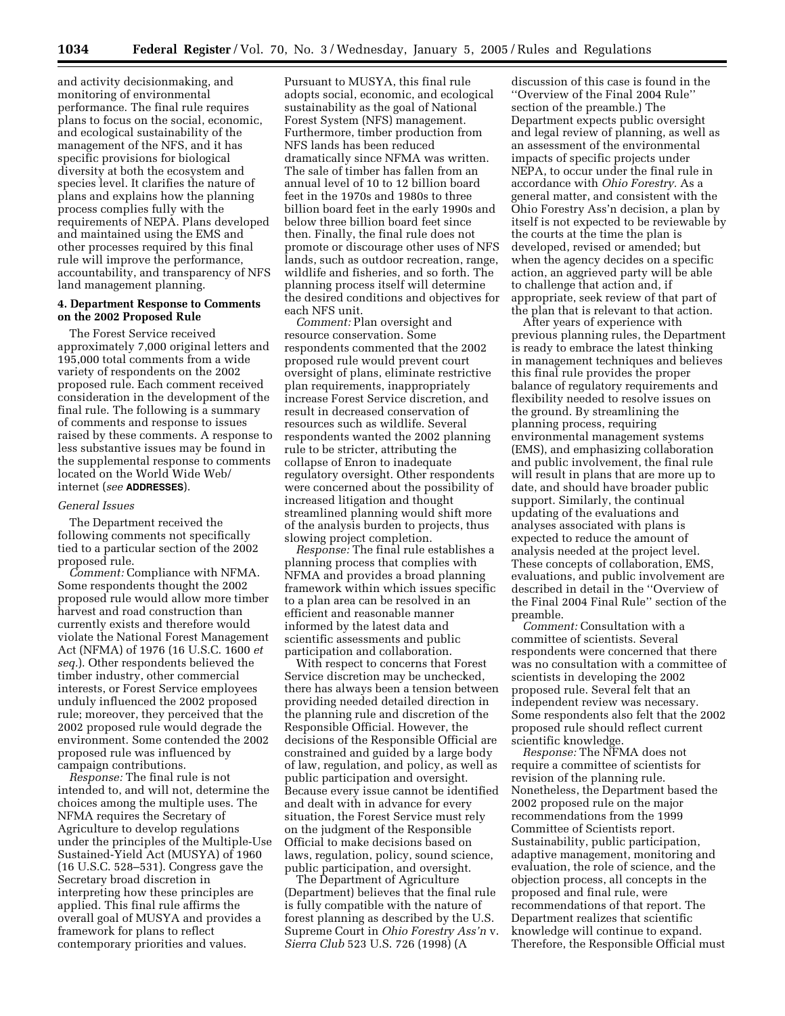and activity decisionmaking, and monitoring of environmental performance. The final rule requires plans to focus on the social, economic, and ecological sustainability of the management of the NFS, and it has specific provisions for biological diversity at both the ecosystem and species level. It clarifies the nature of plans and explains how the planning process complies fully with the requirements of NEPA. Plans developed and maintained using the EMS and other processes required by this final rule will improve the performance, accountability, and transparency of NFS land management planning.

# **4. Department Response to Comments on the 2002 Proposed Rule**

The Forest Service received approximately 7,000 original letters and 195,000 total comments from a wide variety of respondents on the 2002 proposed rule. Each comment received consideration in the development of the final rule. The following is a summary of comments and response to issues raised by these comments. A response to less substantive issues may be found in the supplemental response to comments located on the World Wide Web/ internet (*see* **ADDRESSES**).

#### *General Issues*

The Department received the following comments not specifically tied to a particular section of the 2002 proposed rule.

*Comment:* Compliance with NFMA. Some respondents thought the 2002 proposed rule would allow more timber harvest and road construction than currently exists and therefore would violate the National Forest Management Act (NFMA) of 1976 (16 U.S.C. 1600 *et seq.*). Other respondents believed the timber industry, other commercial interests, or Forest Service employees unduly influenced the 2002 proposed rule; moreover, they perceived that the 2002 proposed rule would degrade the environment. Some contended the 2002 proposed rule was influenced by campaign contributions.

*Response:* The final rule is not intended to, and will not, determine the choices among the multiple uses. The NFMA requires the Secretary of Agriculture to develop regulations under the principles of the Multiple-Use Sustained-Yield Act (MUSYA) of 1960 (16 U.S.C. 528–531). Congress gave the Secretary broad discretion in interpreting how these principles are applied. This final rule affirms the overall goal of MUSYA and provides a framework for plans to reflect contemporary priorities and values.

Pursuant to MUSYA, this final rule adopts social, economic, and ecological sustainability as the goal of National Forest System (NFS) management. Furthermore, timber production from NFS lands has been reduced dramatically since NFMA was written. The sale of timber has fallen from an annual level of 10 to 12 billion board feet in the 1970s and 1980s to three billion board feet in the early 1990s and below three billion board feet since then. Finally, the final rule does not promote or discourage other uses of NFS lands, such as outdoor recreation, range, wildlife and fisheries, and so forth. The planning process itself will determine the desired conditions and objectives for each NFS unit.

*Comment:* Plan oversight and resource conservation. Some respondents commented that the 2002 proposed rule would prevent court oversight of plans, eliminate restrictive plan requirements, inappropriately increase Forest Service discretion, and result in decreased conservation of resources such as wildlife. Several respondents wanted the 2002 planning rule to be stricter, attributing the collapse of Enron to inadequate regulatory oversight. Other respondents were concerned about the possibility of increased litigation and thought streamlined planning would shift more of the analysis burden to projects, thus slowing project completion.

*Response:* The final rule establishes a planning process that complies with NFMA and provides a broad planning framework within which issues specific to a plan area can be resolved in an efficient and reasonable manner informed by the latest data and scientific assessments and public participation and collaboration.

With respect to concerns that Forest Service discretion may be unchecked, there has always been a tension between providing needed detailed direction in the planning rule and discretion of the Responsible Official. However, the decisions of the Responsible Official are constrained and guided by a large body of law, regulation, and policy, as well as public participation and oversight. Because every issue cannot be identified and dealt with in advance for every situation, the Forest Service must rely on the judgment of the Responsible Official to make decisions based on laws, regulation, policy, sound science, public participation, and oversight.

The Department of Agriculture (Department) believes that the final rule is fully compatible with the nature of forest planning as described by the U.S. Supreme Court in *Ohio Forestry Ass'n* v. *Sierra Club* 523 U.S. 726 (1998) (A

discussion of this case is found in the ''Overview of the Final 2004 Rule'' section of the preamble.) The Department expects public oversight and legal review of planning, as well as an assessment of the environmental impacts of specific projects under NEPA, to occur under the final rule in accordance with *Ohio Forestry.* As a general matter, and consistent with the Ohio Forestry Ass'n decision, a plan by itself is not expected to be reviewable by the courts at the time the plan is developed, revised or amended; but when the agency decides on a specific action, an aggrieved party will be able to challenge that action and, if appropriate, seek review of that part of the plan that is relevant to that action.

After years of experience with previous planning rules, the Department is ready to embrace the latest thinking in management techniques and believes this final rule provides the proper balance of regulatory requirements and flexibility needed to resolve issues on the ground. By streamlining the planning process, requiring environmental management systems (EMS), and emphasizing collaboration and public involvement, the final rule will result in plans that are more up to date, and should have broader public support. Similarly, the continual updating of the evaluations and analyses associated with plans is expected to reduce the amount of analysis needed at the project level. These concepts of collaboration, EMS, evaluations, and public involvement are described in detail in the ''Overview of the Final 2004 Final Rule'' section of the preamble.

*Comment:* Consultation with a committee of scientists. Several respondents were concerned that there was no consultation with a committee of scientists in developing the 2002 proposed rule. Several felt that an independent review was necessary. Some respondents also felt that the 2002 proposed rule should reflect current scientific knowledge.

*Response:* The NFMA does not require a committee of scientists for revision of the planning rule. Nonetheless, the Department based the 2002 proposed rule on the major recommendations from the 1999 Committee of Scientists report. Sustainability, public participation, adaptive management, monitoring and evaluation, the role of science, and the objection process, all concepts in the proposed and final rule, were recommendations of that report. The Department realizes that scientific knowledge will continue to expand. Therefore, the Responsible Official must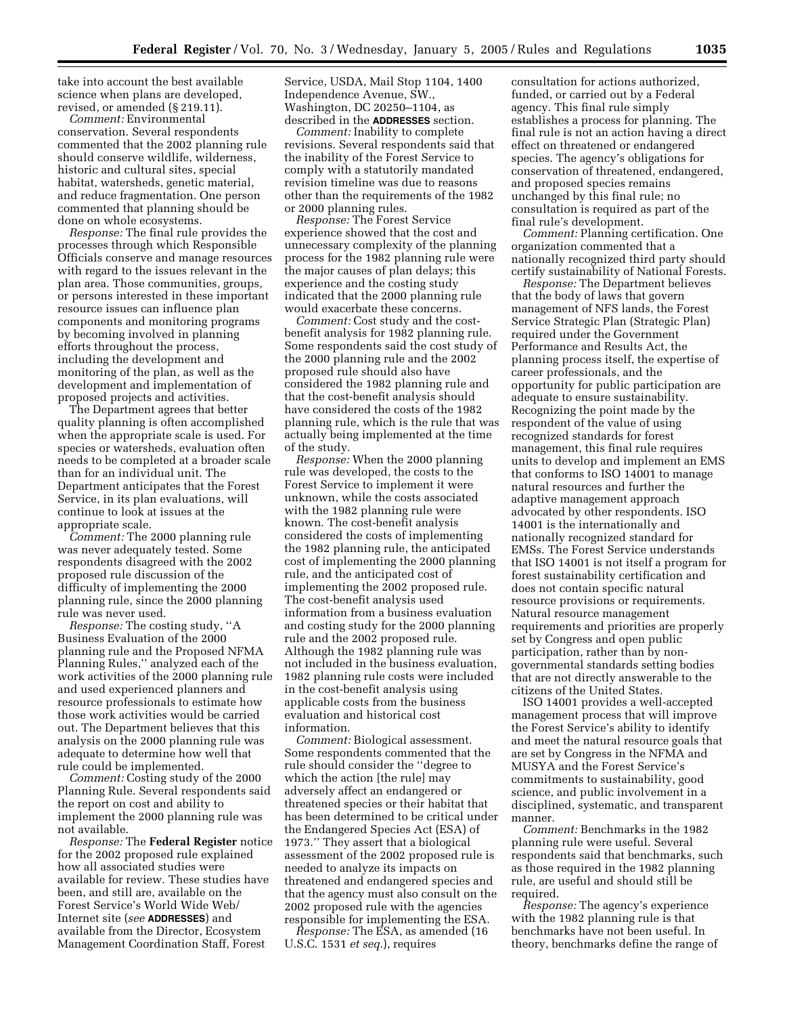take into account the best available science when plans are developed, revised, or amended (§ 219.11).

*Comment:* Environmental conservation. Several respondents commented that the 2002 planning rule should conserve wildlife, wilderness, historic and cultural sites, special habitat, watersheds, genetic material, and reduce fragmentation. One person commented that planning should be done on whole ecosystems.

*Response:* The final rule provides the processes through which Responsible Officials conserve and manage resources with regard to the issues relevant in the plan area. Those communities, groups, or persons interested in these important resource issues can influence plan components and monitoring programs by becoming involved in planning efforts throughout the process, including the development and monitoring of the plan, as well as the development and implementation of proposed projects and activities.

The Department agrees that better quality planning is often accomplished when the appropriate scale is used. For species or watersheds, evaluation often needs to be completed at a broader scale than for an individual unit. The Department anticipates that the Forest Service, in its plan evaluations, will continue to look at issues at the appropriate scale.

*Comment:* The 2000 planning rule was never adequately tested. Some respondents disagreed with the 2002 proposed rule discussion of the difficulty of implementing the 2000 planning rule, since the 2000 planning rule was never used.

*Response:* The costing study, ''A Business Evaluation of the 2000 planning rule and the Proposed NFMA Planning Rules,'' analyzed each of the work activities of the 2000 planning rule and used experienced planners and resource professionals to estimate how those work activities would be carried out. The Department believes that this analysis on the 2000 planning rule was adequate to determine how well that rule could be implemented.

*Comment:* Costing study of the 2000 Planning Rule. Several respondents said the report on cost and ability to implement the 2000 planning rule was not available.

*Response:* The **Federal Register** notice for the 2002 proposed rule explained how all associated studies were available for review. These studies have been, and still are, available on the Forest Service's World Wide Web/ Internet site (*see* **ADDRESSES**) and available from the Director, Ecosystem Management Coordination Staff, Forest

Service, USDA, Mail Stop 1104, 1400 Independence Avenue, SW., Washington, DC 20250–1104, as described in the **ADDRESSES** section.

*Comment:* Inability to complete revisions. Several respondents said that the inability of the Forest Service to comply with a statutorily mandated revision timeline was due to reasons other than the requirements of the 1982 or 2000 planning rules.

*Response:* The Forest Service experience showed that the cost and unnecessary complexity of the planning process for the 1982 planning rule were the major causes of plan delays; this experience and the costing study indicated that the 2000 planning rule would exacerbate these concerns.

*Comment:* Cost study and the costbenefit analysis for 1982 planning rule. Some respondents said the cost study of the 2000 planning rule and the 2002 proposed rule should also have considered the 1982 planning rule and that the cost-benefit analysis should have considered the costs of the 1982 planning rule, which is the rule that was actually being implemented at the time of the study.

*Response:* When the 2000 planning rule was developed, the costs to the Forest Service to implement it were unknown, while the costs associated with the 1982 planning rule were known. The cost-benefit analysis considered the costs of implementing the 1982 planning rule, the anticipated cost of implementing the 2000 planning rule, and the anticipated cost of implementing the 2002 proposed rule. The cost-benefit analysis used information from a business evaluation and costing study for the 2000 planning rule and the 2002 proposed rule. Although the 1982 planning rule was not included in the business evaluation, 1982 planning rule costs were included in the cost-benefit analysis using applicable costs from the business evaluation and historical cost information.

*Comment:* Biological assessment. Some respondents commented that the rule should consider the ''degree to which the action [the rule] may adversely affect an endangered or threatened species or their habitat that has been determined to be critical under the Endangered Species Act (ESA) of 1973.'' They assert that a biological assessment of the 2002 proposed rule is needed to analyze its impacts on threatened and endangered species and that the agency must also consult on the 2002 proposed rule with the agencies responsible for implementing the ESA.

*Response:* The ESA, as amended (16 U.S.C. 1531 *et seq.*), requires

consultation for actions authorized, funded, or carried out by a Federal agency. This final rule simply establishes a process for planning. The final rule is not an action having a direct effect on threatened or endangered species. The agency's obligations for conservation of threatened, endangered, and proposed species remains unchanged by this final rule; no consultation is required as part of the final rule's development.

*Comment:* Planning certification. One organization commented that a nationally recognized third party should certify sustainability of National Forests.

*Response:* The Department believes that the body of laws that govern management of NFS lands, the Forest Service Strategic Plan (Strategic Plan) required under the Government Performance and Results Act, the planning process itself, the expertise of career professionals, and the opportunity for public participation are adequate to ensure sustainability. Recognizing the point made by the respondent of the value of using recognized standards for forest management, this final rule requires units to develop and implement an EMS that conforms to ISO 14001 to manage natural resources and further the adaptive management approach advocated by other respondents. ISO 14001 is the internationally and nationally recognized standard for EMSs. The Forest Service understands that ISO 14001 is not itself a program for forest sustainability certification and does not contain specific natural resource provisions or requirements. Natural resource management requirements and priorities are properly set by Congress and open public participation, rather than by nongovernmental standards setting bodies that are not directly answerable to the citizens of the United States.

ISO 14001 provides a well-accepted management process that will improve the Forest Service's ability to identify and meet the natural resource goals that are set by Congress in the NFMA and MUSYA and the Forest Service's commitments to sustainability, good science, and public involvement in a disciplined, systematic, and transparent manner.

*Comment:* Benchmarks in the 1982 planning rule were useful. Several respondents said that benchmarks, such as those required in the 1982 planning rule, are useful and should still be required.

*Response:* The agency's experience with the 1982 planning rule is that benchmarks have not been useful. In theory, benchmarks define the range of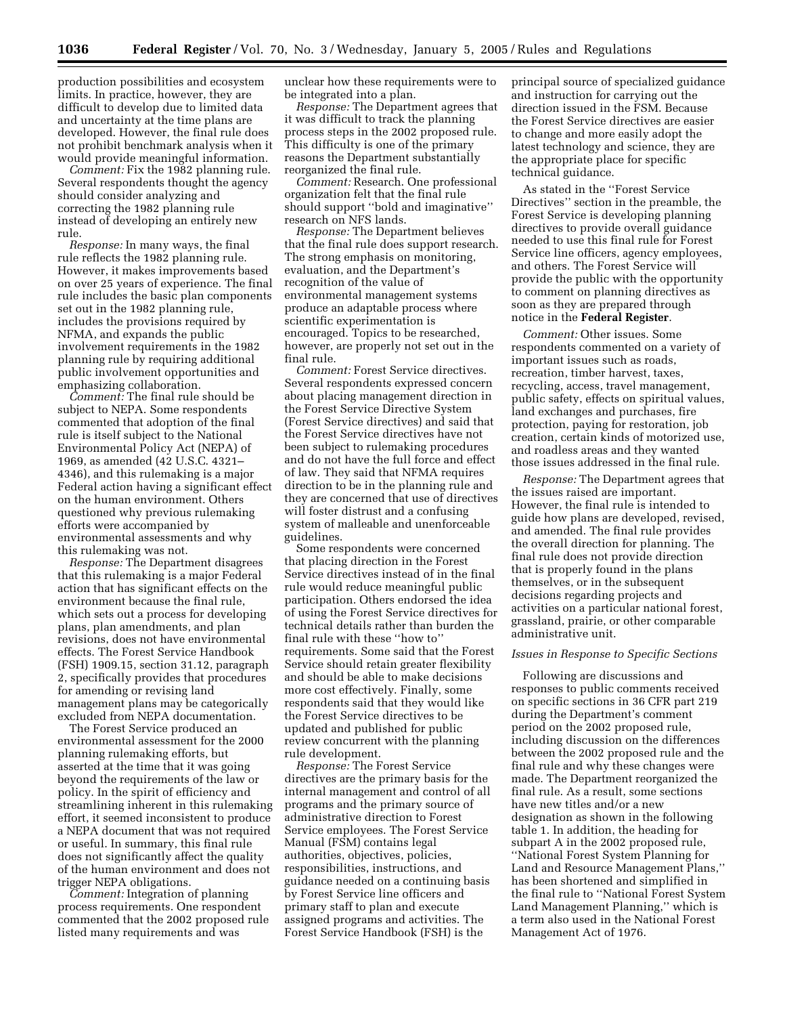production possibilities and ecosystem limits. In practice, however, they are difficult to develop due to limited data and uncertainty at the time plans are developed. However, the final rule does not prohibit benchmark analysis when it would provide meaningful information.

*Comment:* Fix the 1982 planning rule. Several respondents thought the agency should consider analyzing and correcting the 1982 planning rule instead of developing an entirely new rule.

*Response:* In many ways, the final rule reflects the 1982 planning rule. However, it makes improvements based on over 25 years of experience. The final rule includes the basic plan components set out in the 1982 planning rule, includes the provisions required by NFMA, and expands the public involvement requirements in the 1982 planning rule by requiring additional public involvement opportunities and emphasizing collaboration.

*Comment:* The final rule should be subject to NEPA. Some respondents commented that adoption of the final rule is itself subject to the National Environmental Policy Act (NEPA) of 1969, as amended (42 U.S.C. 4321– 4346), and this rulemaking is a major Federal action having a significant effect on the human environment. Others questioned why previous rulemaking efforts were accompanied by environmental assessments and why this rulemaking was not.

*Response:* The Department disagrees that this rulemaking is a major Federal action that has significant effects on the environment because the final rule, which sets out a process for developing plans, plan amendments, and plan revisions, does not have environmental effects. The Forest Service Handbook (FSH) 1909.15, section 31.12, paragraph 2, specifically provides that procedures for amending or revising land management plans may be categorically excluded from NEPA documentation.

The Forest Service produced an environmental assessment for the 2000 planning rulemaking efforts, but asserted at the time that it was going beyond the requirements of the law or policy. In the spirit of efficiency and streamlining inherent in this rulemaking effort, it seemed inconsistent to produce a NEPA document that was not required or useful. In summary, this final rule does not significantly affect the quality of the human environment and does not trigger NEPA obligations.

*Comment:* Integration of planning process requirements. One respondent commented that the 2002 proposed rule listed many requirements and was

unclear how these requirements were to be integrated into a plan.

*Response:* The Department agrees that it was difficult to track the planning process steps in the 2002 proposed rule. This difficulty is one of the primary reasons the Department substantially reorganized the final rule.

*Comment:* Research. One professional organization felt that the final rule should support ''bold and imaginative'' research on NFS lands.

*Response:* The Department believes that the final rule does support research. The strong emphasis on monitoring, evaluation, and the Department's recognition of the value of environmental management systems produce an adaptable process where scientific experimentation is encouraged. Topics to be researched, however, are properly not set out in the final rule.

*Comment:* Forest Service directives. Several respondents expressed concern about placing management direction in the Forest Service Directive System (Forest Service directives) and said that the Forest Service directives have not been subject to rulemaking procedures and do not have the full force and effect of law. They said that NFMA requires direction to be in the planning rule and they are concerned that use of directives will foster distrust and a confusing system of malleable and unenforceable guidelines.

Some respondents were concerned that placing direction in the Forest Service directives instead of in the final rule would reduce meaningful public participation. Others endorsed the idea of using the Forest Service directives for technical details rather than burden the final rule with these ''how to'' requirements. Some said that the Forest Service should retain greater flexibility and should be able to make decisions more cost effectively. Finally, some respondents said that they would like the Forest Service directives to be updated and published for public review concurrent with the planning rule development.

*Response:* The Forest Service directives are the primary basis for the internal management and control of all programs and the primary source of administrative direction to Forest Service employees. The Forest Service Manual (FSM) contains legal authorities, objectives, policies, responsibilities, instructions, and guidance needed on a continuing basis by Forest Service line officers and primary staff to plan and execute assigned programs and activities. The Forest Service Handbook (FSH) is the

principal source of specialized guidance and instruction for carrying out the direction issued in the FSM. Because the Forest Service directives are easier to change and more easily adopt the latest technology and science, they are the appropriate place for specific technical guidance.

As stated in the ''Forest Service Directives'' section in the preamble, the Forest Service is developing planning directives to provide overall guidance needed to use this final rule for Forest Service line officers, agency employees, and others. The Forest Service will provide the public with the opportunity to comment on planning directives as soon as they are prepared through notice in the **Federal Register**.

*Comment:* Other issues. Some respondents commented on a variety of important issues such as roads, recreation, timber harvest, taxes, recycling, access, travel management, public safety, effects on spiritual values, land exchanges and purchases, fire protection, paying for restoration, job creation, certain kinds of motorized use, and roadless areas and they wanted those issues addressed in the final rule.

*Response:* The Department agrees that the issues raised are important. However, the final rule is intended to guide how plans are developed, revised, and amended. The final rule provides the overall direction for planning. The final rule does not provide direction that is properly found in the plans themselves, or in the subsequent decisions regarding projects and activities on a particular national forest, grassland, prairie, or other comparable administrative unit.

#### *Issues in Response to Specific Sections*

Following are discussions and responses to public comments received on specific sections in 36 CFR part 219 during the Department's comment period on the 2002 proposed rule, including discussion on the differences between the 2002 proposed rule and the final rule and why these changes were made. The Department reorganized the final rule. As a result, some sections have new titles and/or a new designation as shown in the following table 1. In addition, the heading for subpart A in the 2002 proposed rule, ''National Forest System Planning for Land and Resource Management Plans,'' has been shortened and simplified in the final rule to ''National Forest System Land Management Planning,'' which is a term also used in the National Forest Management Act of 1976.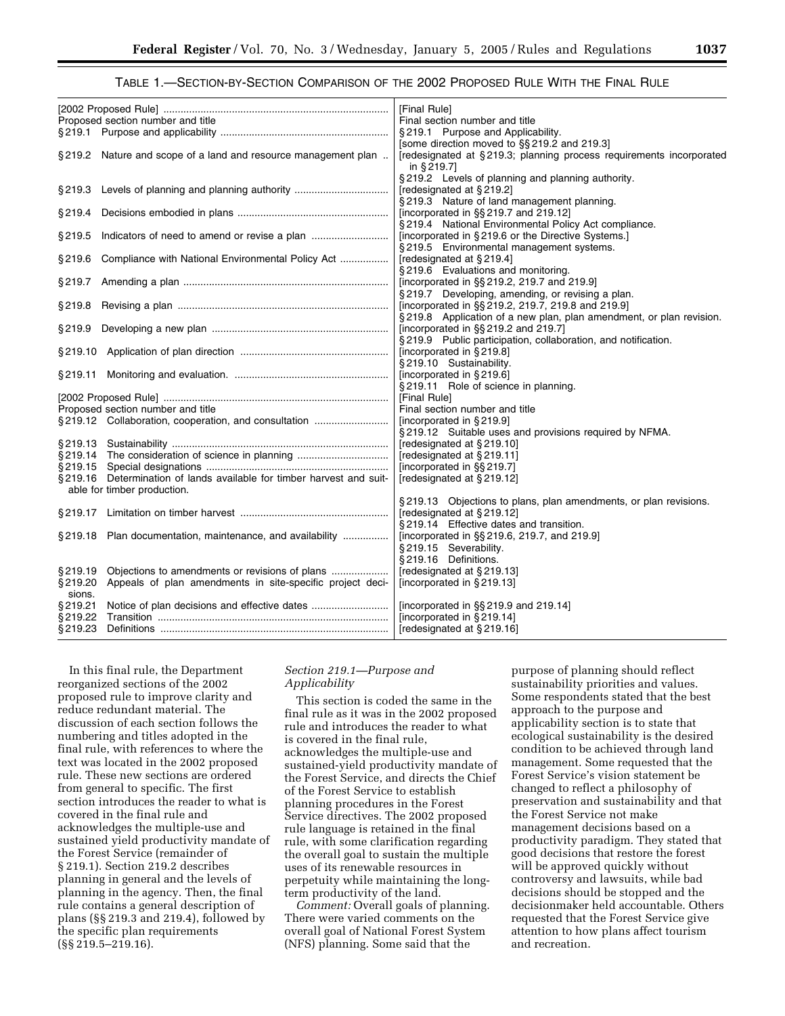# TABLE 1.—SECTION-BY-SECTION COMPARISON OF THE 2002 PROPOSED RULE WITH THE FINAL RULE

| Proposed section number and title |                                                                       | [Final Rule]<br>Final section number and title                                     |
|-----------------------------------|-----------------------------------------------------------------------|------------------------------------------------------------------------------------|
|                                   |                                                                       | §219.1 Purpose and Applicability.                                                  |
|                                   |                                                                       | [some direction moved to §§219.2 and 219.3]                                        |
|                                   | §219.2 Nature and scope of a land and resource management plan        | [redesignated at §219.3; planning process requirements incorporated<br>in § 219.7] |
|                                   |                                                                       | §219.2 Levels of planning and planning authority.                                  |
|                                   | §219.3 Levels of planning and planning authority                      | [redesignated at §219.2]                                                           |
|                                   |                                                                       | §219.3 Nature of land management planning.                                         |
| \$219.4                           |                                                                       | [incorporated in §§ 219.7 and 219.12]                                              |
|                                   |                                                                       | §219.4 National Environmental Policy Act compliance.                               |
| §219.5                            |                                                                       | [incorporated in §219.6 or the Directive Systems.]                                 |
|                                   |                                                                       | §219.5 Environmental management systems.                                           |
| §219.6                            | Compliance with National Environmental Policy Act                     | [redesignated at §219.4]                                                           |
|                                   |                                                                       | §219.6 Evaluations and monitoring.                                                 |
| §219.7                            |                                                                       | [incorporated in §§ 219.2, 219.7 and 219.9]                                        |
|                                   |                                                                       | §219.7 Developing, amending, or revising a plan.                                   |
| §219.8                            |                                                                       | [incorporated in §§ 219.2, 219.7, 219.8 and 219.9]                                 |
|                                   |                                                                       | §219.8 Application of a new plan, plan amendment, or plan revision.                |
| § 219.9                           |                                                                       | [incorporated in §§219.2 and 219.7]                                                |
|                                   |                                                                       |                                                                                    |
|                                   |                                                                       | §219.9 Public participation, collaboration, and notification.                      |
|                                   |                                                                       | [incorporated in $\S 219.8$ ]                                                      |
|                                   |                                                                       | §219.10 Sustainability.                                                            |
|                                   |                                                                       | [incorporated in §219.6]                                                           |
|                                   |                                                                       | §219.11 Role of science in planning.                                               |
|                                   |                                                                       | [Final Rule]                                                                       |
|                                   | Proposed section number and title                                     | Final section number and title                                                     |
|                                   | §219.12 Collaboration, cooperation, and consultation                  | [incorporated in §219.9]                                                           |
|                                   |                                                                       | §219.12 Suitable uses and provisions required by NFMA.                             |
|                                   |                                                                       | [redesignated at §219.10]                                                          |
|                                   | §219.14 The consideration of science in planning                      | [redesignated at §219.11]                                                          |
|                                   |                                                                       | [incorporated in §§ 219.7]                                                         |
|                                   | §219.16 Determination of lands available for timber harvest and suit- | [redesignated at §219.12]                                                          |
| able for timber production.       |                                                                       |                                                                                    |
|                                   |                                                                       | §219.13 Objections to plans, plan amendments, or plan revisions.                   |
|                                   |                                                                       | [redesignated at §219.12]                                                          |
|                                   |                                                                       | §219.14 Effective dates and transition.                                            |
|                                   | §219.18 Plan documentation, maintenance, and availability             | [incorporated in §§ 219.6, 219.7, and 219.9]                                       |
|                                   |                                                                       | §219.15 Severability.                                                              |
|                                   |                                                                       | §219.16 Definitions.                                                               |
| § 219.19                          |                                                                       | [redesignated at §219.13]                                                          |
| § 219.20                          | Appeals of plan amendments in site-specific project deci-             | [incorporated in §219.13]                                                          |
| sions.                            |                                                                       |                                                                                    |
| §219.21                           |                                                                       | [incorporated in §§ 219.9 and 219.14]                                              |
| §219.22                           |                                                                       | [incorporated in §219.14]                                                          |
| §219.23                           |                                                                       | [redesignated at §219.16]                                                          |
|                                   |                                                                       |                                                                                    |

In this final rule, the Department reorganized sections of the 2002 proposed rule to improve clarity and reduce redundant material. The discussion of each section follows the numbering and titles adopted in the final rule, with references to where the text was located in the 2002 proposed rule. These new sections are ordered from general to specific. The first section introduces the reader to what is covered in the final rule and acknowledges the multiple-use and sustained yield productivity mandate of the Forest Service (remainder of § 219.1). Section 219.2 describes planning in general and the levels of planning in the agency. Then, the final rule contains a general description of plans (§§ 219.3 and 219.4), followed by the specific plan requirements (§§ 219.5–219.16).

# *Section 219.1—Purpose and Applicability*

This section is coded the same in the final rule as it was in the 2002 proposed rule and introduces the reader to what is covered in the final rule, acknowledges the multiple-use and sustained-yield productivity mandate of the Forest Service, and directs the Chief of the Forest Service to establish planning procedures in the Forest Service directives. The 2002 proposed rule language is retained in the final rule, with some clarification regarding the overall goal to sustain the multiple uses of its renewable resources in perpetuity while maintaining the longterm productivity of the land.

*Comment:* Overall goals of planning. There were varied comments on the overall goal of National Forest System (NFS) planning. Some said that the

purpose of planning should reflect sustainability priorities and values. Some respondents stated that the best approach to the purpose and applicability section is to state that ecological sustainability is the desired condition to be achieved through land management. Some requested that the Forest Service's vision statement be changed to reflect a philosophy of preservation and sustainability and that the Forest Service not make management decisions based on a productivity paradigm. They stated that good decisions that restore the forest will be approved quickly without controversy and lawsuits, while bad decisions should be stopped and the decisionmaker held accountable. Others requested that the Forest Service give attention to how plans affect tourism and recreation.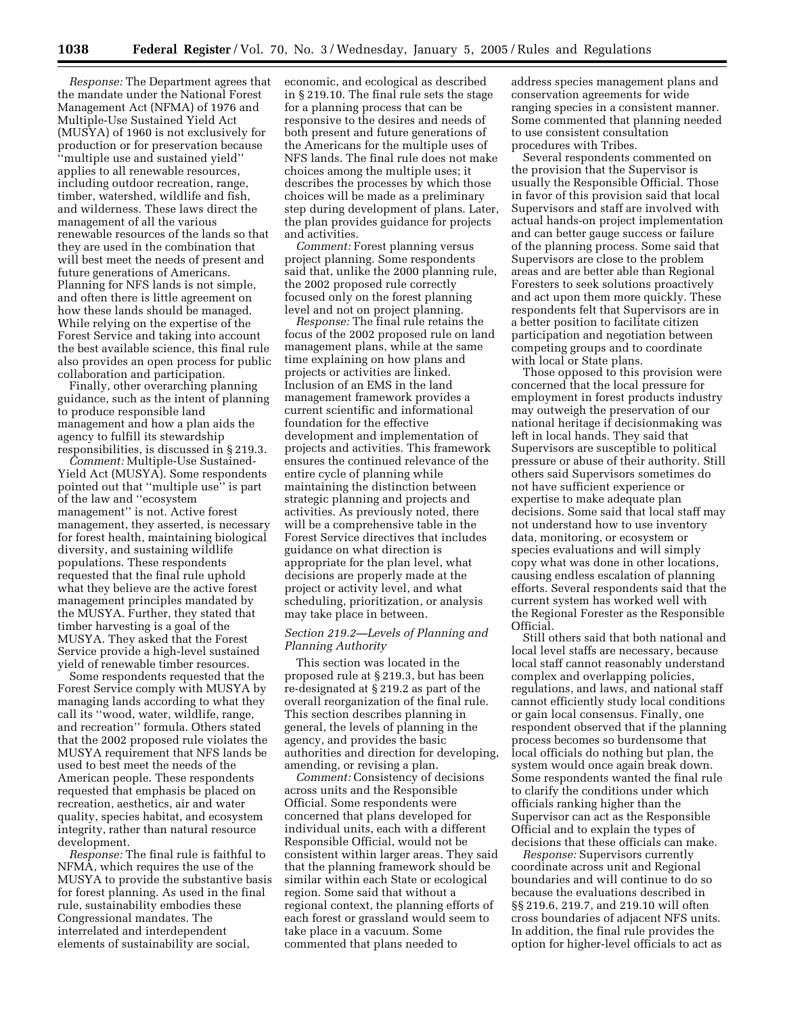*Response:* The Department agrees that the mandate under the National Forest Management Act (NFMA) of 1976 and Multiple-Use Sustained Yield Act (MUSYA) of 1960 is not exclusively for production or for preservation because ''multiple use and sustained yield'' applies to all renewable resources, including outdoor recreation, range, timber, watershed, wildlife and fish, and wilderness. These laws direct the management of all the various renewable resources of the lands so that they are used in the combination that will best meet the needs of present and future generations of Americans. Planning for NFS lands is not simple, and often there is little agreement on how these lands should be managed. While relying on the expertise of the Forest Service and taking into account the best available science, this final rule also provides an open process for public collaboration and participation.

Finally, other overarching planning guidance, such as the intent of planning to produce responsible land management and how a plan aids the agency to fulfill its stewardship responsibilities, is discussed in § 219.3.

*Comment:* Multiple-Use Sustained-Yield Act (MUSYA). Some respondents pointed out that ''multiple use'' is part of the law and ''ecosystem management'' is not. Active forest management, they asserted, is necessary for forest health, maintaining biological diversity, and sustaining wildlife populations. These respondents requested that the final rule uphold what they believe are the active forest management principles mandated by the MUSYA. Further, they stated that timber harvesting is a goal of the MUSYA. They asked that the Forest Service provide a high-level sustained yield of renewable timber resources.

Some respondents requested that the Forest Service comply with MUSYA by managing lands according to what they call its ''wood, water, wildlife, range, and recreation'' formula. Others stated that the 2002 proposed rule violates the MUSYA requirement that NFS lands be used to best meet the needs of the American people. These respondents requested that emphasis be placed on recreation, aesthetics, air and water quality, species habitat, and ecosystem integrity, rather than natural resource development.

*Response:* The final rule is faithful to NFMA, which requires the use of the MUSYA to provide the substantive basis for forest planning. As used in the final rule, sustainability embodies these Congressional mandates. The interrelated and interdependent elements of sustainability are social,

economic, and ecological as described in § 219.10. The final rule sets the stage for a planning process that can be responsive to the desires and needs of both present and future generations of the Americans for the multiple uses of NFS lands. The final rule does not make choices among the multiple uses; it describes the processes by which those choices will be made as a preliminary step during development of plans. Later, the plan provides guidance for projects and activities.

*Comment:* Forest planning versus project planning. Some respondents said that, unlike the 2000 planning rule, the 2002 proposed rule correctly focused only on the forest planning level and not on project planning.

*Response:* The final rule retains the focus of the 2002 proposed rule on land management plans, while at the same time explaining on how plans and projects or activities are linked. Inclusion of an EMS in the land management framework provides a current scientific and informational foundation for the effective development and implementation of projects and activities. This framework ensures the continued relevance of the entire cycle of planning while maintaining the distinction between strategic planning and projects and activities. As previously noted, there will be a comprehensive table in the Forest Service directives that includes guidance on what direction is appropriate for the plan level, what decisions are properly made at the project or activity level, and what scheduling, prioritization, or analysis may take place in between.

## *Section 219.2—Levels of Planning and Planning Authority*

This section was located in the proposed rule at § 219.3, but has been re-designated at § 219.2 as part of the overall reorganization of the final rule. This section describes planning in general, the levels of planning in the agency, and provides the basic authorities and direction for developing, amending, or revising a plan.

*Comment:* Consistency of decisions across units and the Responsible Official. Some respondents were concerned that plans developed for individual units, each with a different Responsible Official, would not be consistent within larger areas. They said that the planning framework should be similar within each State or ecological region. Some said that without a regional context, the planning efforts of each forest or grassland would seem to take place in a vacuum. Some commented that plans needed to

address species management plans and conservation agreements for wide ranging species in a consistent manner. Some commented that planning needed to use consistent consultation procedures with Tribes.

Several respondents commented on the provision that the Supervisor is usually the Responsible Official. Those in favor of this provision said that local Supervisors and staff are involved with actual hands-on project implementation and can better gauge success or failure of the planning process. Some said that Supervisors are close to the problem areas and are better able than Regional Foresters to seek solutions proactively and act upon them more quickly. These respondents felt that Supervisors are in a better position to facilitate citizen participation and negotiation between competing groups and to coordinate with local or State plans.

Those opposed to this provision were concerned that the local pressure for employment in forest products industry may outweigh the preservation of our national heritage if decisionmaking was left in local hands. They said that Supervisors are susceptible to political pressure or abuse of their authority. Still others said Supervisors sometimes do not have sufficient experience or expertise to make adequate plan decisions. Some said that local staff may not understand how to use inventory data, monitoring, or ecosystem or species evaluations and will simply copy what was done in other locations, causing endless escalation of planning efforts. Several respondents said that the current system has worked well with the Regional Forester as the Responsible Official.

Still others said that both national and local level staffs are necessary, because local staff cannot reasonably understand complex and overlapping policies, regulations, and laws, and national staff cannot efficiently study local conditions or gain local consensus. Finally, one respondent observed that if the planning process becomes so burdensome that local officials do nothing but plan, the system would once again break down. Some respondents wanted the final rule to clarify the conditions under which officials ranking higher than the Supervisor can act as the Responsible Official and to explain the types of decisions that these officials can make.

*Response:* Supervisors currently coordinate across unit and Regional boundaries and will continue to do so because the evaluations described in §§ 219.6, 219.7, and 219.10 will often cross boundaries of adjacent NFS units. In addition, the final rule provides the option for higher-level officials to act as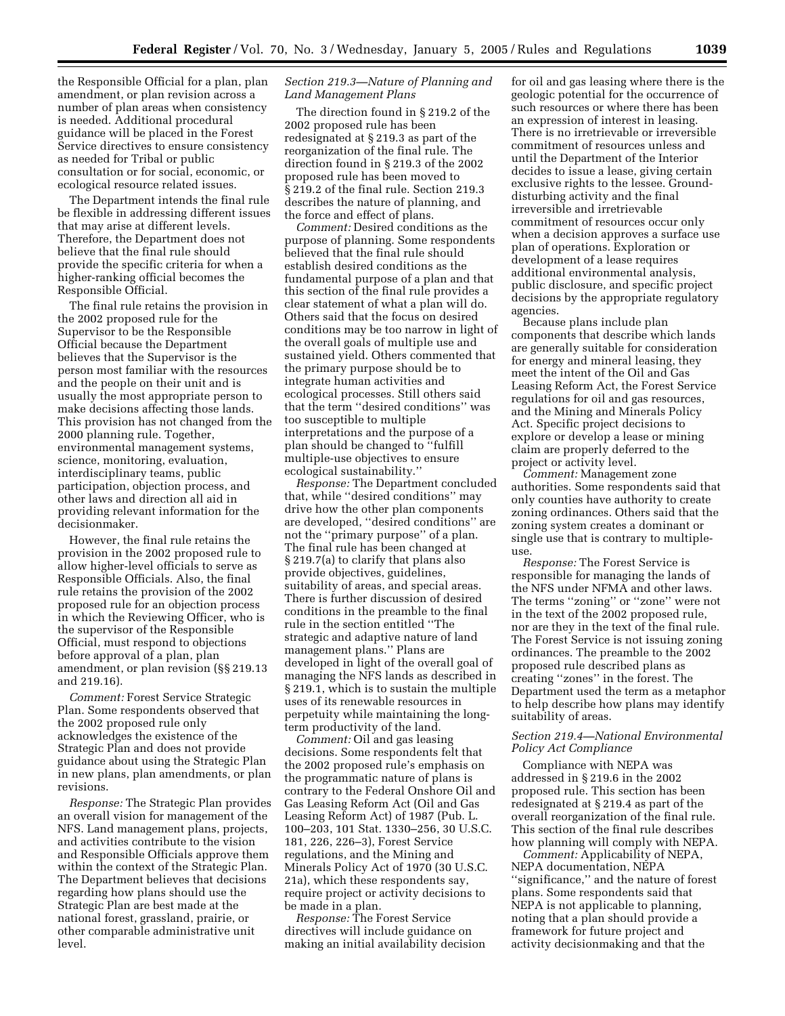the Responsible Official for a plan, plan amendment, or plan revision across a number of plan areas when consistency is needed. Additional procedural guidance will be placed in the Forest Service directives to ensure consistency as needed for Tribal or public consultation or for social, economic, or ecological resource related issues.

The Department intends the final rule be flexible in addressing different issues that may arise at different levels. Therefore, the Department does not believe that the final rule should provide the specific criteria for when a higher-ranking official becomes the Responsible Official.

The final rule retains the provision in the 2002 proposed rule for the Supervisor to be the Responsible Official because the Department believes that the Supervisor is the person most familiar with the resources and the people on their unit and is usually the most appropriate person to make decisions affecting those lands. This provision has not changed from the 2000 planning rule. Together, environmental management systems, science, monitoring, evaluation, interdisciplinary teams, public participation, objection process, and other laws and direction all aid in providing relevant information for the decisionmaker.

However, the final rule retains the provision in the 2002 proposed rule to allow higher-level officials to serve as Responsible Officials. Also, the final rule retains the provision of the 2002 proposed rule for an objection process in which the Reviewing Officer, who is the supervisor of the Responsible Official, must respond to objections before approval of a plan, plan amendment, or plan revision (§§ 219.13 and 219.16).

*Comment:* Forest Service Strategic Plan. Some respondents observed that the 2002 proposed rule only acknowledges the existence of the Strategic Plan and does not provide guidance about using the Strategic Plan in new plans, plan amendments, or plan revisions.

*Response:* The Strategic Plan provides an overall vision for management of the NFS. Land management plans, projects, and activities contribute to the vision and Responsible Officials approve them within the context of the Strategic Plan. The Department believes that decisions regarding how plans should use the Strategic Plan are best made at the national forest, grassland, prairie, or other comparable administrative unit level.

# *Section 219.3—Nature of Planning and Land Management Plans*

The direction found in § 219.2 of the 2002 proposed rule has been redesignated at § 219.3 as part of the reorganization of the final rule. The direction found in § 219.3 of the 2002 proposed rule has been moved to § 219.2 of the final rule. Section 219.3 describes the nature of planning, and the force and effect of plans.

*Comment:* Desired conditions as the purpose of planning. Some respondents believed that the final rule should establish desired conditions as the fundamental purpose of a plan and that this section of the final rule provides a clear statement of what a plan will do. Others said that the focus on desired conditions may be too narrow in light of the overall goals of multiple use and sustained yield. Others commented that the primary purpose should be to integrate human activities and ecological processes. Still others said that the term ''desired conditions'' was too susceptible to multiple interpretations and the purpose of a plan should be changed to ''fulfill multiple-use objectives to ensure ecological sustainability.''

*Response:* The Department concluded that, while ''desired conditions'' may drive how the other plan components are developed, ''desired conditions'' are not the ''primary purpose'' of a plan. The final rule has been changed at § 219.7(a) to clarify that plans also provide objectives, guidelines, suitability of areas, and special areas. There is further discussion of desired conditions in the preamble to the final rule in the section entitled ''The strategic and adaptive nature of land management plans.'' Plans are developed in light of the overall goal of managing the NFS lands as described in § 219.1, which is to sustain the multiple uses of its renewable resources in perpetuity while maintaining the longterm productivity of the land.

*Comment:* Oil and gas leasing decisions. Some respondents felt that the 2002 proposed rule's emphasis on the programmatic nature of plans is contrary to the Federal Onshore Oil and Gas Leasing Reform Act (Oil and Gas Leasing Reform Act) of 1987 (Pub. L. 100–203, 101 Stat. 1330–256, 30 U.S.C. 181, 226, 226–3), Forest Service regulations, and the Mining and Minerals Policy Act of 1970 (30 U.S.C. 21a), which these respondents say, require project or activity decisions to be made in a plan.

*Response:* The Forest Service directives will include guidance on making an initial availability decision

for oil and gas leasing where there is the geologic potential for the occurrence of such resources or where there has been an expression of interest in leasing. There is no irretrievable or irreversible commitment of resources unless and until the Department of the Interior decides to issue a lease, giving certain exclusive rights to the lessee. Grounddisturbing activity and the final irreversible and irretrievable commitment of resources occur only when a decision approves a surface use plan of operations. Exploration or development of a lease requires additional environmental analysis, public disclosure, and specific project decisions by the appropriate regulatory agencies.

Because plans include plan components that describe which lands are generally suitable for consideration for energy and mineral leasing, they meet the intent of the Oil and Gas Leasing Reform Act, the Forest Service regulations for oil and gas resources, and the Mining and Minerals Policy Act. Specific project decisions to explore or develop a lease or mining claim are properly deferred to the project or activity level.

*Comment:* Management zone authorities. Some respondents said that only counties have authority to create zoning ordinances. Others said that the zoning system creates a dominant or single use that is contrary to multipleuse.

*Response:* The Forest Service is responsible for managing the lands of the NFS under NFMA and other laws. The terms ''zoning'' or ''zone'' were not in the text of the 2002 proposed rule, nor are they in the text of the final rule. The Forest Service is not issuing zoning ordinances. The preamble to the 2002 proposed rule described plans as creating ''zones'' in the forest. The Department used the term as a metaphor to help describe how plans may identify suitability of areas.

# *Section 219.4—National Environmental Policy Act Compliance*

Compliance with NEPA was addressed in § 219.6 in the 2002 proposed rule. This section has been redesignated at § 219.4 as part of the overall reorganization of the final rule. This section of the final rule describes how planning will comply with NEPA.

*Comment:* Applicability of NEPA, NEPA documentation, NEPA ''significance,'' and the nature of forest plans. Some respondents said that NEPA is not applicable to planning, noting that a plan should provide a framework for future project and activity decisionmaking and that the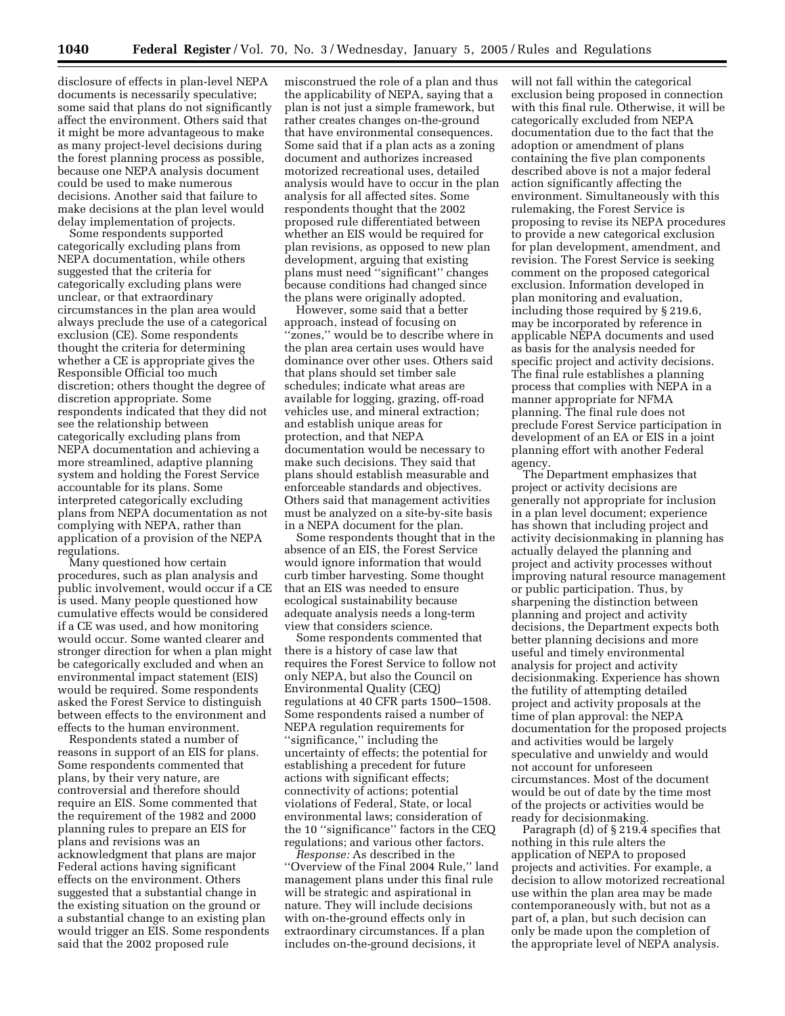disclosure of effects in plan-level NEPA documents is necessarily speculative; some said that plans do not significantly affect the environment. Others said that it might be more advantageous to make as many project-level decisions during the forest planning process as possible, because one NEPA analysis document could be used to make numerous decisions. Another said that failure to make decisions at the plan level would delay implementation of projects.

Some respondents supported categorically excluding plans from NEPA documentation, while others suggested that the criteria for categorically excluding plans were unclear, or that extraordinary circumstances in the plan area would always preclude the use of a categorical exclusion (CE). Some respondents thought the criteria for determining whether a CE is appropriate gives the Responsible Official too much discretion; others thought the degree of discretion appropriate. Some respondents indicated that they did not see the relationship between categorically excluding plans from NEPA documentation and achieving a more streamlined, adaptive planning system and holding the Forest Service accountable for its plans. Some interpreted categorically excluding plans from NEPA documentation as not complying with NEPA, rather than application of a provision of the NEPA regulations.

Many questioned how certain procedures, such as plan analysis and public involvement, would occur if a CE is used. Many people questioned how cumulative effects would be considered if a CE was used, and how monitoring would occur. Some wanted clearer and stronger direction for when a plan might be categorically excluded and when an environmental impact statement (EIS) would be required. Some respondents asked the Forest Service to distinguish between effects to the environment and effects to the human environment.

Respondents stated a number of reasons in support of an EIS for plans. Some respondents commented that plans, by their very nature, are controversial and therefore should require an EIS. Some commented that the requirement of the 1982 and 2000 planning rules to prepare an EIS for plans and revisions was an acknowledgment that plans are major Federal actions having significant effects on the environment. Others suggested that a substantial change in the existing situation on the ground or a substantial change to an existing plan would trigger an EIS. Some respondents said that the 2002 proposed rule

misconstrued the role of a plan and thus the applicability of NEPA, saying that a plan is not just a simple framework, but rather creates changes on-the-ground that have environmental consequences. Some said that if a plan acts as a zoning document and authorizes increased motorized recreational uses, detailed analysis would have to occur in the plan analysis for all affected sites. Some respondents thought that the 2002 proposed rule differentiated between whether an EIS would be required for plan revisions, as opposed to new plan development, arguing that existing plans must need ''significant'' changes because conditions had changed since the plans were originally adopted.

However, some said that a better approach, instead of focusing on ''zones,'' would be to describe where in the plan area certain uses would have dominance over other uses. Others said that plans should set timber sale schedules; indicate what areas are available for logging, grazing, off-road vehicles use, and mineral extraction; and establish unique areas for protection, and that NEPA documentation would be necessary to make such decisions. They said that plans should establish measurable and enforceable standards and objectives. Others said that management activities must be analyzed on a site-by-site basis in a NEPA document for the plan.

Some respondents thought that in the absence of an EIS, the Forest Service would ignore information that would curb timber harvesting. Some thought that an EIS was needed to ensure ecological sustainability because adequate analysis needs a long-term view that considers science.

Some respondents commented that there is a history of case law that requires the Forest Service to follow not only NEPA, but also the Council on Environmental Quality (CEQ) regulations at 40 CFR parts 1500–1508. Some respondents raised a number of NEPA regulation requirements for ''significance,'' including the uncertainty of effects; the potential for establishing a precedent for future actions with significant effects; connectivity of actions; potential violations of Federal, State, or local environmental laws; consideration of the 10 ''significance'' factors in the CEQ regulations; and various other factors.

*Response:* As described in the ''Overview of the Final 2004 Rule,'' land management plans under this final rule will be strategic and aspirational in nature. They will include decisions with on-the-ground effects only in extraordinary circumstances. If a plan includes on-the-ground decisions, it

will not fall within the categorical exclusion being proposed in connection with this final rule. Otherwise, it will be categorically excluded from NEPA documentation due to the fact that the adoption or amendment of plans containing the five plan components described above is not a major federal action significantly affecting the environment. Simultaneously with this rulemaking, the Forest Service is proposing to revise its NEPA procedures to provide a new categorical exclusion for plan development, amendment, and revision. The Forest Service is seeking comment on the proposed categorical exclusion. Information developed in plan monitoring and evaluation, including those required by § 219.6, may be incorporated by reference in applicable NEPA documents and used as basis for the analysis needed for specific project and activity decisions. The final rule establishes a planning process that complies with NEPA in a manner appropriate for NFMA planning. The final rule does not preclude Forest Service participation in development of an EA or EIS in a joint planning effort with another Federal agency.

The Department emphasizes that project or activity decisions are generally not appropriate for inclusion in a plan level document; experience has shown that including project and activity decisionmaking in planning has actually delayed the planning and project and activity processes without improving natural resource management or public participation. Thus, by sharpening the distinction between planning and project and activity decisions, the Department expects both better planning decisions and more useful and timely environmental analysis for project and activity decisionmaking. Experience has shown the futility of attempting detailed project and activity proposals at the time of plan approval: the NEPA documentation for the proposed projects and activities would be largely speculative and unwieldy and would not account for unforeseen circumstances. Most of the document would be out of date by the time most of the projects or activities would be ready for decisionmaking.

Paragraph (d) of § 219.4 specifies that nothing in this rule alters the application of NEPA to proposed projects and activities. For example, a decision to allow motorized recreational use within the plan area may be made contemporaneously with, but not as a part of, a plan, but such decision can only be made upon the completion of the appropriate level of NEPA analysis.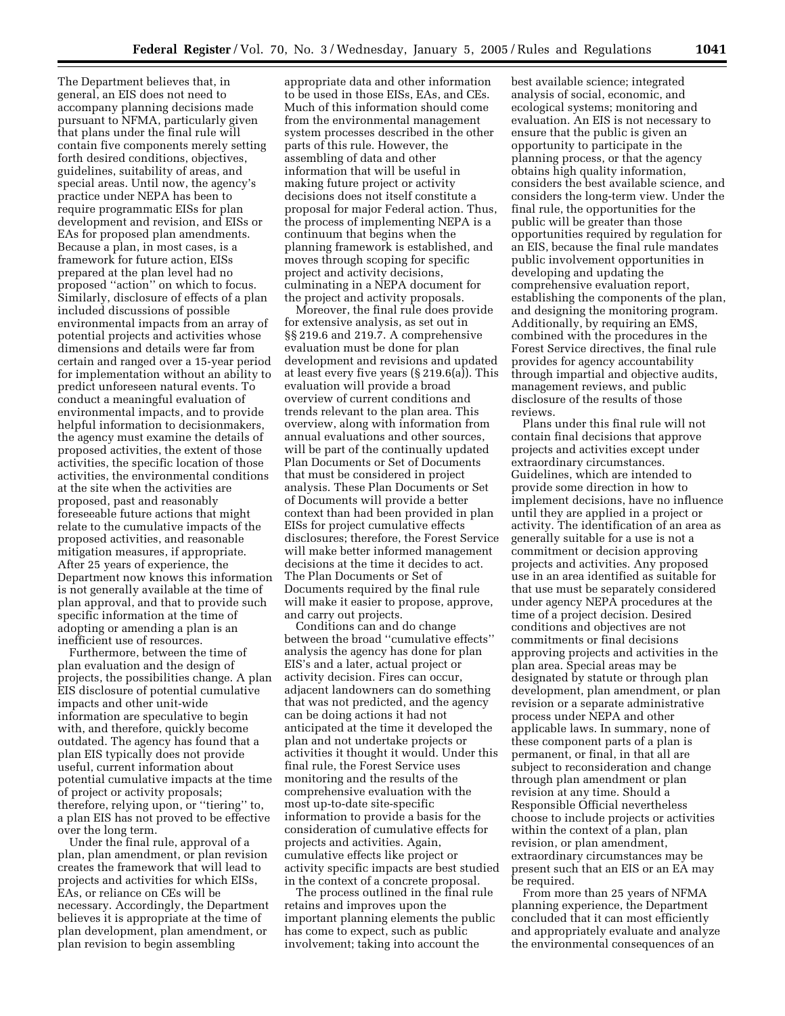The Department believes that, in general, an EIS does not need to accompany planning decisions made pursuant to NFMA, particularly given that plans under the final rule will contain five components merely setting forth desired conditions, objectives, guidelines, suitability of areas, and special areas. Until now, the agency's practice under NEPA has been to require programmatic EISs for plan development and revision, and EISs or EAs for proposed plan amendments. Because a plan, in most cases, is a framework for future action, EISs prepared at the plan level had no proposed ''action'' on which to focus. Similarly, disclosure of effects of a plan included discussions of possible environmental impacts from an array of potential projects and activities whose dimensions and details were far from certain and ranged over a 15-year period for implementation without an ability to predict unforeseen natural events. To conduct a meaningful evaluation of environmental impacts, and to provide helpful information to decisionmakers, the agency must examine the details of proposed activities, the extent of those activities, the specific location of those activities, the environmental conditions at the site when the activities are proposed, past and reasonably foreseeable future actions that might relate to the cumulative impacts of the proposed activities, and reasonable mitigation measures, if appropriate. After 25 years of experience, the Department now knows this information is not generally available at the time of plan approval, and that to provide such specific information at the time of adopting or amending a plan is an inefficient use of resources.

Furthermore, between the time of plan evaluation and the design of projects, the possibilities change. A plan EIS disclosure of potential cumulative impacts and other unit-wide information are speculative to begin with, and therefore, quickly become outdated. The agency has found that a plan EIS typically does not provide useful, current information about potential cumulative impacts at the time of project or activity proposals; therefore, relying upon, or ''tiering'' to, a plan EIS has not proved to be effective over the long term.

Under the final rule, approval of a plan, plan amendment, or plan revision creates the framework that will lead to projects and activities for which EISs, EAs, or reliance on CEs will be necessary. Accordingly, the Department believes it is appropriate at the time of plan development, plan amendment, or plan revision to begin assembling

appropriate data and other information to be used in those EISs, EAs, and CEs. Much of this information should come from the environmental management system processes described in the other parts of this rule. However, the assembling of data and other information that will be useful in making future project or activity decisions does not itself constitute a proposal for major Federal action. Thus, the process of implementing NEPA is a continuum that begins when the planning framework is established, and moves through scoping for specific project and activity decisions, culminating in a NEPA document for the project and activity proposals.

Moreover, the final rule does provide for extensive analysis, as set out in §§ 219.6 and 219.7. A comprehensive evaluation must be done for plan development and revisions and updated at least every five years (§ 219.6(a)). This evaluation will provide a broad overview of current conditions and trends relevant to the plan area. This overview, along with information from annual evaluations and other sources, will be part of the continually updated Plan Documents or Set of Documents that must be considered in project analysis. These Plan Documents or Set of Documents will provide a better context than had been provided in plan EISs for project cumulative effects disclosures; therefore, the Forest Service will make better informed management decisions at the time it decides to act. The Plan Documents or Set of Documents required by the final rule will make it easier to propose, approve, and carry out projects.

Conditions can and do change between the broad ''cumulative effects'' analysis the agency has done for plan EIS's and a later, actual project or activity decision. Fires can occur, adjacent landowners can do something that was not predicted, and the agency can be doing actions it had not anticipated at the time it developed the plan and not undertake projects or activities it thought it would. Under this final rule, the Forest Service uses monitoring and the results of the comprehensive evaluation with the most up-to-date site-specific information to provide a basis for the consideration of cumulative effects for projects and activities. Again, cumulative effects like project or activity specific impacts are best studied in the context of a concrete proposal.

The process outlined in the final rule retains and improves upon the important planning elements the public has come to expect, such as public involvement; taking into account the

best available science; integrated analysis of social, economic, and ecological systems; monitoring and evaluation. An EIS is not necessary to ensure that the public is given an opportunity to participate in the planning process, or that the agency obtains high quality information, considers the best available science, and considers the long-term view. Under the final rule, the opportunities for the public will be greater than those opportunities required by regulation for an EIS, because the final rule mandates public involvement opportunities in developing and updating the comprehensive evaluation report, establishing the components of the plan, and designing the monitoring program. Additionally, by requiring an EMS, combined with the procedures in the Forest Service directives, the final rule provides for agency accountability through impartial and objective audits, management reviews, and public disclosure of the results of those reviews.

Plans under this final rule will not contain final decisions that approve projects and activities except under extraordinary circumstances. Guidelines, which are intended to provide some direction in how to implement decisions, have no influence until they are applied in a project or activity. The identification of an area as generally suitable for a use is not a commitment or decision approving projects and activities. Any proposed use in an area identified as suitable for that use must be separately considered under agency NEPA procedures at the time of a project decision. Desired conditions and objectives are not commitments or final decisions approving projects and activities in the plan area. Special areas may be designated by statute or through plan development, plan amendment, or plan revision or a separate administrative process under NEPA and other applicable laws. In summary, none of these component parts of a plan is permanent, or final, in that all are subject to reconsideration and change through plan amendment or plan revision at any time. Should a Responsible Official nevertheless choose to include projects or activities within the context of a plan, plan revision, or plan amendment, extraordinary circumstances may be present such that an EIS or an EA may be required.

From more than 25 years of NFMA planning experience, the Department concluded that it can most efficiently and appropriately evaluate and analyze the environmental consequences of an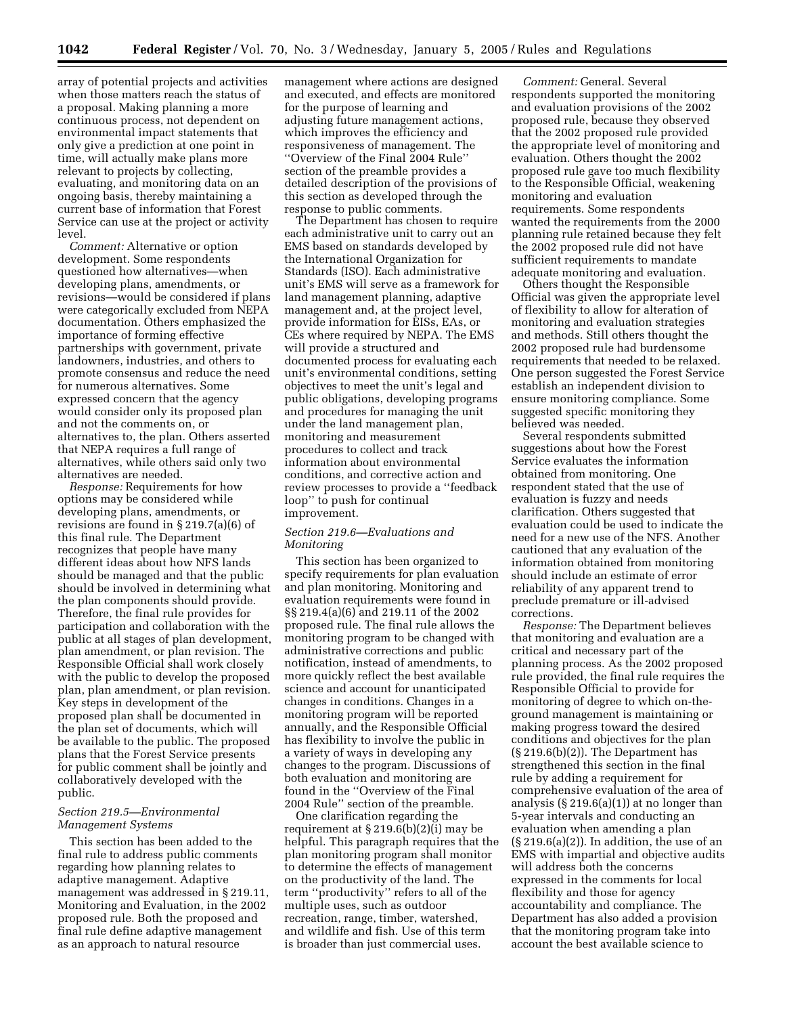array of potential projects and activities when those matters reach the status of a proposal. Making planning a more continuous process, not dependent on environmental impact statements that only give a prediction at one point in time, will actually make plans more relevant to projects by collecting, evaluating, and monitoring data on an ongoing basis, thereby maintaining a current base of information that Forest Service can use at the project or activity level.

*Comment:* Alternative or option development. Some respondents questioned how alternatives—when developing plans, amendments, or revisions—would be considered if plans were categorically excluded from NEPA documentation. Others emphasized the importance of forming effective partnerships with government, private landowners, industries, and others to promote consensus and reduce the need for numerous alternatives. Some expressed concern that the agency would consider only its proposed plan and not the comments on, or alternatives to, the plan. Others asserted that NEPA requires a full range of alternatives, while others said only two alternatives are needed.

*Response:* Requirements for how options may be considered while developing plans, amendments, or revisions are found in § 219.7(a)(6) of this final rule. The Department recognizes that people have many different ideas about how NFS lands should be managed and that the public should be involved in determining what the plan components should provide. Therefore, the final rule provides for participation and collaboration with the public at all stages of plan development, plan amendment, or plan revision. The Responsible Official shall work closely with the public to develop the proposed plan, plan amendment, or plan revision. Key steps in development of the proposed plan shall be documented in the plan set of documents, which will be available to the public. The proposed plans that the Forest Service presents for public comment shall be jointly and collaboratively developed with the public.

## *Section 219.5—Environmental Management Systems*

This section has been added to the final rule to address public comments regarding how planning relates to adaptive management. Adaptive management was addressed in § 219.11, Monitoring and Evaluation, in the 2002 proposed rule. Both the proposed and final rule define adaptive management as an approach to natural resource

management where actions are designed and executed, and effects are monitored for the purpose of learning and adjusting future management actions, which improves the efficiency and responsiveness of management. The ''Overview of the Final 2004 Rule'' section of the preamble provides a detailed description of the provisions of this section as developed through the response to public comments.

The Department has chosen to require each administrative unit to carry out an EMS based on standards developed by the International Organization for Standards (ISO). Each administrative unit's EMS will serve as a framework for land management planning, adaptive management and, at the project level, provide information for EISs, EAs, or CEs where required by NEPA. The EMS will provide a structured and documented process for evaluating each unit's environmental conditions, setting objectives to meet the unit's legal and public obligations, developing programs and procedures for managing the unit under the land management plan, monitoring and measurement procedures to collect and track information about environmental conditions, and corrective action and review processes to provide a ''feedback loop'' to push for continual improvement.

# *Section 219.6—Evaluations and Monitoring*

This section has been organized to specify requirements for plan evaluation and plan monitoring. Monitoring and evaluation requirements were found in §§ 219.4(a)(6) and 219.11 of the 2002 proposed rule. The final rule allows the monitoring program to be changed with administrative corrections and public notification, instead of amendments, to more quickly reflect the best available science and account for unanticipated changes in conditions. Changes in a monitoring program will be reported annually, and the Responsible Official has flexibility to involve the public in a variety of ways in developing any changes to the program. Discussions of both evaluation and monitoring are found in the ''Overview of the Final 2004 Rule'' section of the preamble.

One clarification regarding the requirement at § 219.6(b)(2)(i) may be helpful. This paragraph requires that the plan monitoring program shall monitor to determine the effects of management on the productivity of the land. The term ''productivity'' refers to all of the multiple uses, such as outdoor recreation, range, timber, watershed, and wildlife and fish. Use of this term is broader than just commercial uses.

*Comment:* General. Several respondents supported the monitoring and evaluation provisions of the 2002 proposed rule, because they observed that the 2002 proposed rule provided the appropriate level of monitoring and evaluation. Others thought the 2002 proposed rule gave too much flexibility to the Responsible Official, weakening monitoring and evaluation requirements. Some respondents wanted the requirements from the 2000 planning rule retained because they felt the 2002 proposed rule did not have sufficient requirements to mandate adequate monitoring and evaluation.

Others thought the Responsible Official was given the appropriate level of flexibility to allow for alteration of monitoring and evaluation strategies and methods. Still others thought the 2002 proposed rule had burdensome requirements that needed to be relaxed. One person suggested the Forest Service establish an independent division to ensure monitoring compliance. Some suggested specific monitoring they believed was needed.

Several respondents submitted suggestions about how the Forest Service evaluates the information obtained from monitoring. One respondent stated that the use of evaluation is fuzzy and needs clarification. Others suggested that evaluation could be used to indicate the need for a new use of the NFS. Another cautioned that any evaluation of the information obtained from monitoring should include an estimate of error reliability of any apparent trend to preclude premature or ill-advised corrections.

*Response:* The Department believes that monitoring and evaluation are a critical and necessary part of the planning process. As the 2002 proposed rule provided, the final rule requires the Responsible Official to provide for monitoring of degree to which on-theground management is maintaining or making progress toward the desired conditions and objectives for the plan (§ 219.6(b)(2)). The Department has strengthened this section in the final rule by adding a requirement for comprehensive evaluation of the area of analysis  $(\S 219.6(a)(1))$  at no longer than 5-year intervals and conducting an evaluation when amending a plan  $(\S 219.6(a)(2))$ . In addition, the use of an EMS with impartial and objective audits will address both the concerns expressed in the comments for local flexibility and those for agency accountability and compliance. The Department has also added a provision that the monitoring program take into account the best available science to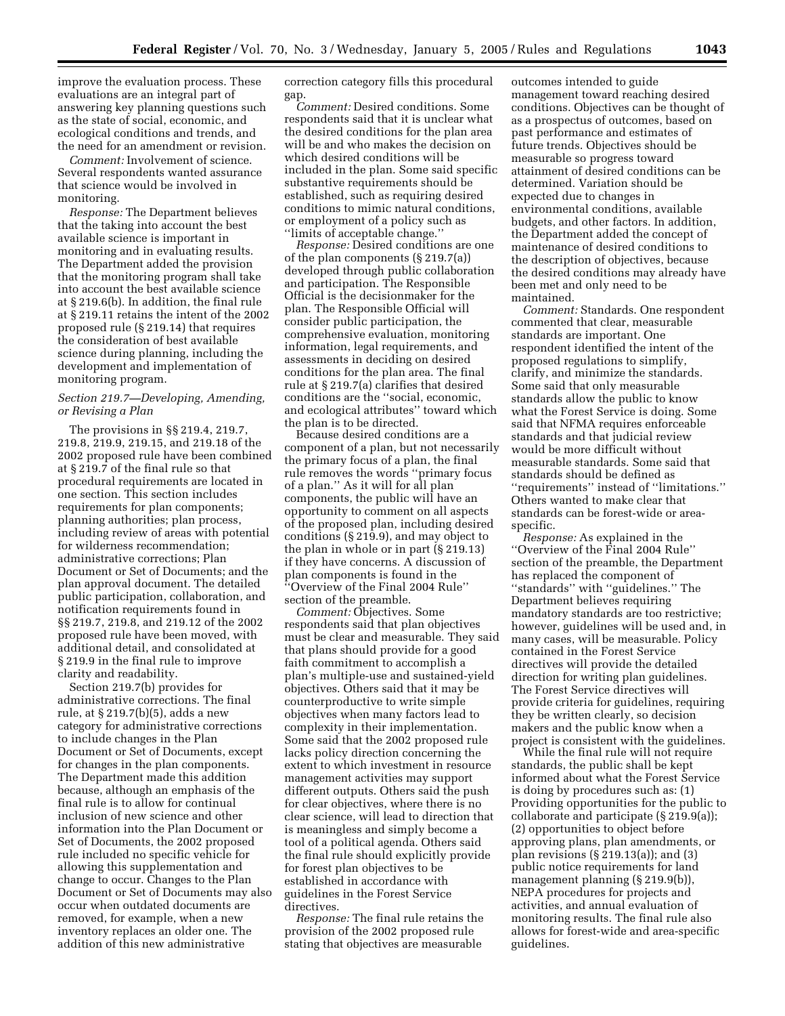improve the evaluation process. These evaluations are an integral part of answering key planning questions such as the state of social, economic, and ecological conditions and trends, and the need for an amendment or revision.

*Comment:* Involvement of science. Several respondents wanted assurance that science would be involved in monitoring.

*Response:* The Department believes that the taking into account the best available science is important in monitoring and in evaluating results. The Department added the provision that the monitoring program shall take into account the best available science at § 219.6(b). In addition, the final rule at § 219.11 retains the intent of the 2002 proposed rule (§ 219.14) that requires the consideration of best available science during planning, including the development and implementation of monitoring program.

# *Section 219.7—Developing, Amending, or Revising a Plan*

The provisions in §§ 219.4, 219.7, 219.8, 219.9, 219.15, and 219.18 of the 2002 proposed rule have been combined at § 219.7 of the final rule so that procedural requirements are located in one section. This section includes requirements for plan components; planning authorities; plan process, including review of areas with potential for wilderness recommendation; administrative corrections; Plan Document or Set of Documents; and the plan approval document. The detailed public participation, collaboration, and notification requirements found in §§ 219.7, 219.8, and 219.12 of the 2002 proposed rule have been moved, with additional detail, and consolidated at § 219.9 in the final rule to improve clarity and readability.

Section 219.7(b) provides for administrative corrections. The final rule, at § 219.7(b)(5), adds a new category for administrative corrections to include changes in the Plan Document or Set of Documents, except for changes in the plan components. The Department made this addition because, although an emphasis of the final rule is to allow for continual inclusion of new science and other information into the Plan Document or Set of Documents, the 2002 proposed rule included no specific vehicle for allowing this supplementation and change to occur. Changes to the Plan Document or Set of Documents may also occur when outdated documents are removed, for example, when a new inventory replaces an older one. The addition of this new administrative

correction category fills this procedural gap.

*Comment:* Desired conditions. Some respondents said that it is unclear what the desired conditions for the plan area will be and who makes the decision on which desired conditions will be included in the plan. Some said specific substantive requirements should be established, such as requiring desired conditions to mimic natural conditions, or employment of a policy such as ''limits of acceptable change.''

*Response:* Desired conditions are one of the plan components (§ 219.7(a)) developed through public collaboration and participation. The Responsible Official is the decisionmaker for the plan. The Responsible Official will consider public participation, the comprehensive evaluation, monitoring information, legal requirements, and assessments in deciding on desired conditions for the plan area. The final rule at § 219.7(a) clarifies that desired conditions are the ''social, economic, and ecological attributes'' toward which the plan is to be directed.

Because desired conditions are a component of a plan, but not necessarily the primary focus of a plan, the final rule removes the words ''primary focus of a plan.'' As it will for all plan components, the public will have an opportunity to comment on all aspects of the proposed plan, including desired conditions (§ 219.9), and may object to the plan in whole or in part (§ 219.13) if they have concerns. A discussion of plan components is found in the ''Overview of the Final 2004 Rule'' section of the preamble.

*Comment:* Objectives. Some respondents said that plan objectives must be clear and measurable. They said that plans should provide for a good faith commitment to accomplish a plan's multiple-use and sustained-yield objectives. Others said that it may be counterproductive to write simple objectives when many factors lead to complexity in their implementation. Some said that the 2002 proposed rule lacks policy direction concerning the extent to which investment in resource management activities may support different outputs. Others said the push for clear objectives, where there is no clear science, will lead to direction that is meaningless and simply become a tool of a political agenda. Others said the final rule should explicitly provide for forest plan objectives to be established in accordance with guidelines in the Forest Service directives.

*Response:* The final rule retains the provision of the 2002 proposed rule stating that objectives are measurable

outcomes intended to guide management toward reaching desired conditions. Objectives can be thought of as a prospectus of outcomes, based on past performance and estimates of future trends. Objectives should be measurable so progress toward attainment of desired conditions can be determined. Variation should be expected due to changes in environmental conditions, available budgets, and other factors. In addition, the Department added the concept of maintenance of desired conditions to the description of objectives, because the desired conditions may already have been met and only need to be maintained.

*Comment:* Standards. One respondent commented that clear, measurable standards are important. One respondent identified the intent of the proposed regulations to simplify, clarify, and minimize the standards. Some said that only measurable standards allow the public to know what the Forest Service is doing. Some said that NFMA requires enforceable standards and that judicial review would be more difficult without measurable standards. Some said that standards should be defined as ''requirements'' instead of ''limitations.'' Others wanted to make clear that standards can be forest-wide or areaspecific.

*Response:* As explained in the ''Overview of the Final 2004 Rule'' section of the preamble, the Department has replaced the component of ''standards'' with ''guidelines.'' The Department believes requiring mandatory standards are too restrictive; however, guidelines will be used and, in many cases, will be measurable. Policy contained in the Forest Service directives will provide the detailed direction for writing plan guidelines. The Forest Service directives will provide criteria for guidelines, requiring they be written clearly, so decision makers and the public know when a project is consistent with the guidelines.

While the final rule will not require standards, the public shall be kept informed about what the Forest Service is doing by procedures such as: (1) Providing opportunities for the public to collaborate and participate (§ 219.9(a)); (2) opportunities to object before approving plans, plan amendments, or plan revisions (§ 219.13(a)); and (3) public notice requirements for land management planning (§ 219.9(b)), NEPA procedures for projects and activities, and annual evaluation of monitoring results. The final rule also allows for forest-wide and area-specific guidelines.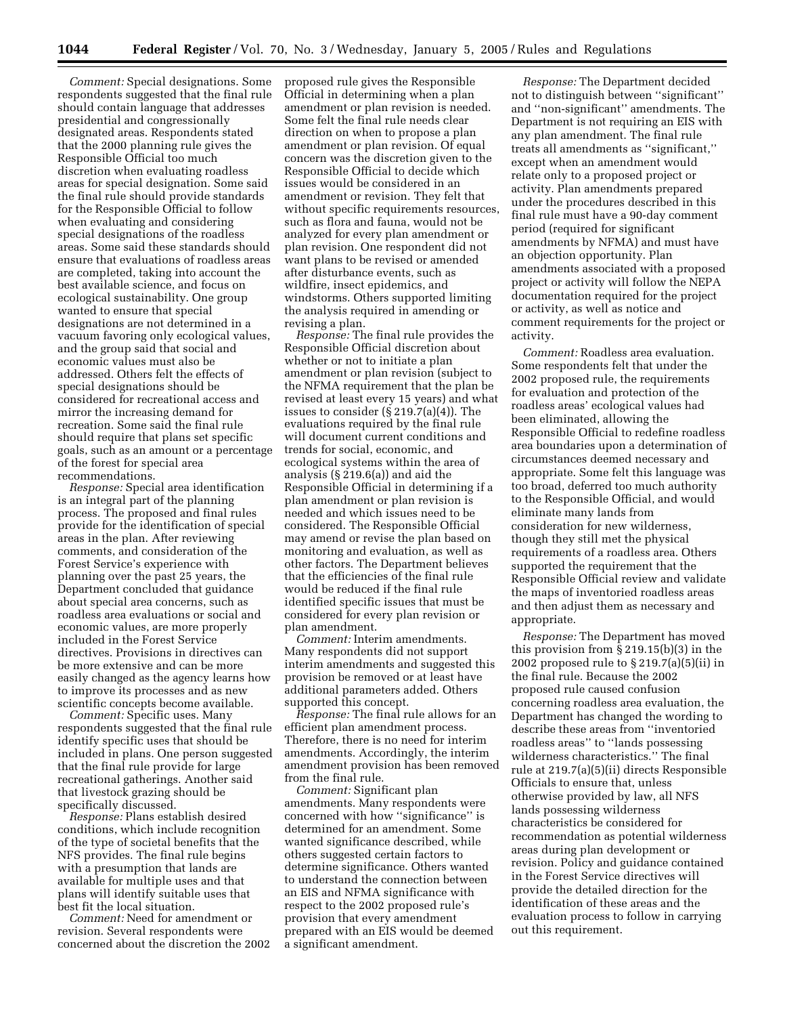*Comment:* Special designations. Some respondents suggested that the final rule should contain language that addresses presidential and congressionally designated areas. Respondents stated that the 2000 planning rule gives the Responsible Official too much discretion when evaluating roadless areas for special designation. Some said the final rule should provide standards for the Responsible Official to follow when evaluating and considering special designations of the roadless areas. Some said these standards should ensure that evaluations of roadless areas are completed, taking into account the best available science, and focus on ecological sustainability. One group wanted to ensure that special designations are not determined in a vacuum favoring only ecological values, and the group said that social and economic values must also be addressed. Others felt the effects of special designations should be considered for recreational access and mirror the increasing demand for recreation. Some said the final rule should require that plans set specific goals, such as an amount or a percentage of the forest for special area recommendations.

*Response:* Special area identification is an integral part of the planning process. The proposed and final rules provide for the identification of special areas in the plan. After reviewing comments, and consideration of the Forest Service's experience with planning over the past 25 years, the Department concluded that guidance about special area concerns, such as roadless area evaluations or social and economic values, are more properly included in the Forest Service directives. Provisions in directives can be more extensive and can be more easily changed as the agency learns how to improve its processes and as new scientific concepts become available.

*Comment:* Specific uses. Many respondents suggested that the final rule identify specific uses that should be included in plans. One person suggested that the final rule provide for large recreational gatherings. Another said that livestock grazing should be specifically discussed.

*Response:* Plans establish desired conditions, which include recognition of the type of societal benefits that the NFS provides. The final rule begins with a presumption that lands are available for multiple uses and that plans will identify suitable uses that best fit the local situation.

*Comment:* Need for amendment or revision. Several respondents were concerned about the discretion the 2002

proposed rule gives the Responsible Official in determining when a plan amendment or plan revision is needed. Some felt the final rule needs clear direction on when to propose a plan amendment or plan revision. Of equal concern was the discretion given to the Responsible Official to decide which issues would be considered in an amendment or revision. They felt that without specific requirements resources, such as flora and fauna, would not be analyzed for every plan amendment or plan revision. One respondent did not want plans to be revised or amended after disturbance events, such as wildfire, insect epidemics, and windstorms. Others supported limiting the analysis required in amending or revising a plan.

*Response:* The final rule provides the Responsible Official discretion about whether or not to initiate a plan amendment or plan revision (subject to the NFMA requirement that the plan be revised at least every 15 years) and what issues to consider (§ 219.7(a)(4)). The evaluations required by the final rule will document current conditions and trends for social, economic, and ecological systems within the area of analysis (§ 219.6(a)) and aid the Responsible Official in determining if a plan amendment or plan revision is needed and which issues need to be considered. The Responsible Official may amend or revise the plan based on monitoring and evaluation, as well as other factors. The Department believes that the efficiencies of the final rule would be reduced if the final rule identified specific issues that must be considered for every plan revision or plan amendment.

*Comment:* Interim amendments. Many respondents did not support interim amendments and suggested this provision be removed or at least have additional parameters added. Others supported this concept.

*Response:* The final rule allows for an efficient plan amendment process. Therefore, there is no need for interim amendments. Accordingly, the interim amendment provision has been removed from the final rule.

*Comment:* Significant plan amendments. Many respondents were concerned with how ''significance'' is determined for an amendment. Some wanted significance described, while others suggested certain factors to determine significance. Others wanted to understand the connection between an EIS and NFMA significance with respect to the 2002 proposed rule's provision that every amendment prepared with an EIS would be deemed a significant amendment.

*Response:* The Department decided not to distinguish between ''significant'' and ''non-significant'' amendments. The Department is not requiring an EIS with any plan amendment. The final rule treats all amendments as ''significant,'' except when an amendment would relate only to a proposed project or activity. Plan amendments prepared under the procedures described in this final rule must have a 90-day comment period (required for significant amendments by NFMA) and must have an objection opportunity. Plan amendments associated with a proposed project or activity will follow the NEPA documentation required for the project or activity, as well as notice and comment requirements for the project or activity.

*Comment:* Roadless area evaluation. Some respondents felt that under the 2002 proposed rule, the requirements for evaluation and protection of the roadless areas' ecological values had been eliminated, allowing the Responsible Official to redefine roadless area boundaries upon a determination of circumstances deemed necessary and appropriate. Some felt this language was too broad, deferred too much authority to the Responsible Official, and would eliminate many lands from consideration for new wilderness, though they still met the physical requirements of a roadless area. Others supported the requirement that the Responsible Official review and validate the maps of inventoried roadless areas and then adjust them as necessary and appropriate.

*Response:* The Department has moved this provision from § 219.15(b)(3) in the 2002 proposed rule to § 219.7(a)(5)(ii) in the final rule. Because the 2002 proposed rule caused confusion concerning roadless area evaluation, the Department has changed the wording to describe these areas from ''inventoried roadless areas'' to ''lands possessing wilderness characteristics.'' The final rule at 219.7(a)(5)(ii) directs Responsible Officials to ensure that, unless otherwise provided by law, all NFS lands possessing wilderness characteristics be considered for recommendation as potential wilderness areas during plan development or revision. Policy and guidance contained in the Forest Service directives will provide the detailed direction for the identification of these areas and the evaluation process to follow in carrying out this requirement.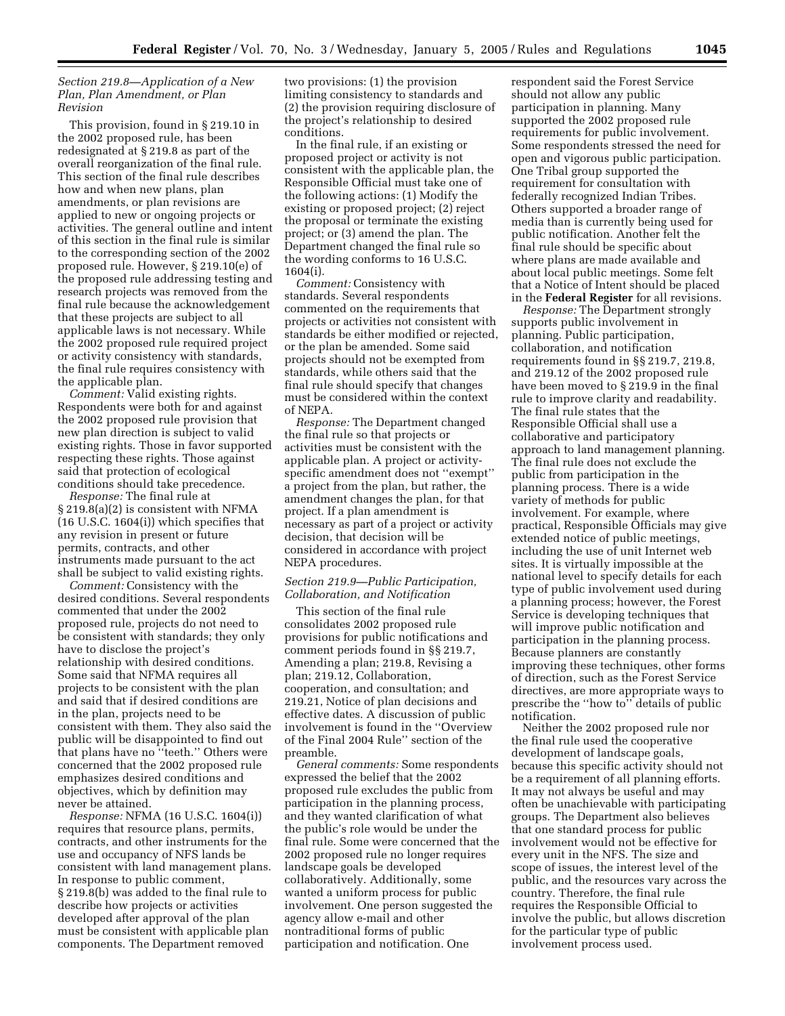# *Section 219.8—Application of a New Plan, Plan Amendment, or Plan Revision*

This provision, found in § 219.10 in the 2002 proposed rule, has been redesignated at § 219.8 as part of the overall reorganization of the final rule. This section of the final rule describes how and when new plans, plan amendments, or plan revisions are applied to new or ongoing projects or activities. The general outline and intent of this section in the final rule is similar to the corresponding section of the 2002 proposed rule. However, § 219.10(e) of the proposed rule addressing testing and research projects was removed from the final rule because the acknowledgement that these projects are subject to all applicable laws is not necessary. While the 2002 proposed rule required project or activity consistency with standards, the final rule requires consistency with the applicable plan.

*Comment:* Valid existing rights. Respondents were both for and against the 2002 proposed rule provision that new plan direction is subject to valid existing rights. Those in favor supported respecting these rights. Those against said that protection of ecological conditions should take precedence.

*Response:* The final rule at § 219.8(a)(2) is consistent with NFMA (16 U.S.C. 1604(i)) which specifies that any revision in present or future permits, contracts, and other instruments made pursuant to the act shall be subject to valid existing rights.

*Comment:* Consistency with the desired conditions. Several respondents commented that under the 2002 proposed rule, projects do not need to be consistent with standards; they only have to disclose the project's relationship with desired conditions. Some said that NFMA requires all projects to be consistent with the plan and said that if desired conditions are in the plan, projects need to be consistent with them. They also said the public will be disappointed to find out that plans have no ''teeth.'' Others were concerned that the 2002 proposed rule emphasizes desired conditions and objectives, which by definition may never be attained.

*Response:* NFMA (16 U.S.C. 1604(i)) requires that resource plans, permits, contracts, and other instruments for the use and occupancy of NFS lands be consistent with land management plans. In response to public comment, § 219.8(b) was added to the final rule to describe how projects or activities developed after approval of the plan must be consistent with applicable plan components. The Department removed

two provisions: (1) the provision limiting consistency to standards and (2) the provision requiring disclosure of the project's relationship to desired conditions.

In the final rule, if an existing or proposed project or activity is not consistent with the applicable plan, the Responsible Official must take one of the following actions: (1) Modify the existing or proposed project; (2) reject the proposal or terminate the existing project; or (3) amend the plan. The Department changed the final rule so the wording conforms to 16 U.S.C. 1604(i).

*Comment:* Consistency with standards. Several respondents commented on the requirements that projects or activities not consistent with standards be either modified or rejected, or the plan be amended. Some said projects should not be exempted from standards, while others said that the final rule should specify that changes must be considered within the context of NEPA.

*Response:* The Department changed the final rule so that projects or activities must be consistent with the applicable plan. A project or activityspecific amendment does not ''exempt'' a project from the plan, but rather, the amendment changes the plan, for that project. If a plan amendment is necessary as part of a project or activity decision, that decision will be considered in accordance with project NEPA procedures.

## *Section 219.9—Public Participation, Collaboration, and Notification*

This section of the final rule consolidates 2002 proposed rule provisions for public notifications and comment periods found in §§ 219.7, Amending a plan; 219.8, Revising a plan; 219.12, Collaboration, cooperation, and consultation; and 219.21, Notice of plan decisions and effective dates. A discussion of public involvement is found in the ''Overview of the Final 2004 Rule'' section of the preamble.

*General comments:* Some respondents expressed the belief that the 2002 proposed rule excludes the public from participation in the planning process, and they wanted clarification of what the public's role would be under the final rule. Some were concerned that the 2002 proposed rule no longer requires landscape goals be developed collaboratively. Additionally, some wanted a uniform process for public involvement. One person suggested the agency allow e-mail and other nontraditional forms of public participation and notification. One

respondent said the Forest Service should not allow any public participation in planning. Many supported the 2002 proposed rule requirements for public involvement. Some respondents stressed the need for open and vigorous public participation. One Tribal group supported the requirement for consultation with federally recognized Indian Tribes. Others supported a broader range of media than is currently being used for public notification. Another felt the final rule should be specific about where plans are made available and about local public meetings. Some felt that a Notice of Intent should be placed in the **Federal Register** for all revisions.

*Response:* The Department strongly supports public involvement in planning. Public participation, collaboration, and notification requirements found in §§ 219.7, 219.8, and 219.12 of the 2002 proposed rule have been moved to § 219.9 in the final rule to improve clarity and readability. The final rule states that the Responsible Official shall use a collaborative and participatory approach to land management planning. The final rule does not exclude the public from participation in the planning process. There is a wide variety of methods for public involvement. For example, where practical, Responsible Officials may give extended notice of public meetings, including the use of unit Internet web sites. It is virtually impossible at the national level to specify details for each type of public involvement used during a planning process; however, the Forest Service is developing techniques that will improve public notification and participation in the planning process. Because planners are constantly improving these techniques, other forms of direction, such as the Forest Service directives, are more appropriate ways to prescribe the ''how to'' details of public notification.

Neither the 2002 proposed rule nor the final rule used the cooperative development of landscape goals, because this specific activity should not be a requirement of all planning efforts. It may not always be useful and may often be unachievable with participating groups. The Department also believes that one standard process for public involvement would not be effective for every unit in the NFS. The size and scope of issues, the interest level of the public, and the resources vary across the country. Therefore, the final rule requires the Responsible Official to involve the public, but allows discretion for the particular type of public involvement process used.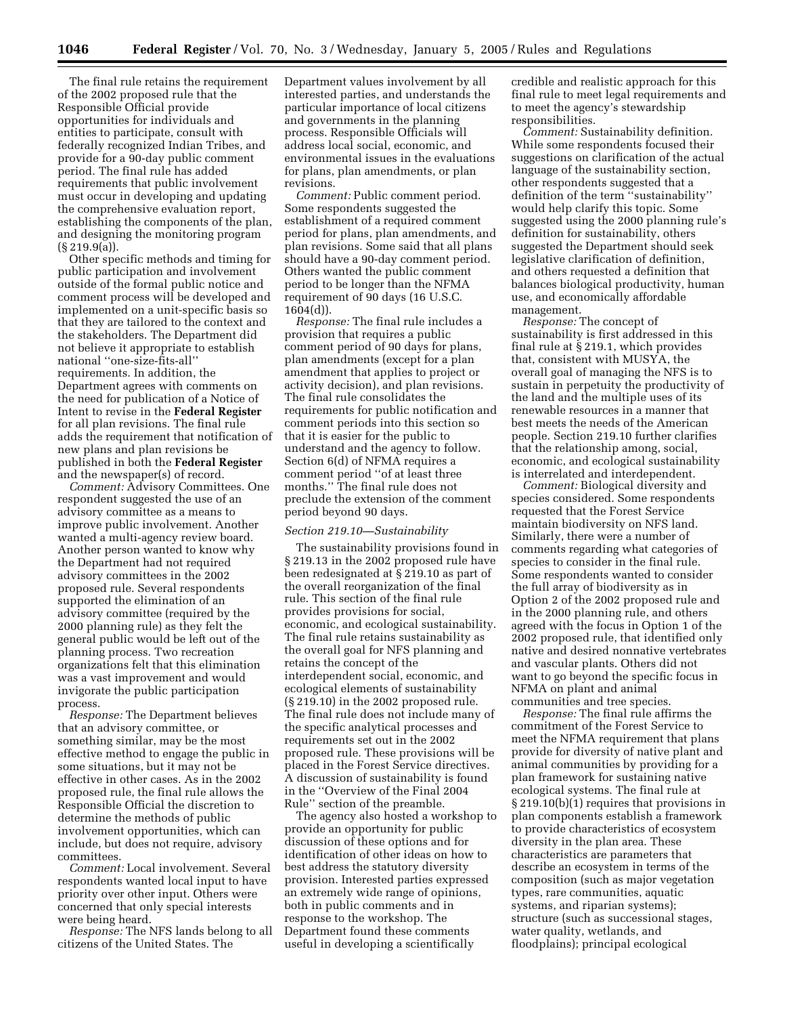The final rule retains the requirement of the 2002 proposed rule that the Responsible Official provide opportunities for individuals and entities to participate, consult with federally recognized Indian Tribes, and provide for a 90-day public comment period. The final rule has added requirements that public involvement must occur in developing and updating the comprehensive evaluation report, establishing the components of the plan, and designing the monitoring program (§ 219.9(a)).

Other specific methods and timing for public participation and involvement outside of the formal public notice and comment process will be developed and implemented on a unit-specific basis so that they are tailored to the context and the stakeholders. The Department did not believe it appropriate to establish national ''one-size-fits-all'' requirements. In addition, the Department agrees with comments on the need for publication of a Notice of Intent to revise in the **Federal Register** for all plan revisions. The final rule adds the requirement that notification of new plans and plan revisions be published in both the **Federal Register** and the newspaper(s) of record.

*Comment:* Advisory Committees. One respondent suggested the use of an advisory committee as a means to improve public involvement. Another wanted a multi-agency review board. Another person wanted to know why the Department had not required advisory committees in the 2002 proposed rule. Several respondents supported the elimination of an advisory committee (required by the 2000 planning rule) as they felt the general public would be left out of the planning process. Two recreation organizations felt that this elimination was a vast improvement and would invigorate the public participation process.

*Response:* The Department believes that an advisory committee, or something similar, may be the most effective method to engage the public in some situations, but it may not be effective in other cases. As in the 2002 proposed rule, the final rule allows the Responsible Official the discretion to determine the methods of public involvement opportunities, which can include, but does not require, advisory committees.

*Comment:* Local involvement. Several respondents wanted local input to have priority over other input. Others were concerned that only special interests were being heard.

*Response:* The NFS lands belong to all citizens of the United States. The

Department values involvement by all interested parties, and understands the particular importance of local citizens and governments in the planning process. Responsible Officials will address local social, economic, and environmental issues in the evaluations for plans, plan amendments, or plan revisions.

*Comment:* Public comment period. Some respondents suggested the establishment of a required comment period for plans, plan amendments, and plan revisions. Some said that all plans should have a 90-day comment period. Others wanted the public comment period to be longer than the NFMA requirement of 90 days (16 U.S.C. 1604(d)).

*Response:* The final rule includes a provision that requires a public comment period of 90 days for plans, plan amendments (except for a plan amendment that applies to project or activity decision), and plan revisions. The final rule consolidates the requirements for public notification and comment periods into this section so that it is easier for the public to understand and the agency to follow. Section 6(d) of NFMA requires a comment period ''of at least three months.'' The final rule does not preclude the extension of the comment period beyond 90 days.

#### *Section 219.10—Sustainability*

The sustainability provisions found in § 219.13 in the 2002 proposed rule have been redesignated at § 219.10 as part of the overall reorganization of the final rule. This section of the final rule provides provisions for social, economic, and ecological sustainability. The final rule retains sustainability as the overall goal for NFS planning and retains the concept of the interdependent social, economic, and ecological elements of sustainability (§ 219.10) in the 2002 proposed rule. The final rule does not include many of the specific analytical processes and requirements set out in the 2002 proposed rule. These provisions will be placed in the Forest Service directives. A discussion of sustainability is found in the ''Overview of the Final 2004 Rule'' section of the preamble.

The agency also hosted a workshop to provide an opportunity for public discussion of these options and for identification of other ideas on how to best address the statutory diversity provision. Interested parties expressed an extremely wide range of opinions, both in public comments and in response to the workshop. The Department found these comments useful in developing a scientifically

credible and realistic approach for this final rule to meet legal requirements and to meet the agency's stewardship responsibilities.

*Comment:* Sustainability definition. While some respondents focused their suggestions on clarification of the actual language of the sustainability section, other respondents suggested that a definition of the term ''sustainability'' would help clarify this topic. Some suggested using the 2000 planning rule's definition for sustainability, others suggested the Department should seek legislative clarification of definition, and others requested a definition that balances biological productivity, human use, and economically affordable management.

*Response:* The concept of sustainability is first addressed in this final rule at § 219.1, which provides that, consistent with MUSYA, the overall goal of managing the NFS is to sustain in perpetuity the productivity of the land and the multiple uses of its renewable resources in a manner that best meets the needs of the American people. Section 219.10 further clarifies that the relationship among, social, economic, and ecological sustainability is interrelated and interdependent.

*Comment:* Biological diversity and species considered. Some respondents requested that the Forest Service maintain biodiversity on NFS land. Similarly, there were a number of comments regarding what categories of species to consider in the final rule. Some respondents wanted to consider the full array of biodiversity as in Option 2 of the 2002 proposed rule and in the 2000 planning rule, and others agreed with the focus in Option 1 of the 2002 proposed rule, that identified only native and desired nonnative vertebrates and vascular plants. Others did not want to go beyond the specific focus in NFMA on plant and animal communities and tree species.

*Response:* The final rule affirms the commitment of the Forest Service to meet the NFMA requirement that plans provide for diversity of native plant and animal communities by providing for a plan framework for sustaining native ecological systems. The final rule at § 219.10(b)(1) requires that provisions in plan components establish a framework to provide characteristics of ecosystem diversity in the plan area. These characteristics are parameters that describe an ecosystem in terms of the composition (such as major vegetation types, rare communities, aquatic systems, and riparian systems); structure (such as successional stages, water quality, wetlands, and floodplains); principal ecological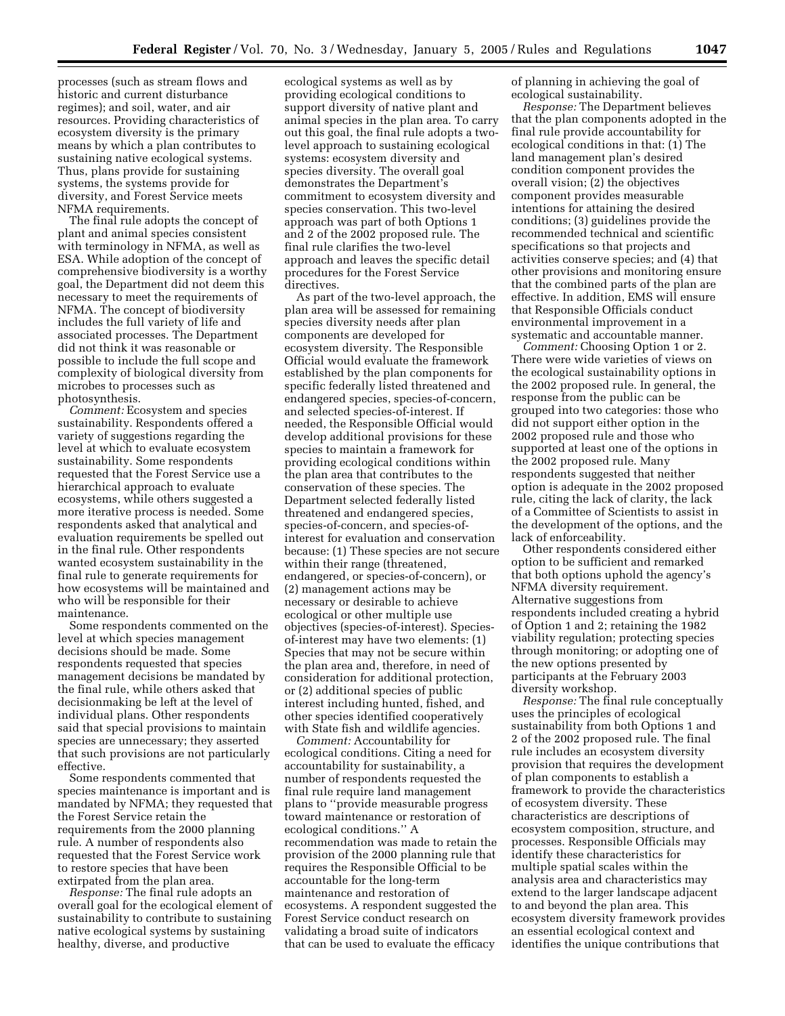processes (such as stream flows and historic and current disturbance regimes); and soil, water, and air resources. Providing characteristics of ecosystem diversity is the primary means by which a plan contributes to sustaining native ecological systems. Thus, plans provide for sustaining systems, the systems provide for diversity, and Forest Service meets NFMA requirements.

The final rule adopts the concept of plant and animal species consistent with terminology in NFMA, as well as ESA. While adoption of the concept of comprehensive biodiversity is a worthy goal, the Department did not deem this necessary to meet the requirements of NFMA. The concept of biodiversity includes the full variety of life and associated processes. The Department did not think it was reasonable or possible to include the full scope and complexity of biological diversity from microbes to processes such as photosynthesis.

*Comment:* Ecosystem and species sustainability. Respondents offered a variety of suggestions regarding the level at which to evaluate ecosystem sustainability. Some respondents requested that the Forest Service use a hierarchical approach to evaluate ecosystems, while others suggested a more iterative process is needed. Some respondents asked that analytical and evaluation requirements be spelled out in the final rule. Other respondents wanted ecosystem sustainability in the final rule to generate requirements for how ecosystems will be maintained and who will be responsible for their maintenance.

Some respondents commented on the level at which species management decisions should be made. Some respondents requested that species management decisions be mandated by the final rule, while others asked that decisionmaking be left at the level of individual plans. Other respondents said that special provisions to maintain species are unnecessary; they asserted that such provisions are not particularly effective.

Some respondents commented that species maintenance is important and is mandated by NFMA; they requested that the Forest Service retain the requirements from the 2000 planning rule. A number of respondents also requested that the Forest Service work to restore species that have been extirpated from the plan area.

*Response:* The final rule adopts an overall goal for the ecological element of sustainability to contribute to sustaining native ecological systems by sustaining healthy, diverse, and productive

ecological systems as well as by providing ecological conditions to support diversity of native plant and animal species in the plan area. To carry out this goal, the final rule adopts a twolevel approach to sustaining ecological systems: ecosystem diversity and species diversity. The overall goal demonstrates the Department's commitment to ecosystem diversity and species conservation. This two-level approach was part of both Options 1 and 2 of the 2002 proposed rule. The final rule clarifies the two-level approach and leaves the specific detail procedures for the Forest Service directives.

As part of the two-level approach, the plan area will be assessed for remaining species diversity needs after plan components are developed for ecosystem diversity. The Responsible Official would evaluate the framework established by the plan components for specific federally listed threatened and endangered species, species-of-concern, and selected species-of-interest. If needed, the Responsible Official would develop additional provisions for these species to maintain a framework for providing ecological conditions within the plan area that contributes to the conservation of these species. The Department selected federally listed threatened and endangered species, species-of-concern, and species-ofinterest for evaluation and conservation because: (1) These species are not secure within their range (threatened, endangered, or species-of-concern), or (2) management actions may be necessary or desirable to achieve ecological or other multiple use objectives (species-of-interest). Speciesof-interest may have two elements: (1) Species that may not be secure within the plan area and, therefore, in need of consideration for additional protection, or (2) additional species of public interest including hunted, fished, and other species identified cooperatively with State fish and wildlife agencies.

*Comment:* Accountability for ecological conditions. Citing a need for accountability for sustainability, a number of respondents requested the final rule require land management plans to ''provide measurable progress toward maintenance or restoration of ecological conditions.'' A recommendation was made to retain the provision of the 2000 planning rule that requires the Responsible Official to be accountable for the long-term maintenance and restoration of ecosystems. A respondent suggested the Forest Service conduct research on validating a broad suite of indicators that can be used to evaluate the efficacy

of planning in achieving the goal of ecological sustainability.

*Response:* The Department believes that the plan components adopted in the final rule provide accountability for ecological conditions in that: (1) The land management plan's desired condition component provides the overall vision; (2) the objectives component provides measurable intentions for attaining the desired conditions; (3) guidelines provide the recommended technical and scientific specifications so that projects and activities conserve species; and (4) that other provisions and monitoring ensure that the combined parts of the plan are effective. In addition, EMS will ensure that Responsible Officials conduct environmental improvement in a systematic and accountable manner.

*Comment:* Choosing Option 1 or 2. There were wide varieties of views on the ecological sustainability options in the 2002 proposed rule. In general, the response from the public can be grouped into two categories: those who did not support either option in the 2002 proposed rule and those who supported at least one of the options in the 2002 proposed rule. Many respondents suggested that neither option is adequate in the 2002 proposed rule, citing the lack of clarity, the lack of a Committee of Scientists to assist in the development of the options, and the lack of enforceability.

Other respondents considered either option to be sufficient and remarked that both options uphold the agency's NFMA diversity requirement. Alternative suggestions from respondents included creating a hybrid of Option 1 and 2; retaining the 1982 viability regulation; protecting species through monitoring; or adopting one of the new options presented by participants at the February 2003 diversity workshop.

*Response:* The final rule conceptually uses the principles of ecological sustainability from both Options 1 and 2 of the 2002 proposed rule. The final rule includes an ecosystem diversity provision that requires the development of plan components to establish a framework to provide the characteristics of ecosystem diversity. These characteristics are descriptions of ecosystem composition, structure, and processes. Responsible Officials may identify these characteristics for multiple spatial scales within the analysis area and characteristics may extend to the larger landscape adjacent to and beyond the plan area. This ecosystem diversity framework provides an essential ecological context and identifies the unique contributions that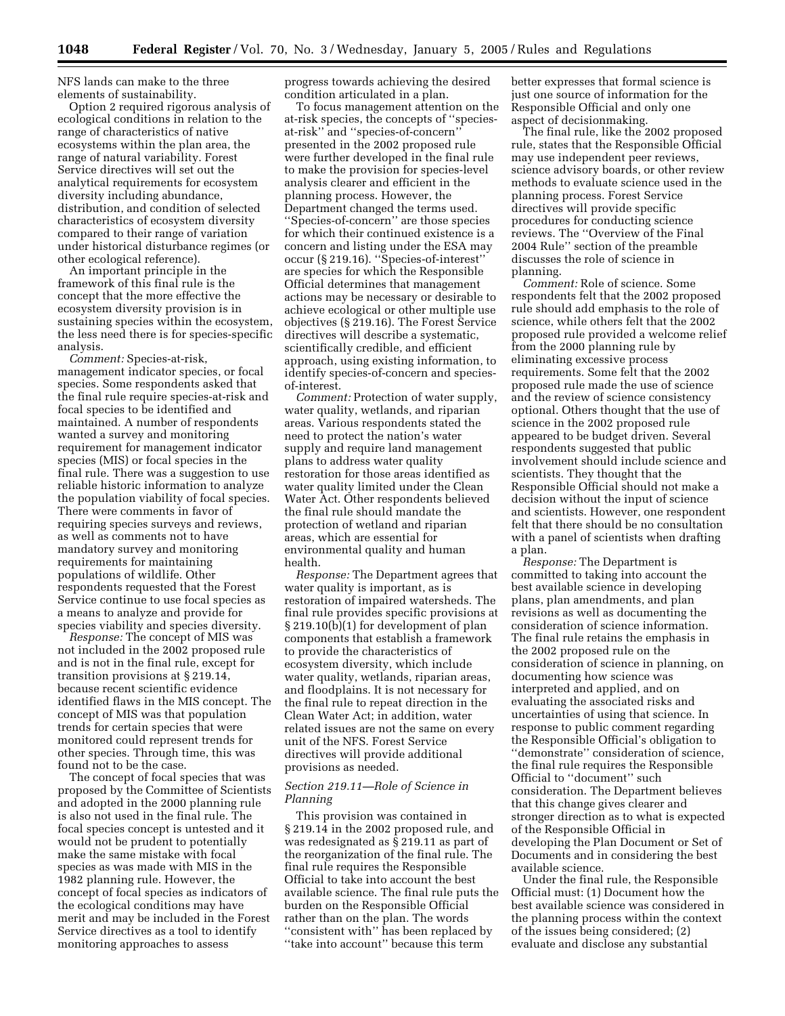NFS lands can make to the three elements of sustainability.

Option 2 required rigorous analysis of ecological conditions in relation to the range of characteristics of native ecosystems within the plan area, the range of natural variability. Forest Service directives will set out the analytical requirements for ecosystem diversity including abundance, distribution, and condition of selected characteristics of ecosystem diversity compared to their range of variation under historical disturbance regimes (or other ecological reference).

An important principle in the framework of this final rule is the concept that the more effective the ecosystem diversity provision is in sustaining species within the ecosystem, the less need there is for species-specific analysis.

*Comment:* Species-at-risk, management indicator species, or focal species. Some respondents asked that the final rule require species-at-risk and focal species to be identified and maintained. A number of respondents wanted a survey and monitoring requirement for management indicator species (MIS) or focal species in the final rule. There was a suggestion to use reliable historic information to analyze the population viability of focal species. There were comments in favor of requiring species surveys and reviews, as well as comments not to have mandatory survey and monitoring requirements for maintaining populations of wildlife. Other respondents requested that the Forest Service continue to use focal species as a means to analyze and provide for species viability and species diversity.

*Response:* The concept of MIS was not included in the 2002 proposed rule and is not in the final rule, except for transition provisions at § 219.14, because recent scientific evidence identified flaws in the MIS concept. The concept of MIS was that population trends for certain species that were monitored could represent trends for other species. Through time, this was found not to be the case.

The concept of focal species that was proposed by the Committee of Scientists and adopted in the 2000 planning rule is also not used in the final rule. The focal species concept is untested and it would not be prudent to potentially make the same mistake with focal species as was made with MIS in the 1982 planning rule. However, the concept of focal species as indicators of the ecological conditions may have merit and may be included in the Forest Service directives as a tool to identify monitoring approaches to assess

progress towards achieving the desired condition articulated in a plan.

To focus management attention on the at-risk species, the concepts of ''speciesat-risk'' and ''species-of-concern'' presented in the 2002 proposed rule were further developed in the final rule to make the provision for species-level analysis clearer and efficient in the planning process. However, the Department changed the terms used. ''Species-of-concern'' are those species for which their continued existence is a concern and listing under the ESA may occur (§ 219.16). ''Species-of-interest'' are species for which the Responsible Official determines that management actions may be necessary or desirable to achieve ecological or other multiple use objectives (§ 219.16). The Forest Service directives will describe a systematic, scientifically credible, and efficient approach, using existing information, to identify species-of-concern and speciesof-interest.

*Comment:* Protection of water supply, water quality, wetlands, and riparian areas. Various respondents stated the need to protect the nation's water supply and require land management plans to address water quality restoration for those areas identified as water quality limited under the Clean Water Act. Other respondents believed the final rule should mandate the protection of wetland and riparian areas, which are essential for environmental quality and human health.

*Response:* The Department agrees that water quality is important, as is restoration of impaired watersheds. The final rule provides specific provisions at § 219.10(b)(1) for development of plan components that establish a framework to provide the characteristics of ecosystem diversity, which include water quality, wetlands, riparian areas, and floodplains. It is not necessary for the final rule to repeat direction in the Clean Water Act; in addition, water related issues are not the same on every unit of the NFS. Forest Service directives will provide additional provisions as needed.

# *Section 219.11—Role of Science in Planning*

This provision was contained in § 219.14 in the 2002 proposed rule, and was redesignated as § 219.11 as part of the reorganization of the final rule. The final rule requires the Responsible Official to take into account the best available science. The final rule puts the burden on the Responsible Official rather than on the plan. The words ''consistent with'' has been replaced by ''take into account'' because this term

better expresses that formal science is just one source of information for the Responsible Official and only one aspect of decisionmaking.

The final rule, like the 2002 proposed rule, states that the Responsible Official may use independent peer reviews, science advisory boards, or other review methods to evaluate science used in the planning process. Forest Service directives will provide specific procedures for conducting science reviews. The ''Overview of the Final 2004 Rule'' section of the preamble discusses the role of science in planning.

*Comment:* Role of science. Some respondents felt that the 2002 proposed rule should add emphasis to the role of science, while others felt that the 2002 proposed rule provided a welcome relief from the 2000 planning rule by eliminating excessive process requirements. Some felt that the 2002 proposed rule made the use of science and the review of science consistency optional. Others thought that the use of science in the 2002 proposed rule appeared to be budget driven. Several respondents suggested that public involvement should include science and scientists. They thought that the Responsible Official should not make a decision without the input of science and scientists. However, one respondent felt that there should be no consultation with a panel of scientists when drafting a plan.

*Response:* The Department is committed to taking into account the best available science in developing plans, plan amendments, and plan revisions as well as documenting the consideration of science information. The final rule retains the emphasis in the 2002 proposed rule on the consideration of science in planning, on documenting how science was interpreted and applied, and on evaluating the associated risks and uncertainties of using that science. In response to public comment regarding the Responsible Official's obligation to ''demonstrate'' consideration of science, the final rule requires the Responsible Official to ''document'' such consideration. The Department believes that this change gives clearer and stronger direction as to what is expected of the Responsible Official in developing the Plan Document or Set of Documents and in considering the best available science.

Under the final rule, the Responsible Official must: (1) Document how the best available science was considered in the planning process within the context of the issues being considered; (2) evaluate and disclose any substantial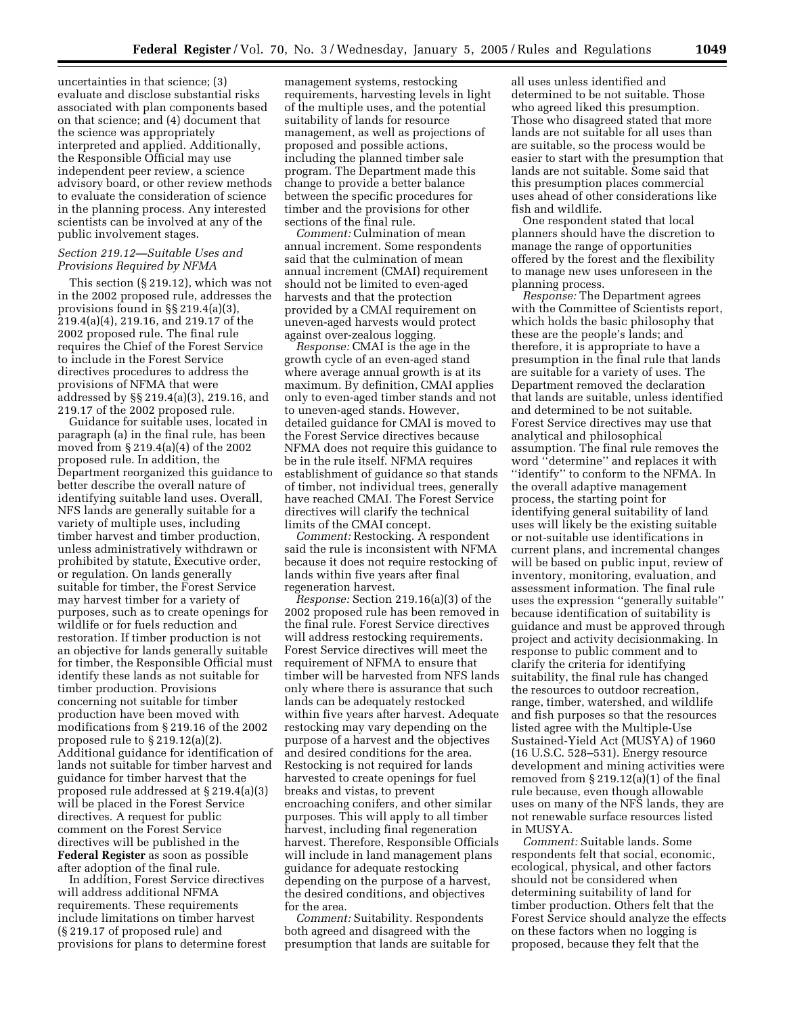uncertainties in that science; (3) evaluate and disclose substantial risks associated with plan components based on that science; and (4) document that the science was appropriately interpreted and applied. Additionally, the Responsible Official may use independent peer review, a science advisory board, or other review methods to evaluate the consideration of science in the planning process. Any interested scientists can be involved at any of the public involvement stages.

# *Section 219.12—Suitable Uses and Provisions Required by NFMA*

This section (§ 219.12), which was not in the 2002 proposed rule, addresses the provisions found in §§ 219.4(a)(3), 219.4(a)(4), 219.16, and 219.17 of the 2002 proposed rule. The final rule requires the Chief of the Forest Service to include in the Forest Service directives procedures to address the provisions of NFMA that were addressed by §§ 219.4(a)(3), 219.16, and 219.17 of the 2002 proposed rule.

Guidance for suitable uses, located in paragraph (a) in the final rule, has been moved from § 219.4(a)(4) of the 2002 proposed rule. In addition, the Department reorganized this guidance to better describe the overall nature of identifying suitable land uses. Overall, NFS lands are generally suitable for a variety of multiple uses, including timber harvest and timber production, unless administratively withdrawn or prohibited by statute, Executive order, or regulation. On lands generally suitable for timber, the Forest Service may harvest timber for a variety of purposes, such as to create openings for wildlife or for fuels reduction and restoration. If timber production is not an objective for lands generally suitable for timber, the Responsible Official must identify these lands as not suitable for timber production. Provisions concerning not suitable for timber production have been moved with modifications from § 219.16 of the 2002 proposed rule to § 219.12(a)(2). Additional guidance for identification of lands not suitable for timber harvest and guidance for timber harvest that the proposed rule addressed at § 219.4(a)(3) will be placed in the Forest Service directives. A request for public comment on the Forest Service directives will be published in the **Federal Register** as soon as possible after adoption of the final rule.

In addition, Forest Service directives will address additional NFMA requirements. These requirements include limitations on timber harvest (§ 219.17 of proposed rule) and provisions for plans to determine forest

management systems, restocking requirements, harvesting levels in light of the multiple uses, and the potential suitability of lands for resource management, as well as projections of proposed and possible actions, including the planned timber sale program. The Department made this change to provide a better balance between the specific procedures for timber and the provisions for other sections of the final rule.

*Comment:* Culmination of mean annual increment. Some respondents said that the culmination of mean annual increment (CMAI) requirement should not be limited to even-aged harvests and that the protection provided by a CMAI requirement on uneven-aged harvests would protect against over-zealous logging.

*Response:* CMAI is the age in the growth cycle of an even-aged stand where average annual growth is at its maximum. By definition, CMAI applies only to even-aged timber stands and not to uneven-aged stands. However, detailed guidance for CMAI is moved to the Forest Service directives because NFMA does not require this guidance to be in the rule itself. NFMA requires establishment of guidance so that stands of timber, not individual trees, generally have reached CMAI. The Forest Service directives will clarify the technical limits of the CMAI concept.

*Comment:* Restocking. A respondent said the rule is inconsistent with NFMA because it does not require restocking of lands within five years after final regeneration harvest.

*Response:* Section 219.16(a)(3) of the 2002 proposed rule has been removed in the final rule. Forest Service directives will address restocking requirements. Forest Service directives will meet the requirement of NFMA to ensure that timber will be harvested from NFS lands only where there is assurance that such lands can be adequately restocked within five years after harvest. Adequate restocking may vary depending on the purpose of a harvest and the objectives and desired conditions for the area. Restocking is not required for lands harvested to create openings for fuel breaks and vistas, to prevent encroaching conifers, and other similar purposes. This will apply to all timber harvest, including final regeneration harvest. Therefore, Responsible Officials will include in land management plans guidance for adequate restocking depending on the purpose of a harvest, the desired conditions, and objectives for the area.

*Comment:* Suitability. Respondents both agreed and disagreed with the presumption that lands are suitable for all uses unless identified and determined to be not suitable. Those who agreed liked this presumption. Those who disagreed stated that more lands are not suitable for all uses than are suitable, so the process would be easier to start with the presumption that lands are not suitable. Some said that this presumption places commercial uses ahead of other considerations like fish and wildlife.

One respondent stated that local planners should have the discretion to manage the range of opportunities offered by the forest and the flexibility to manage new uses unforeseen in the planning process.

*Response:* The Department agrees with the Committee of Scientists report, which holds the basic philosophy that these are the people's lands; and therefore, it is appropriate to have a presumption in the final rule that lands are suitable for a variety of uses. The Department removed the declaration that lands are suitable, unless identified and determined to be not suitable. Forest Service directives may use that analytical and philosophical assumption. The final rule removes the word ''determine'' and replaces it with ''identify'' to conform to the NFMA. In the overall adaptive management process, the starting point for identifying general suitability of land uses will likely be the existing suitable or not-suitable use identifications in current plans, and incremental changes will be based on public input, review of inventory, monitoring, evaluation, and assessment information. The final rule uses the expression ''generally suitable'' because identification of suitability is guidance and must be approved through project and activity decisionmaking. In response to public comment and to clarify the criteria for identifying suitability, the final rule has changed the resources to outdoor recreation, range, timber, watershed, and wildlife and fish purposes so that the resources listed agree with the Multiple-Use Sustained-Yield Act (MUSYA) of 1960 (16 U.S.C. 528–531). Energy resource development and mining activities were removed from  $\S 219.12(a)(1)$  of the final rule because, even though allowable uses on many of the NFS lands, they are not renewable surface resources listed in MUSYA.

*Comment:* Suitable lands. Some respondents felt that social, economic, ecological, physical, and other factors should not be considered when determining suitability of land for timber production. Others felt that the Forest Service should analyze the effects on these factors when no logging is proposed, because they felt that the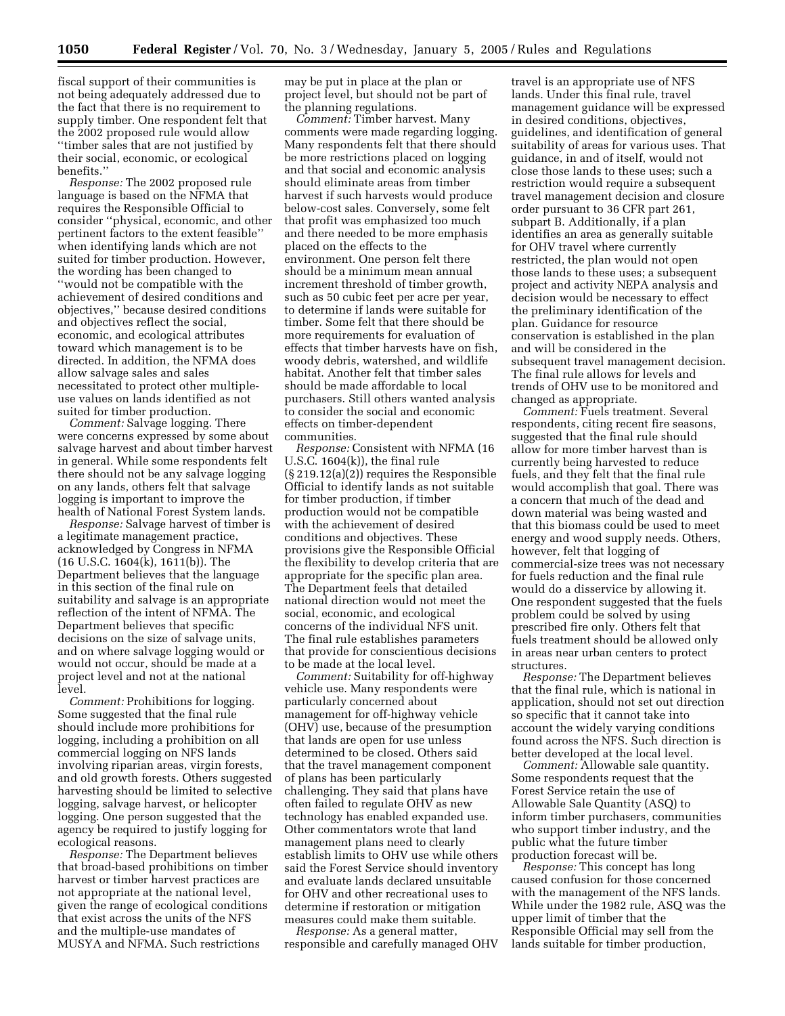fiscal support of their communities is not being adequately addressed due to the fact that there is no requirement to supply timber. One respondent felt that the 2002 proposed rule would allow ''timber sales that are not justified by their social, economic, or ecological benefits.''

*Response:* The 2002 proposed rule language is based on the NFMA that requires the Responsible Official to consider ''physical, economic, and other pertinent factors to the extent feasible'' when identifying lands which are not suited for timber production. However, the wording has been changed to ''would not be compatible with the achievement of desired conditions and objectives,'' because desired conditions and objectives reflect the social, economic, and ecological attributes toward which management is to be directed. In addition, the NFMA does allow salvage sales and sales necessitated to protect other multipleuse values on lands identified as not suited for timber production.

*Comment:* Salvage logging. There were concerns expressed by some about salvage harvest and about timber harvest in general. While some respondents felt there should not be any salvage logging on any lands, others felt that salvage logging is important to improve the health of National Forest System lands.

*Response:* Salvage harvest of timber is a legitimate management practice, acknowledged by Congress in NFMA (16 U.S.C. 1604(k), 1611(b)). The Department believes that the language in this section of the final rule on suitability and salvage is an appropriate reflection of the intent of NFMA. The Department believes that specific decisions on the size of salvage units, and on where salvage logging would or would not occur, should be made at a project level and not at the national level.

*Comment:* Prohibitions for logging. Some suggested that the final rule should include more prohibitions for logging, including a prohibition on all commercial logging on NFS lands involving riparian areas, virgin forests, and old growth forests. Others suggested harvesting should be limited to selective logging, salvage harvest, or helicopter logging. One person suggested that the agency be required to justify logging for ecological reasons.

*Response:* The Department believes that broad-based prohibitions on timber harvest or timber harvest practices are not appropriate at the national level, given the range of ecological conditions that exist across the units of the NFS and the multiple-use mandates of MUSYA and NFMA. Such restrictions

may be put in place at the plan or project level, but should not be part of the planning regulations.

*Comment:* Timber harvest. Many comments were made regarding logging. Many respondents felt that there should be more restrictions placed on logging and that social and economic analysis should eliminate areas from timber harvest if such harvests would produce below-cost sales. Conversely, some felt that profit was emphasized too much and there needed to be more emphasis placed on the effects to the environment. One person felt there should be a minimum mean annual increment threshold of timber growth, such as 50 cubic feet per acre per year, to determine if lands were suitable for timber. Some felt that there should be more requirements for evaluation of effects that timber harvests have on fish, woody debris, watershed, and wildlife habitat. Another felt that timber sales should be made affordable to local purchasers. Still others wanted analysis to consider the social and economic effects on timber-dependent communities.

*Response:* Consistent with NFMA (16 U.S.C. 1604(k)), the final rule (§ 219.12(a)(2)) requires the Responsible Official to identify lands as not suitable for timber production, if timber production would not be compatible with the achievement of desired conditions and objectives. These provisions give the Responsible Official the flexibility to develop criteria that are appropriate for the specific plan area. The Department feels that detailed national direction would not meet the social, economic, and ecological concerns of the individual NFS unit. The final rule establishes parameters that provide for conscientious decisions to be made at the local level.

*Comment:* Suitability for off-highway vehicle use. Many respondents were particularly concerned about management for off-highway vehicle (OHV) use, because of the presumption that lands are open for use unless determined to be closed. Others said that the travel management component of plans has been particularly challenging. They said that plans have often failed to regulate OHV as new technology has enabled expanded use. Other commentators wrote that land management plans need to clearly establish limits to OHV use while others said the Forest Service should inventory and evaluate lands declared unsuitable for OHV and other recreational uses to determine if restoration or mitigation measures could make them suitable.

*Response:* As a general matter, responsible and carefully managed OHV

travel is an appropriate use of NFS lands. Under this final rule, travel management guidance will be expressed in desired conditions, objectives, guidelines, and identification of general suitability of areas for various uses. That guidance, in and of itself, would not close those lands to these uses; such a restriction would require a subsequent travel management decision and closure order pursuant to 36 CFR part 261, subpart B. Additionally, if a plan identifies an area as generally suitable for OHV travel where currently restricted, the plan would not open those lands to these uses; a subsequent project and activity NEPA analysis and decision would be necessary to effect the preliminary identification of the plan. Guidance for resource conservation is established in the plan and will be considered in the subsequent travel management decision. The final rule allows for levels and trends of OHV use to be monitored and changed as appropriate.

*Comment:* Fuels treatment. Several respondents, citing recent fire seasons, suggested that the final rule should allow for more timber harvest than is currently being harvested to reduce fuels, and they felt that the final rule would accomplish that goal. There was a concern that much of the dead and down material was being wasted and that this biomass could be used to meet energy and wood supply needs. Others, however, felt that logging of commercial-size trees was not necessary for fuels reduction and the final rule would do a disservice by allowing it. One respondent suggested that the fuels problem could be solved by using prescribed fire only. Others felt that fuels treatment should be allowed only in areas near urban centers to protect structures.

*Response:* The Department believes that the final rule, which is national in application, should not set out direction so specific that it cannot take into account the widely varying conditions found across the NFS. Such direction is better developed at the local level.

*Comment:* Allowable sale quantity. Some respondents request that the Forest Service retain the use of Allowable Sale Quantity (ASQ) to inform timber purchasers, communities who support timber industry, and the public what the future timber production forecast will be.

*Response:* This concept has long caused confusion for those concerned with the management of the NFS lands. While under the 1982 rule, ASQ was the upper limit of timber that the Responsible Official may sell from the lands suitable for timber production,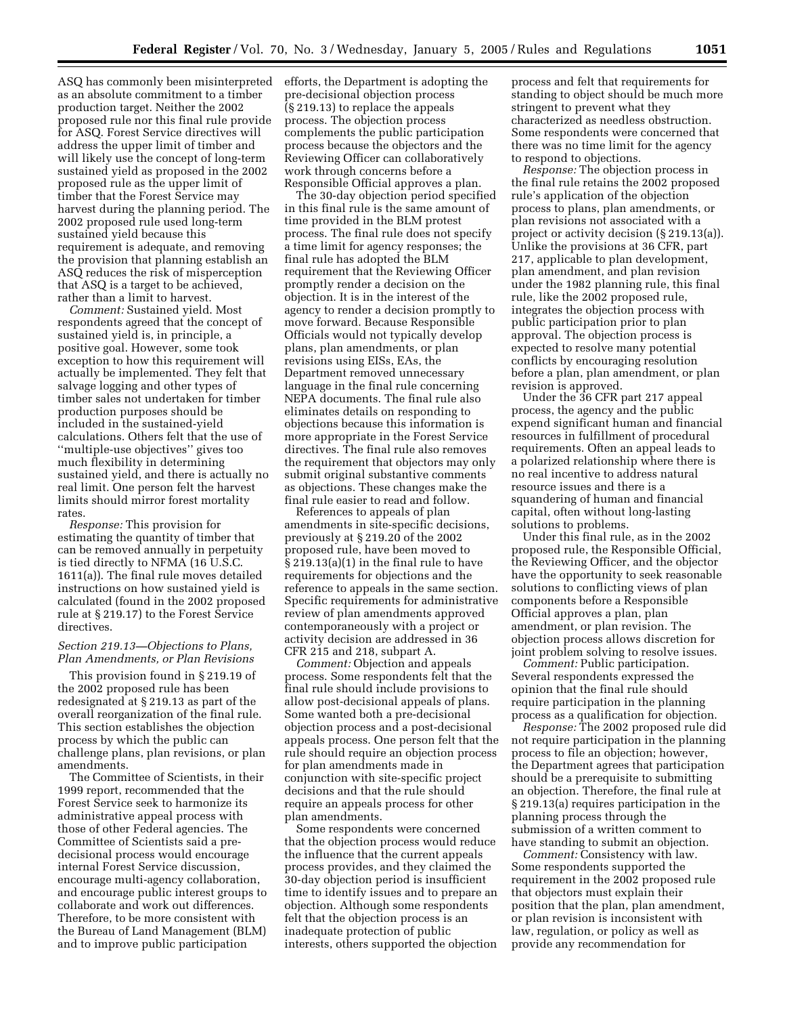as an absolute commitment to a timber production target. Neither the 2002 proposed rule nor this final rule provide for ASQ. Forest Service directives will address the upper limit of timber and will likely use the concept of long-term sustained yield as proposed in the 2002 proposed rule as the upper limit of timber that the Forest Service may harvest during the planning period. The 2002 proposed rule used long-term sustained yield because this requirement is adequate, and removing the provision that planning establish an ASQ reduces the risk of misperception that ASQ is a target to be achieved, rather than a limit to harvest.

*Comment:* Sustained yield. Most respondents agreed that the concept of sustained yield is, in principle, a positive goal. However, some took exception to how this requirement will actually be implemented. They felt that salvage logging and other types of timber sales not undertaken for timber production purposes should be included in the sustained-yield calculations. Others felt that the use of ''multiple-use objectives'' gives too much flexibility in determining sustained yield, and there is actually no real limit. One person felt the harvest limits should mirror forest mortality rates.

*Response:* This provision for estimating the quantity of timber that can be removed annually in perpetuity is tied directly to NFMA (16 U.S.C. 1611(a)). The final rule moves detailed instructions on how sustained yield is calculated (found in the 2002 proposed rule at § 219.17) to the Forest Service directives.

## *Section 219.13—Objections to Plans, Plan Amendments, or Plan Revisions*

This provision found in § 219.19 of the 2002 proposed rule has been redesignated at § 219.13 as part of the overall reorganization of the final rule. This section establishes the objection process by which the public can challenge plans, plan revisions, or plan amendments.

The Committee of Scientists, in their 1999 report, recommended that the Forest Service seek to harmonize its administrative appeal process with those of other Federal agencies. The Committee of Scientists said a predecisional process would encourage internal Forest Service discussion, encourage multi-agency collaboration, and encourage public interest groups to collaborate and work out differences. Therefore, to be more consistent with the Bureau of Land Management (BLM) and to improve public participation

ASQ has commonly been misinterpreted efforts, the Department is adopting the pre-decisional objection process (§ 219.13) to replace the appeals process. The objection process complements the public participation process because the objectors and the Reviewing Officer can collaboratively work through concerns before a Responsible Official approves a plan.

The 30-day objection period specified in this final rule is the same amount of time provided in the BLM protest process. The final rule does not specify a time limit for agency responses; the final rule has adopted the BLM requirement that the Reviewing Officer promptly render a decision on the objection. It is in the interest of the agency to render a decision promptly to move forward. Because Responsible Officials would not typically develop plans, plan amendments, or plan revisions using EISs, EAs, the Department removed unnecessary language in the final rule concerning NEPA documents. The final rule also eliminates details on responding to objections because this information is more appropriate in the Forest Service directives. The final rule also removes the requirement that objectors may only submit original substantive comments as objections. These changes make the final rule easier to read and follow.

References to appeals of plan amendments in site-specific decisions, previously at § 219.20 of the 2002 proposed rule, have been moved to § 219.13(a)(1) in the final rule to have requirements for objections and the reference to appeals in the same section. Specific requirements for administrative review of plan amendments approved contemporaneously with a project or activity decision are addressed in 36 CFR 215 and 218, subpart A.

*Comment:* Objection and appeals process. Some respondents felt that the final rule should include provisions to allow post-decisional appeals of plans. Some wanted both a pre-decisional objection process and a post-decisional appeals process. One person felt that the rule should require an objection process for plan amendments made in conjunction with site-specific project decisions and that the rule should require an appeals process for other plan amendments.

Some respondents were concerned that the objection process would reduce the influence that the current appeals process provides, and they claimed the 30-day objection period is insufficient time to identify issues and to prepare an objection. Although some respondents felt that the objection process is an inadequate protection of public interests, others supported the objection

process and felt that requirements for standing to object should be much more stringent to prevent what they characterized as needless obstruction. Some respondents were concerned that there was no time limit for the agency to respond to objections.

*Response:* The objection process in the final rule retains the 2002 proposed rule's application of the objection process to plans, plan amendments, or plan revisions not associated with a project or activity decision (§ 219.13(a)). Unlike the provisions at 36 CFR, part 217, applicable to plan development, plan amendment, and plan revision under the 1982 planning rule, this final rule, like the 2002 proposed rule, integrates the objection process with public participation prior to plan approval. The objection process is expected to resolve many potential conflicts by encouraging resolution before a plan, plan amendment, or plan revision is approved.

Under the 36 CFR part 217 appeal process, the agency and the public expend significant human and financial resources in fulfillment of procedural requirements. Often an appeal leads to a polarized relationship where there is no real incentive to address natural resource issues and there is a squandering of human and financial capital, often without long-lasting solutions to problems.

Under this final rule, as in the 2002 proposed rule, the Responsible Official, the Reviewing Officer, and the objector have the opportunity to seek reasonable solutions to conflicting views of plan components before a Responsible Official approves a plan, plan amendment, or plan revision. The objection process allows discretion for joint problem solving to resolve issues.

*Comment:* Public participation. Several respondents expressed the opinion that the final rule should require participation in the planning process as a qualification for objection.

*Response:* The 2002 proposed rule did not require participation in the planning process to file an objection; however, the Department agrees that participation should be a prerequisite to submitting an objection. Therefore, the final rule at § 219.13(a) requires participation in the planning process through the submission of a written comment to have standing to submit an objection.

*Comment:* Consistency with law. Some respondents supported the requirement in the 2002 proposed rule that objectors must explain their position that the plan, plan amendment, or plan revision is inconsistent with law, regulation, or policy as well as provide any recommendation for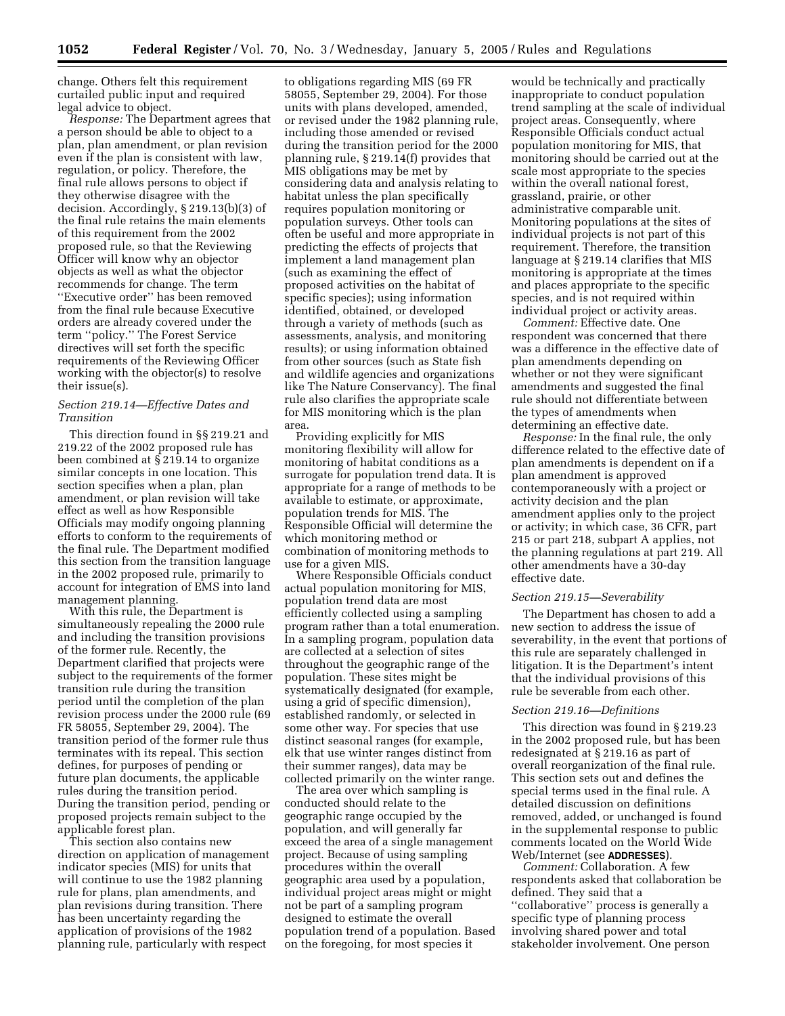change. Others felt this requirement curtailed public input and required legal advice to object.

*Response:* The Department agrees that a person should be able to object to a plan, plan amendment, or plan revision even if the plan is consistent with law, regulation, or policy. Therefore, the final rule allows persons to object if they otherwise disagree with the decision. Accordingly, § 219.13(b)(3) of the final rule retains the main elements of this requirement from the 2002 proposed rule, so that the Reviewing Officer will know why an objector objects as well as what the objector recommends for change. The term ''Executive order'' has been removed from the final rule because Executive orders are already covered under the term ''policy.'' The Forest Service directives will set forth the specific requirements of the Reviewing Officer working with the objector(s) to resolve their issue(s).

## *Section 219.14—Effective Dates and Transition*

This direction found in §§ 219.21 and 219.22 of the 2002 proposed rule has been combined at § 219.14 to organize similar concepts in one location. This section specifies when a plan, plan amendment, or plan revision will take effect as well as how Responsible Officials may modify ongoing planning efforts to conform to the requirements of the final rule. The Department modified this section from the transition language in the 2002 proposed rule, primarily to account for integration of EMS into land management planning.

With this rule, the Department is simultaneously repealing the 2000 rule and including the transition provisions of the former rule. Recently, the Department clarified that projects were subject to the requirements of the former transition rule during the transition period until the completion of the plan revision process under the 2000 rule (69 FR 58055, September 29, 2004). The transition period of the former rule thus terminates with its repeal. This section defines, for purposes of pending or future plan documents, the applicable rules during the transition period. During the transition period, pending or proposed projects remain subject to the applicable forest plan.

This section also contains new direction on application of management indicator species (MIS) for units that will continue to use the 1982 planning rule for plans, plan amendments, and plan revisions during transition. There has been uncertainty regarding the application of provisions of the 1982 planning rule, particularly with respect

to obligations regarding MIS (69 FR 58055, September 29, 2004). For those units with plans developed, amended, or revised under the 1982 planning rule, including those amended or revised during the transition period for the 2000 planning rule, § 219.14(f) provides that MIS obligations may be met by considering data and analysis relating to habitat unless the plan specifically requires population monitoring or population surveys. Other tools can often be useful and more appropriate in predicting the effects of projects that implement a land management plan (such as examining the effect of proposed activities on the habitat of specific species); using information identified, obtained, or developed through a variety of methods (such as assessments, analysis, and monitoring results); or using information obtained from other sources (such as State fish and wildlife agencies and organizations like The Nature Conservancy). The final rule also clarifies the appropriate scale for MIS monitoring which is the plan area.

Providing explicitly for MIS monitoring flexibility will allow for monitoring of habitat conditions as a surrogate for population trend data. It is appropriate for a range of methods to be available to estimate, or approximate, population trends for MIS. The Responsible Official will determine the which monitoring method or combination of monitoring methods to use for a given MIS.

Where Responsible Officials conduct actual population monitoring for MIS, population trend data are most efficiently collected using a sampling program rather than a total enumeration. In a sampling program, population data are collected at a selection of sites throughout the geographic range of the population. These sites might be systematically designated (for example, using a grid of specific dimension), established randomly, or selected in some other way. For species that use distinct seasonal ranges (for example, elk that use winter ranges distinct from their summer ranges), data may be collected primarily on the winter range.

The area over which sampling is conducted should relate to the geographic range occupied by the population, and will generally far exceed the area of a single management project. Because of using sampling procedures within the overall geographic area used by a population, individual project areas might or might not be part of a sampling program designed to estimate the overall population trend of a population. Based on the foregoing, for most species it

would be technically and practically inappropriate to conduct population trend sampling at the scale of individual project areas. Consequently, where Responsible Officials conduct actual population monitoring for MIS, that monitoring should be carried out at the scale most appropriate to the species within the overall national forest, grassland, prairie, or other administrative comparable unit. Monitoring populations at the sites of individual projects is not part of this requirement. Therefore, the transition language at § 219.14 clarifies that MIS monitoring is appropriate at the times and places appropriate to the specific species, and is not required within individual project or activity areas.

*Comment:* Effective date. One respondent was concerned that there was a difference in the effective date of plan amendments depending on whether or not they were significant amendments and suggested the final rule should not differentiate between the types of amendments when determining an effective date.

*Response:* In the final rule, the only difference related to the effective date of plan amendments is dependent on if a plan amendment is approved contemporaneously with a project or activity decision and the plan amendment applies only to the project or activity; in which case, 36 CFR, part 215 or part 218, subpart A applies, not the planning regulations at part 219. All other amendments have a 30-day effective date.

#### *Section 219.15—Severability*

The Department has chosen to add a new section to address the issue of severability, in the event that portions of this rule are separately challenged in litigation. It is the Department's intent that the individual provisions of this rule be severable from each other.

# *Section 219.16—Definitions*

This direction was found in § 219.23 in the 2002 proposed rule, but has been redesignated at § 219.16 as part of overall reorganization of the final rule. This section sets out and defines the special terms used in the final rule. A detailed discussion on definitions removed, added, or unchanged is found in the supplemental response to public comments located on the World Wide Web/Internet (see **ADDRESSES**).

*Comment:* Collaboration. A few respondents asked that collaboration be defined. They said that a ''collaborative'' process is generally a specific type of planning process involving shared power and total stakeholder involvement. One person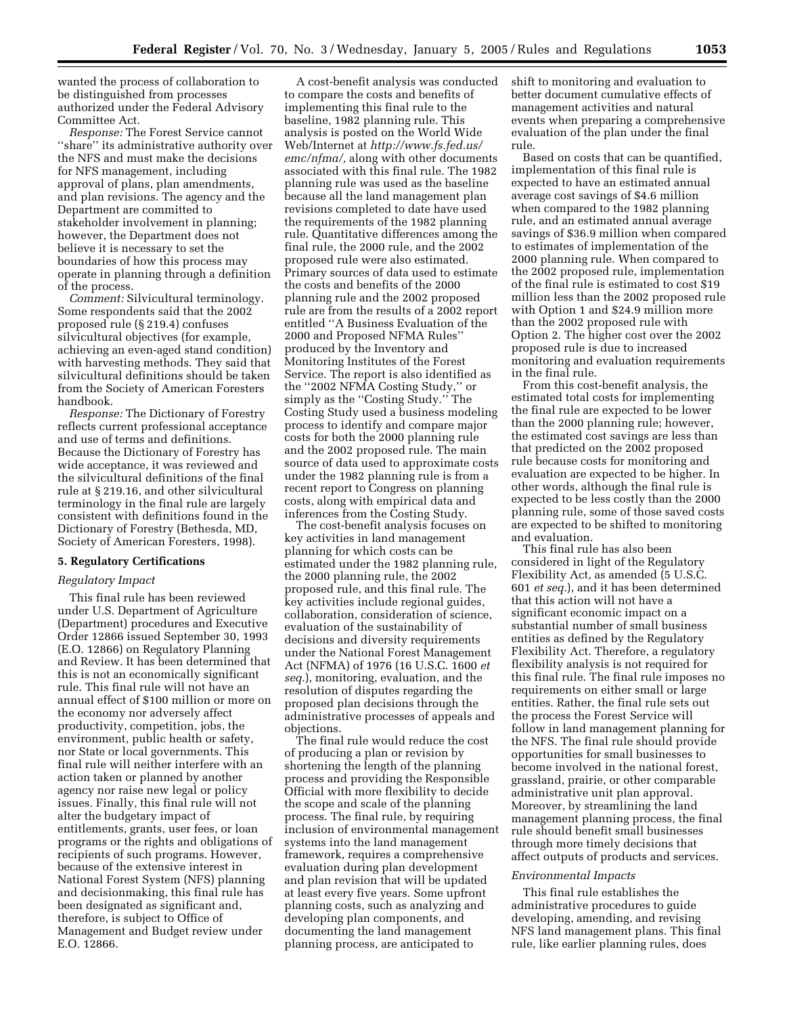wanted the process of collaboration to be distinguished from processes authorized under the Federal Advisory Committee Act.

*Response:* The Forest Service cannot ''share'' its administrative authority over the NFS and must make the decisions for NFS management, including approval of plans, plan amendments, and plan revisions. The agency and the Department are committed to stakeholder involvement in planning; however, the Department does not believe it is necessary to set the boundaries of how this process may operate in planning through a definition of the process.

*Comment:* Silvicultural terminology. Some respondents said that the 2002 proposed rule (§ 219.4) confuses silvicultural objectives (for example, achieving an even-aged stand condition) with harvesting methods. They said that silvicultural definitions should be taken from the Society of American Foresters handbook.

*Response:* The Dictionary of Forestry reflects current professional acceptance and use of terms and definitions. Because the Dictionary of Forestry has wide acceptance, it was reviewed and the silvicultural definitions of the final rule at § 219.16, and other silvicultural terminology in the final rule are largely consistent with definitions found in the Dictionary of Forestry (Bethesda, MD, Society of American Foresters, 1998).

#### **5. Regulatory Certifications**

## *Regulatory Impact*

This final rule has been reviewed under U.S. Department of Agriculture (Department) procedures and Executive Order 12866 issued September 30, 1993 (E.O. 12866) on Regulatory Planning and Review. It has been determined that this is not an economically significant rule. This final rule will not have an annual effect of \$100 million or more on the economy nor adversely affect productivity, competition, jobs, the environment, public health or safety, nor State or local governments. This final rule will neither interfere with an action taken or planned by another agency nor raise new legal or policy issues. Finally, this final rule will not alter the budgetary impact of entitlements, grants, user fees, or loan programs or the rights and obligations of recipients of such programs. However, because of the extensive interest in National Forest System (NFS) planning and decisionmaking, this final rule has been designated as significant and, therefore, is subject to Office of Management and Budget review under E.O. 12866.

A cost-benefit analysis was conducted to compare the costs and benefits of implementing this final rule to the baseline, 1982 planning rule. This analysis is posted on the World Wide Web/Internet at *http://www.fs.fed.us/ emc/nfma/,* along with other documents associated with this final rule. The 1982 planning rule was used as the baseline because all the land management plan revisions completed to date have used the requirements of the 1982 planning rule. Quantitative differences among the final rule, the 2000 rule, and the 2002 proposed rule were also estimated. Primary sources of data used to estimate the costs and benefits of the 2000 planning rule and the 2002 proposed rule are from the results of a 2002 report entitled ''A Business Evaluation of the 2000 and Proposed NFMA Rules'' produced by the Inventory and Monitoring Institutes of the Forest Service. The report is also identified as the ''2002 NFMA Costing Study,'' or simply as the ''Costing Study.'' The Costing Study used a business modeling process to identify and compare major costs for both the 2000 planning rule and the 2002 proposed rule. The main source of data used to approximate costs under the 1982 planning rule is from a recent report to Congress on planning costs, along with empirical data and inferences from the Costing Study.

The cost-benefit analysis focuses on key activities in land management planning for which costs can be estimated under the 1982 planning rule, the 2000 planning rule, the 2002 proposed rule, and this final rule. The key activities include regional guides, collaboration, consideration of science, evaluation of the sustainability of decisions and diversity requirements under the National Forest Management Act (NFMA) of 1976 (16 U.S.C. 1600 *et seq.*), monitoring, evaluation, and the resolution of disputes regarding the proposed plan decisions through the administrative processes of appeals and objections.

The final rule would reduce the cost of producing a plan or revision by shortening the length of the planning process and providing the Responsible Official with more flexibility to decide the scope and scale of the planning process. The final rule, by requiring inclusion of environmental management systems into the land management framework, requires a comprehensive evaluation during plan development and plan revision that will be updated at least every five years. Some upfront planning costs, such as analyzing and developing plan components, and documenting the land management planning process, are anticipated to

shift to monitoring and evaluation to better document cumulative effects of management activities and natural events when preparing a comprehensive evaluation of the plan under the final rule.

Based on costs that can be quantified, implementation of this final rule is expected to have an estimated annual average cost savings of \$4.6 million when compared to the 1982 planning rule, and an estimated annual average savings of \$36.9 million when compared to estimates of implementation of the 2000 planning rule. When compared to the 2002 proposed rule, implementation of the final rule is estimated to cost \$19 million less than the 2002 proposed rule with Option 1 and \$24.9 million more than the 2002 proposed rule with Option 2. The higher cost over the 2002 proposed rule is due to increased monitoring and evaluation requirements in the final rule.

From this cost-benefit analysis, the estimated total costs for implementing the final rule are expected to be lower than the 2000 planning rule; however, the estimated cost savings are less than that predicted on the 2002 proposed rule because costs for monitoring and evaluation are expected to be higher. In other words, although the final rule is expected to be less costly than the 2000 planning rule, some of those saved costs are expected to be shifted to monitoring and evaluation.

This final rule has also been considered in light of the Regulatory Flexibility Act, as amended (5 U.S.C. 601 *et seq.*), and it has been determined that this action will not have a significant economic impact on a substantial number of small business entities as defined by the Regulatory Flexibility Act. Therefore, a regulatory flexibility analysis is not required for this final rule. The final rule imposes no requirements on either small or large entities. Rather, the final rule sets out the process the Forest Service will follow in land management planning for the NFS. The final rule should provide opportunities for small businesses to become involved in the national forest, grassland, prairie, or other comparable administrative unit plan approval. Moreover, by streamlining the land management planning process, the final rule should benefit small businesses through more timely decisions that affect outputs of products and services.

#### *Environmental Impacts*

This final rule establishes the administrative procedures to guide developing, amending, and revising NFS land management plans. This final rule, like earlier planning rules, does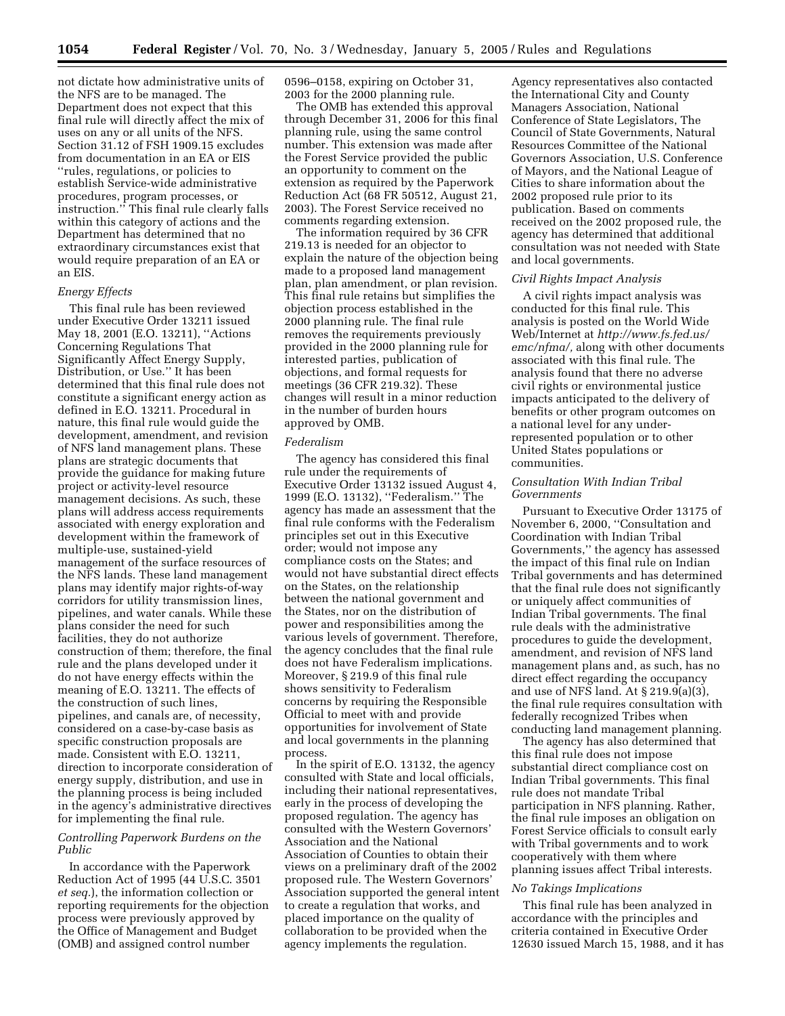**1054 Federal Register** / Vol. 70, No. 3 / Wednesday, January 5, 2005 / Rules and Regulations

not dictate how administrative units of the NFS are to be managed. The Department does not expect that this final rule will directly affect the mix of uses on any or all units of the NFS. Section 31.12 of FSH 1909.15 excludes from documentation in an EA or EIS ''rules, regulations, or policies to establish Service-wide administrative procedures, program processes, or instruction.'' This final rule clearly falls within this category of actions and the Department has determined that no extraordinary circumstances exist that would require preparation of an EA or an EIS.

## *Energy Effects*

This final rule has been reviewed under Executive Order 13211 issued May 18, 2001 (E.O. 13211), ''Actions Concerning Regulations That Significantly Affect Energy Supply, Distribution, or Use.'' It has been determined that this final rule does not constitute a significant energy action as defined in E.O. 13211. Procedural in nature, this final rule would guide the development, amendment, and revision of NFS land management plans. These plans are strategic documents that provide the guidance for making future project or activity-level resource management decisions. As such, these plans will address access requirements associated with energy exploration and development within the framework of multiple-use, sustained-yield management of the surface resources of the NFS lands. These land management plans may identify major rights-of-way corridors for utility transmission lines, pipelines, and water canals. While these plans consider the need for such facilities, they do not authorize construction of them; therefore, the final rule and the plans developed under it do not have energy effects within the meaning of E.O. 13211. The effects of the construction of such lines, pipelines, and canals are, of necessity, considered on a case-by-case basis as specific construction proposals are made. Consistent with E.O. 13211, direction to incorporate consideration of energy supply, distribution, and use in the planning process is being included in the agency's administrative directives for implementing the final rule.

# *Controlling Paperwork Burdens on the Public*

In accordance with the Paperwork Reduction Act of 1995 (44 U.S.C. 3501 *et seq.*), the information collection or reporting requirements for the objection process were previously approved by the Office of Management and Budget (OMB) and assigned control number

0596–0158, expiring on October 31, 2003 for the 2000 planning rule.

The OMB has extended this approval through December 31, 2006 for this final planning rule, using the same control number. This extension was made after the Forest Service provided the public an opportunity to comment on the extension as required by the Paperwork Reduction Act (68 FR 50512, August 21, 2003). The Forest Service received no comments regarding extension.

The information required by 36 CFR 219.13 is needed for an objector to explain the nature of the objection being made to a proposed land management plan, plan amendment, or plan revision. This final rule retains but simplifies the objection process established in the 2000 planning rule. The final rule removes the requirements previously provided in the 2000 planning rule for interested parties, publication of objections, and formal requests for meetings (36 CFR 219.32). These changes will result in a minor reduction in the number of burden hours approved by OMB.

## *Federalism*

The agency has considered this final rule under the requirements of Executive Order 13132 issued August 4, 1999 (E.O. 13132), ''Federalism.'' The agency has made an assessment that the final rule conforms with the Federalism principles set out in this Executive order; would not impose any compliance costs on the States; and would not have substantial direct effects on the States, on the relationship between the national government and the States, nor on the distribution of power and responsibilities among the various levels of government. Therefore, the agency concludes that the final rule does not have Federalism implications. Moreover, § 219.9 of this final rule shows sensitivity to Federalism concerns by requiring the Responsible Official to meet with and provide opportunities for involvement of State and local governments in the planning process.

In the spirit of E.O. 13132, the agency consulted with State and local officials, including their national representatives, early in the process of developing the proposed regulation. The agency has consulted with the Western Governors' Association and the National Association of Counties to obtain their views on a preliminary draft of the 2002 proposed rule. The Western Governors' Association supported the general intent to create a regulation that works, and placed importance on the quality of collaboration to be provided when the agency implements the regulation.

Agency representatives also contacted the International City and County Managers Association, National Conference of State Legislators, The Council of State Governments, Natural Resources Committee of the National Governors Association, U.S. Conference of Mayors, and the National League of Cities to share information about the 2002 proposed rule prior to its publication. Based on comments received on the 2002 proposed rule, the agency has determined that additional consultation was not needed with State and local governments.

#### *Civil Rights Impact Analysis*

A civil rights impact analysis was conducted for this final rule. This analysis is posted on the World Wide Web/Internet at *http://www.fs.fed.us/ emc/nfma/,* along with other documents associated with this final rule. The analysis found that there no adverse civil rights or environmental justice impacts anticipated to the delivery of benefits or other program outcomes on a national level for any underrepresented population or to other United States populations or communities.

# *Consultation With Indian Tribal Governments*

Pursuant to Executive Order 13175 of November 6, 2000, ''Consultation and Coordination with Indian Tribal Governments,'' the agency has assessed the impact of this final rule on Indian Tribal governments and has determined that the final rule does not significantly or uniquely affect communities of Indian Tribal governments. The final rule deals with the administrative procedures to guide the development, amendment, and revision of NFS land management plans and, as such, has no direct effect regarding the occupancy and use of NFS land. At § 219.9(a)(3), the final rule requires consultation with federally recognized Tribes when conducting land management planning.

The agency has also determined that this final rule does not impose substantial direct compliance cost on Indian Tribal governments. This final rule does not mandate Tribal participation in NFS planning. Rather, the final rule imposes an obligation on Forest Service officials to consult early with Tribal governments and to work cooperatively with them where planning issues affect Tribal interests.

#### *No Takings Implications*

This final rule has been analyzed in accordance with the principles and criteria contained in Executive Order 12630 issued March 15, 1988, and it has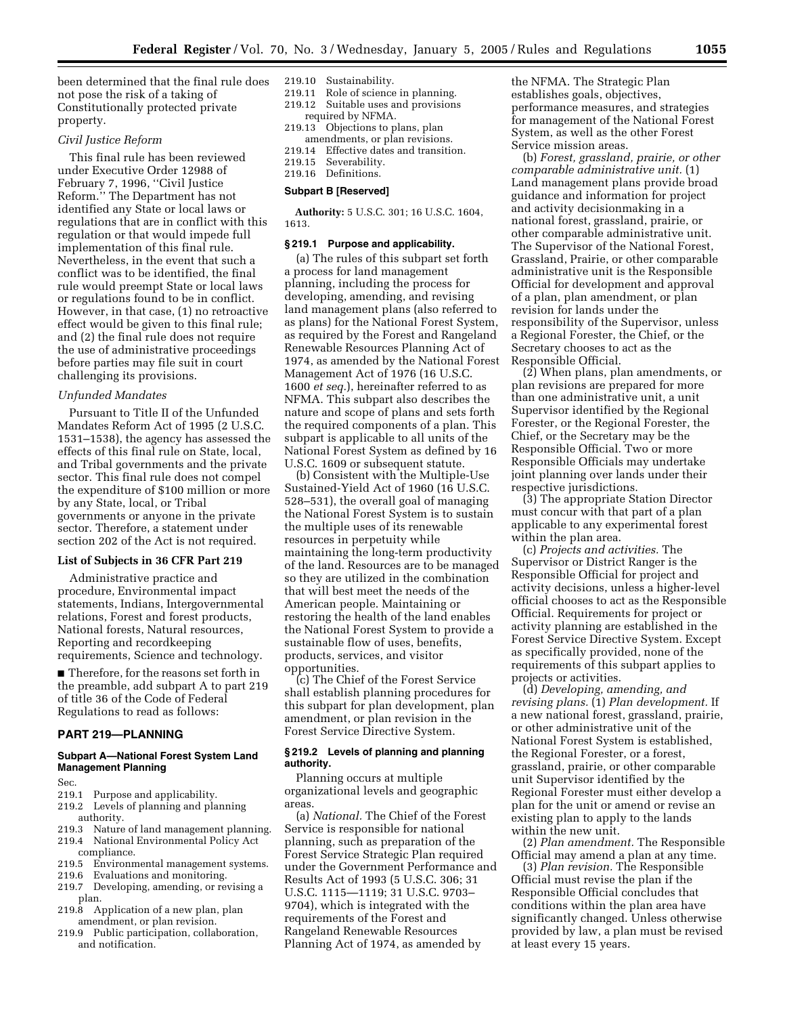been determined that the final rule does not pose the risk of a taking of Constitutionally protected private property.

## *Civil Justice Reform*

This final rule has been reviewed under Executive Order 12988 of February 7, 1996, ''Civil Justice Reform.'' The Department has not identified any State or local laws or regulations that are in conflict with this regulation or that would impede full implementation of this final rule. Nevertheless, in the event that such a conflict was to be identified, the final rule would preempt State or local laws or regulations found to be in conflict. However, in that case, (1) no retroactive effect would be given to this final rule; and (2) the final rule does not require the use of administrative proceedings before parties may file suit in court challenging its provisions.

## *Unfunded Mandates*

Pursuant to Title II of the Unfunded Mandates Reform Act of 1995 (2 U.S.C. 1531–1538), the agency has assessed the effects of this final rule on State, local, and Tribal governments and the private sector. This final rule does not compel the expenditure of \$100 million or more by any State, local, or Tribal governments or anyone in the private sector. Therefore, a statement under section 202 of the Act is not required.

# **List of Subjects in 36 CFR Part 219**

Administrative practice and procedure, Environmental impact statements, Indians, Intergovernmental relations, Forest and forest products, National forests, Natural resources, Reporting and recordkeeping requirements, Science and technology.

■ Therefore, for the reasons set forth in the preamble, add subpart A to part 219 of title 36 of the Code of Federal Regulations to read as follows:

## **PART 219—PLANNING**

# **Subpart A—National Forest System Land Management Planning**

- Sec.<br>219.1
- 219.1 Purpose and applicability.<br>219.2 Levels of planning and pla
- Levels of planning and planning authority.
- 219.3 Nature of land management planning.
- 219.4 National Environmental Policy Act compliance.
- 219.5 Environmental management systems.
- 
- 219.6 Evaluations and monitoring.<br>219.7 Developing, amending, or re Developing, amending, or revising a
- plan.
- 219.8 Application of a new plan, plan amendment, or plan revision.
- 219.9 Public participation, collaboration, and notification.
- 219.10 Sustainability.
- 219.11 Role of science in planning. 219.12 Suitable uses and provisions required by NFMA.
- 219.13 Objections to plans, plan
- amendments, or plan revisions. 219.14 Effective dates and transition.
- 219.15 Severability.
- 219.16 Definitions.

# **Subpart B [Reserved]**

**Authority:** 5 U.S.C. 301; 16 U.S.C. 1604, 1613.

#### **§ 219.1 Purpose and applicability.**

(a) The rules of this subpart set forth a process for land management planning, including the process for developing, amending, and revising land management plans (also referred to as plans) for the National Forest System, as required by the Forest and Rangeland Renewable Resources Planning Act of 1974, as amended by the National Forest Management Act of 1976 (16 U.S.C. 1600 *et seq.*), hereinafter referred to as NFMA. This subpart also describes the nature and scope of plans and sets forth the required components of a plan. This subpart is applicable to all units of the National Forest System as defined by 16 U.S.C. 1609 or subsequent statute.

(b) Consistent with the Multiple-Use Sustained-Yield Act of 1960 (16 U.S.C. 528–531), the overall goal of managing the National Forest System is to sustain the multiple uses of its renewable resources in perpetuity while maintaining the long-term productivity of the land. Resources are to be managed so they are utilized in the combination that will best meet the needs of the American people. Maintaining or restoring the health of the land enables the National Forest System to provide a sustainable flow of uses, benefits, products, services, and visitor opportunities.

(c) The Chief of the Forest Service shall establish planning procedures for this subpart for plan development, plan amendment, or plan revision in the Forest Service Directive System.

# **§ 219.2 Levels of planning and planning authority.**

Planning occurs at multiple organizational levels and geographic areas.

(a) *National.* The Chief of the Forest Service is responsible for national planning, such as preparation of the Forest Service Strategic Plan required under the Government Performance and Results Act of 1993 (5 U.S.C. 306; 31 U.S.C. 1115—1119; 31 U.S.C. 9703– 9704), which is integrated with the requirements of the Forest and Rangeland Renewable Resources Planning Act of 1974, as amended by

the NFMA. The Strategic Plan establishes goals, objectives, performance measures, and strategies for management of the National Forest System, as well as the other Forest Service mission areas.

(b) *Forest, grassland, prairie, or other comparable administrative unit.* (1) Land management plans provide broad guidance and information for project and activity decisionmaking in a national forest, grassland, prairie, or other comparable administrative unit. The Supervisor of the National Forest, Grassland, Prairie, or other comparable administrative unit is the Responsible Official for development and approval of a plan, plan amendment, or plan revision for lands under the responsibility of the Supervisor, unless a Regional Forester, the Chief, or the Secretary chooses to act as the Responsible Official.

(2) When plans, plan amendments, or plan revisions are prepared for more than one administrative unit, a unit Supervisor identified by the Regional Forester, or the Regional Forester, the Chief, or the Secretary may be the Responsible Official. Two or more Responsible Officials may undertake joint planning over lands under their respective jurisdictions.

(3) The appropriate Station Director must concur with that part of a plan applicable to any experimental forest within the plan area.

(c) *Projects and activities.* The Supervisor or District Ranger is the Responsible Official for project and activity decisions, unless a higher-level official chooses to act as the Responsible Official. Requirements for project or activity planning are established in the Forest Service Directive System. Except as specifically provided, none of the requirements of this subpart applies to projects or activities.

(d) *Developing, amending, and revising plans.* (1) *Plan development.* If a new national forest, grassland, prairie, or other administrative unit of the National Forest System is established, the Regional Forester, or a forest, grassland, prairie, or other comparable unit Supervisor identified by the Regional Forester must either develop a plan for the unit or amend or revise an existing plan to apply to the lands within the new unit.

(2) *Plan amendment.* The Responsible Official may amend a plan at any time.

(3) *Plan revision.* The Responsible Official must revise the plan if the Responsible Official concludes that conditions within the plan area have significantly changed. Unless otherwise provided by law, a plan must be revised at least every 15 years.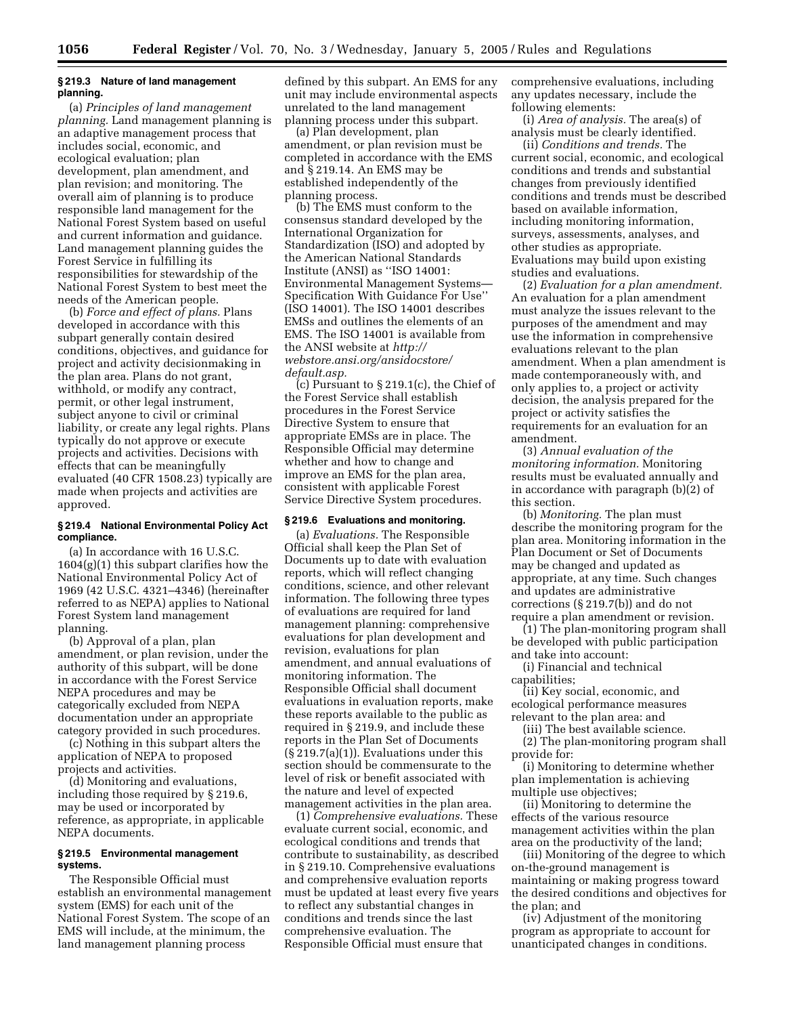#### **§ 219.3 Nature of land management planning.**

(a) *Principles of land management planning.* Land management planning is an adaptive management process that includes social, economic, and ecological evaluation; plan development, plan amendment, and plan revision; and monitoring. The overall aim of planning is to produce responsible land management for the National Forest System based on useful and current information and guidance. Land management planning guides the Forest Service in fulfilling its responsibilities for stewardship of the National Forest System to best meet the needs of the American people.

(b) *Force and effect of plans.* Plans developed in accordance with this subpart generally contain desired conditions, objectives, and guidance for project and activity decisionmaking in the plan area. Plans do not grant, withhold, or modify any contract, permit, or other legal instrument, subject anyone to civil or criminal liability, or create any legal rights. Plans typically do not approve or execute projects and activities. Decisions with effects that can be meaningfully evaluated (40 CFR 1508.23) typically are made when projects and activities are approved.

## **§ 219.4 National Environmental Policy Act compliance.**

(a) In accordance with 16 U.S.C. 1604(g)(1) this subpart clarifies how the National Environmental Policy Act of 1969 (42 U.S.C. 4321–4346) (hereinafter referred to as NEPA) applies to National Forest System land management planning.

(b) Approval of a plan, plan amendment, or plan revision, under the authority of this subpart, will be done in accordance with the Forest Service NEPA procedures and may be categorically excluded from NEPA documentation under an appropriate category provided in such procedures.

(c) Nothing in this subpart alters the application of NEPA to proposed projects and activities.

(d) Monitoring and evaluations, including those required by § 219.6, may be used or incorporated by reference, as appropriate, in applicable NEPA documents.

## **§ 219.5 Environmental management systems.**

The Responsible Official must establish an environmental management system (EMS) for each unit of the National Forest System. The scope of an EMS will include, at the minimum, the land management planning process

defined by this subpart. An EMS for any unit may include environmental aspects unrelated to the land management planning process under this subpart.

(a) Plan development, plan amendment, or plan revision must be completed in accordance with the EMS and § 219.14. An EMS may be established independently of the planning process.

(b) The EMS must conform to the consensus standard developed by the International Organization for Standardization (ISO) and adopted by the American National Standards Institute (ANSI) as ''ISO 14001: Environmental Management Systems— Specification With Guidance For Use'' (ISO 14001). The ISO 14001 describes EMSs and outlines the elements of an EMS. The ISO 14001 is available from the ANSI website at *http:// webstore.ansi.org/ansidocstore/ default.asp.*

(c) Pursuant to § 219.1(c), the Chief of the Forest Service shall establish procedures in the Forest Service Directive System to ensure that appropriate EMSs are in place. The Responsible Official may determine whether and how to change and improve an EMS for the plan area, consistent with applicable Forest Service Directive System procedures.

# **§ 219.6 Evaluations and monitoring.**

(a) *Evaluations.* The Responsible Official shall keep the Plan Set of Documents up to date with evaluation reports, which will reflect changing conditions, science, and other relevant information. The following three types of evaluations are required for land management planning: comprehensive evaluations for plan development and revision, evaluations for plan amendment, and annual evaluations of monitoring information. The Responsible Official shall document evaluations in evaluation reports, make these reports available to the public as required in § 219.9, and include these reports in the Plan Set of Documents (§ 219.7(a)(1)). Evaluations under this section should be commensurate to the level of risk or benefit associated with the nature and level of expected management activities in the plan area.

(1) *Comprehensive evaluations.* These evaluate current social, economic, and ecological conditions and trends that contribute to sustainability, as described in § 219.10. Comprehensive evaluations and comprehensive evaluation reports must be updated at least every five years to reflect any substantial changes in conditions and trends since the last comprehensive evaluation. The Responsible Official must ensure that

comprehensive evaluations, including any updates necessary, include the following elements:

(i) *Area of analysis.* The area(s) of analysis must be clearly identified.

(ii) *Conditions and trends.* The current social, economic, and ecological conditions and trends and substantial changes from previously identified conditions and trends must be described based on available information, including monitoring information, surveys, assessments, analyses, and other studies as appropriate. Evaluations may build upon existing studies and evaluations.

(2) *Evaluation for a plan amendment.* An evaluation for a plan amendment must analyze the issues relevant to the purposes of the amendment and may use the information in comprehensive evaluations relevant to the plan amendment. When a plan amendment is made contemporaneously with, and only applies to, a project or activity decision, the analysis prepared for the project or activity satisfies the requirements for an evaluation for an amendment.

(3) *Annual evaluation of the monitoring information.* Monitoring results must be evaluated annually and in accordance with paragraph (b)(2) of this section.

(b) *Monitoring.* The plan must describe the monitoring program for the plan area. Monitoring information in the Plan Document or Set of Documents may be changed and updated as appropriate, at any time. Such changes and updates are administrative corrections (§ 219.7(b)) and do not require a plan amendment or revision.

(1) The plan-monitoring program shall be developed with public participation and take into account:

(i) Financial and technical

capabilities;

(ii) Key social, economic, and ecological performance measures relevant to the plan area: and

(iii) The best available science.

(2) The plan-monitoring program shall provide for:

(i) Monitoring to determine whether plan implementation is achieving multiple use objectives;

(ii) Monitoring to determine the effects of the various resource management activities within the plan area on the productivity of the land;

(iii) Monitoring of the degree to which on-the-ground management is maintaining or making progress toward the desired conditions and objectives for the plan; and

(iv) Adjustment of the monitoring program as appropriate to account for unanticipated changes in conditions.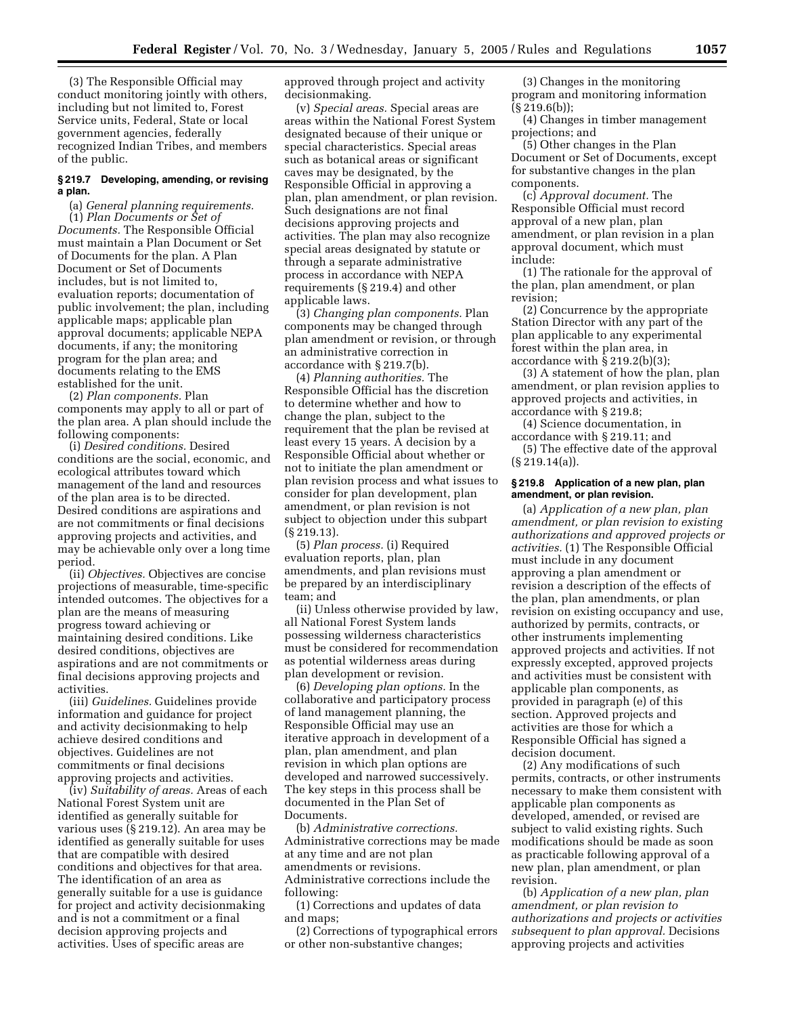(3) The Responsible Official may conduct monitoring jointly with others, including but not limited to, Forest Service units, Federal, State or local government agencies, federally recognized Indian Tribes, and members of the public.

# **§ 219.7 Developing, amending, or revising a plan.**

(a) *General planning requirements.* (1) *Plan Documents or Set of Documents.* The Responsible Official must maintain a Plan Document or Set of Documents for the plan. A Plan Document or Set of Documents includes, but is not limited to, evaluation reports; documentation of public involvement; the plan, including applicable maps; applicable plan approval documents; applicable NEPA documents, if any; the monitoring program for the plan area; and documents relating to the EMS established for the unit.

(2) *Plan components.* Plan components may apply to all or part of the plan area. A plan should include the following components:

(i) *Desired conditions.* Desired conditions are the social, economic, and ecological attributes toward which management of the land and resources of the plan area is to be directed. Desired conditions are aspirations and are not commitments or final decisions approving projects and activities, and may be achievable only over a long time period.

(ii) *Objectives.* Objectives are concise projections of measurable, time-specific intended outcomes. The objectives for a plan are the means of measuring progress toward achieving or maintaining desired conditions. Like desired conditions, objectives are aspirations and are not commitments or final decisions approving projects and activities.

(iii) *Guidelines.* Guidelines provide information and guidance for project and activity decisionmaking to help achieve desired conditions and objectives. Guidelines are not commitments or final decisions approving projects and activities.

(iv) *Suitability of areas.* Areas of each National Forest System unit are identified as generally suitable for various uses (§ 219.12). An area may be identified as generally suitable for uses that are compatible with desired conditions and objectives for that area. The identification of an area as generally suitable for a use is guidance for project and activity decisionmaking and is not a commitment or a final decision approving projects and activities. Uses of specific areas are

approved through project and activity decisionmaking.

(v) *Special areas.* Special areas are areas within the National Forest System designated because of their unique or special characteristics. Special areas such as botanical areas or significant caves may be designated, by the Responsible Official in approving a plan, plan amendment, or plan revision. Such designations are not final decisions approving projects and activities. The plan may also recognize special areas designated by statute or through a separate administrative process in accordance with NEPA requirements (§ 219.4) and other applicable laws.

(3) *Changing plan components.* Plan components may be changed through plan amendment or revision, or through an administrative correction in accordance with § 219.7(b).

(4) *Planning authorities.* The Responsible Official has the discretion to determine whether and how to change the plan, subject to the requirement that the plan be revised at least every 15 years. A decision by a Responsible Official about whether or not to initiate the plan amendment or plan revision process and what issues to consider for plan development, plan amendment, or plan revision is not subject to objection under this subpart (§ 219.13).

(5) *Plan process.* (i) Required evaluation reports, plan, plan amendments, and plan revisions must be prepared by an interdisciplinary team; and

(ii) Unless otherwise provided by law, all National Forest System lands possessing wilderness characteristics must be considered for recommendation as potential wilderness areas during plan development or revision.

(6) *Developing plan options.* In the collaborative and participatory process of land management planning, the Responsible Official may use an iterative approach in development of a plan, plan amendment, and plan revision in which plan options are developed and narrowed successively. The key steps in this process shall be documented in the Plan Set of Documents.

(b) *Administrative corrections.* Administrative corrections may be made at any time and are not plan amendments or revisions. Administrative corrections include the following:

(1) Corrections and updates of data and maps;

(2) Corrections of typographical errors or other non-substantive changes;

(3) Changes in the monitoring program and monitoring information (§ 219.6(b));

(4) Changes in timber management projections; and

(5) Other changes in the Plan Document or Set of Documents, except for substantive changes in the plan components.

(c) *Approval document.* The Responsible Official must record approval of a new plan, plan amendment, or plan revision in a plan approval document, which must include:

(1) The rationale for the approval of the plan, plan amendment, or plan revision;

(2) Concurrence by the appropriate Station Director with any part of the plan applicable to any experimental forest within the plan area, in accordance with § 219.2(b)(3);

(3) A statement of how the plan, plan amendment, or plan revision applies to approved projects and activities, in accordance with § 219.8;

(4) Science documentation, in accordance with § 219.11; and (5) The effective date of the approval

(§ 219.14(a)).

#### **§ 219.8 Application of a new plan, plan amendment, or plan revision.**

(a) *Application of a new plan, plan amendment, or plan revision to existing authorizations and approved projects or activities.* (1) The Responsible Official must include in any document approving a plan amendment or revision a description of the effects of the plan, plan amendments, or plan revision on existing occupancy and use, authorized by permits, contracts, or other instruments implementing approved projects and activities. If not expressly excepted, approved projects and activities must be consistent with applicable plan components, as provided in paragraph (e) of this section. Approved projects and activities are those for which a Responsible Official has signed a decision document.

(2) Any modifications of such permits, contracts, or other instruments necessary to make them consistent with applicable plan components as developed, amended, or revised are subject to valid existing rights. Such modifications should be made as soon as practicable following approval of a new plan, plan amendment, or plan revision.

(b) *Application of a new plan, plan amendment, or plan revision to authorizations and projects or activities subsequent to plan approval.* Decisions approving projects and activities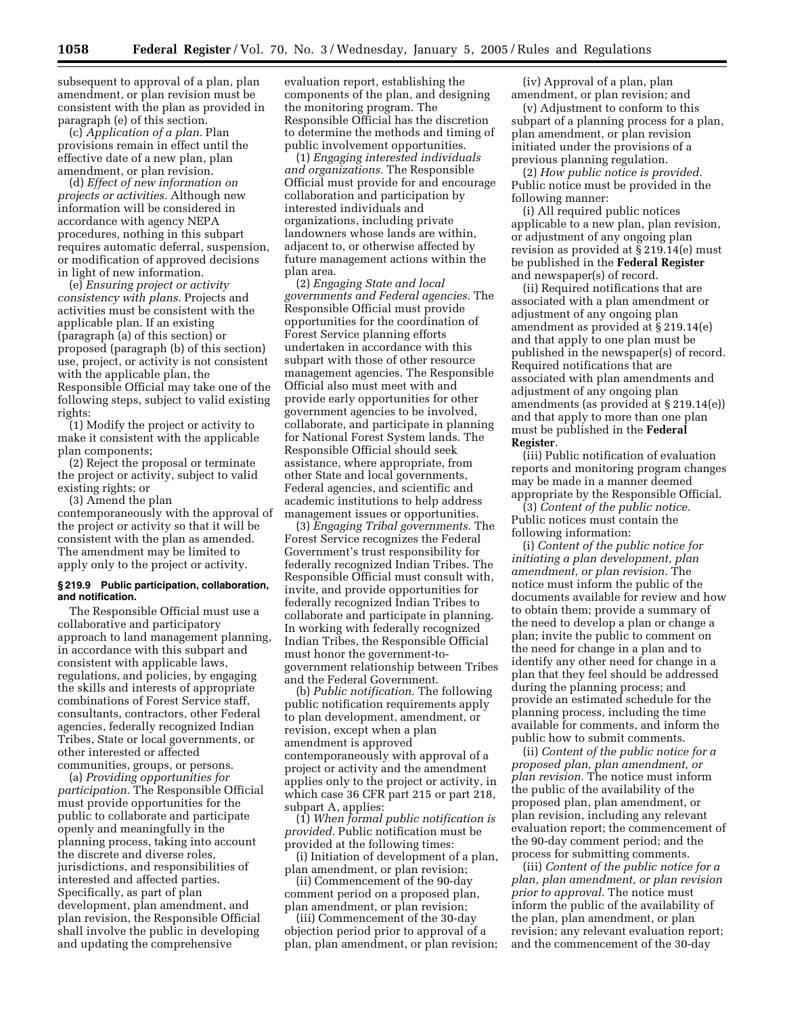subsequent to approval of a plan, plan amendment, or plan revision must be consistent with the plan as provided in paragraph (e) of this section.

(c) *Application of a plan.* Plan provisions remain in effect until the effective date of a new plan, plan amendment, or plan revision.

(d) *Effect of new information on projects or activities.* Although new information will be considered in accordance with agency NEPA procedures, nothing in this subpart requires automatic deferral, suspension, or modification of approved decisions in light of new information.

(e) *Ensuring project or activity consistency with plans.* Projects and activities must be consistent with the applicable plan. If an existing (paragraph (a) of this section) or proposed (paragraph (b) of this section) use, project, or activity is not consistent with the applicable plan, the Responsible Official may take one of the following steps, subject to valid existing rights:

(1) Modify the project or activity to make it consistent with the applicable plan components;

(2) Reject the proposal or terminate the project or activity, subject to valid existing rights; or

(3) Amend the plan

contemporaneously with the approval of the project or activity so that it will be consistent with the plan as amended. The amendment may be limited to apply only to the project or activity.

# **§ 219.9 Public participation, collaboration, and notification.**

The Responsible Official must use a collaborative and participatory approach to land management planning, in accordance with this subpart and consistent with applicable laws, regulations, and policies, by engaging the skills and interests of appropriate combinations of Forest Service staff, consultants, contractors, other Federal agencies, federally recognized Indian Tribes, State or local governments, or other interested or affected communities, groups, or persons.

(a) *Providing opportunities for participation.* The Responsible Official must provide opportunities for the public to collaborate and participate openly and meaningfully in the planning process, taking into account the discrete and diverse roles, jurisdictions, and responsibilities of interested and affected parties. Specifically, as part of plan development, plan amendment, and plan revision, the Responsible Official shall involve the public in developing and updating the comprehensive

evaluation report, establishing the components of the plan, and designing the monitoring program. The Responsible Official has the discretion to determine the methods and timing of public involvement opportunities.

(1) *Engaging interested individuals and organizations.* The Responsible Official must provide for and encourage collaboration and participation by interested individuals and organizations, including private landowners whose lands are within, adjacent to, or otherwise affected by future management actions within the plan area.

(2) *Engaging State and local governments and Federal agencies.* The Responsible Official must provide opportunities for the coordination of Forest Service planning efforts undertaken in accordance with this subpart with those of other resource management agencies. The Responsible Official also must meet with and provide early opportunities for other government agencies to be involved, collaborate, and participate in planning for National Forest System lands. The Responsible Official should seek assistance, where appropriate, from other State and local governments, Federal agencies, and scientific and academic institutions to help address management issues or opportunities.

(3) *Engaging Tribal governments.* The Forest Service recognizes the Federal Government's trust responsibility for federally recognized Indian Tribes. The Responsible Official must consult with, invite, and provide opportunities for federally recognized Indian Tribes to collaborate and participate in planning. In working with federally recognized Indian Tribes, the Responsible Official must honor the government-togovernment relationship between Tribes and the Federal Government.

(b) *Public notification.* The following public notification requirements apply to plan development, amendment, or revision, except when a plan amendment is approved contemporaneously with approval of a project or activity and the amendment applies only to the project or activity, in which case 36 CFR part 215 or part 218, subpart A, applies:

(1) *When formal public notification is provided.* Public notification must be provided at the following times:

(i) Initiation of development of a plan, plan amendment, or plan revision;

(ii) Commencement of the 90-day comment period on a proposed plan, plan amendment, or plan revision;

(iii) Commencement of the 30-day objection period prior to approval of a plan, plan amendment, or plan revision;

(iv) Approval of a plan, plan amendment, or plan revision; and

(v) Adjustment to conform to this subpart of a planning process for a plan, plan amendment, or plan revision initiated under the provisions of a previous planning regulation.

(2) *How public notice is provided.* Public notice must be provided in the following manner:

(i) All required public notices applicable to a new plan, plan revision, or adjustment of any ongoing plan revision as provided at § 219.14(e) must be published in the **Federal Register** and newspaper(s) of record.

(ii) Required notifications that are associated with a plan amendment or adjustment of any ongoing plan amendment as provided at § 219.14(e) and that apply to one plan must be published in the newspaper(s) of record. Required notifications that are associated with plan amendments and adjustment of any ongoing plan amendments (as provided at § 219.14(e)) and that apply to more than one plan must be published in the **Federal Register**.

(iii) Public notification of evaluation reports and monitoring program changes may be made in a manner deemed appropriate by the Responsible Official.

(3) *Content of the public notice.* Public notices must contain the following information:

(i) *Content of the public notice for initiating a plan development, plan amendment, or plan revision.* The notice must inform the public of the documents available for review and how to obtain them; provide a summary of the need to develop a plan or change a plan; invite the public to comment on the need for change in a plan and to identify any other need for change in a plan that they feel should be addressed during the planning process; and provide an estimated schedule for the planning process, including the time available for comments, and inform the public how to submit comments.

(ii) *Content of the public notice for a proposed plan, plan amendment, or plan revision.* The notice must inform the public of the availability of the proposed plan, plan amendment, or plan revision, including any relevant evaluation report; the commencement of the 90-day comment period; and the process for submitting comments.

(iii) *Content of the public notice for a plan, plan amendment, or plan revision prior to approval.* The notice must inform the public of the availability of the plan, plan amendment, or plan revision; any relevant evaluation report; and the commencement of the 30-day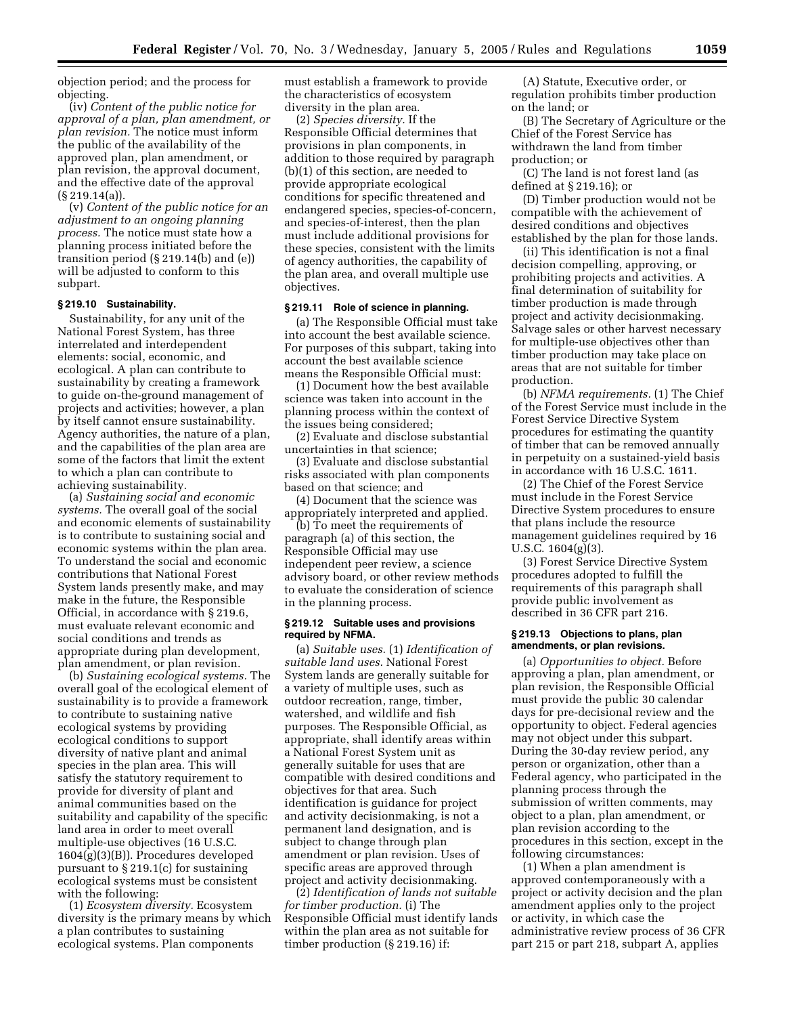objection period; and the process for objecting.

(iv) *Content of the public notice for approval of a plan, plan amendment, or plan revision.* The notice must inform the public of the availability of the approved plan, plan amendment, or plan revision, the approval document, and the effective date of the approval (§ 219.14(a)).

(v) *Content of the public notice for an adjustment to an ongoing planning process.* The notice must state how a planning process initiated before the transition period (§ 219.14(b) and (e)) will be adjusted to conform to this subpart.

# **§ 219.10 Sustainability.**

Sustainability, for any unit of the National Forest System, has three interrelated and interdependent elements: social, economic, and ecological. A plan can contribute to sustainability by creating a framework to guide on-the-ground management of projects and activities; however, a plan by itself cannot ensure sustainability. Agency authorities, the nature of a plan, and the capabilities of the plan area are some of the factors that limit the extent to which a plan can contribute to achieving sustainability.

(a) *Sustaining social and economic systems.* The overall goal of the social and economic elements of sustainability is to contribute to sustaining social and economic systems within the plan area. To understand the social and economic contributions that National Forest System lands presently make, and may make in the future, the Responsible Official, in accordance with § 219.6, must evaluate relevant economic and social conditions and trends as appropriate during plan development, plan amendment, or plan revision.

(b) *Sustaining ecological systems.* The overall goal of the ecological element of sustainability is to provide a framework to contribute to sustaining native ecological systems by providing ecological conditions to support diversity of native plant and animal species in the plan area. This will satisfy the statutory requirement to provide for diversity of plant and animal communities based on the suitability and capability of the specific land area in order to meet overall multiple-use objectives (16 U.S.C. 1604(g)(3)(B)). Procedures developed pursuant to § 219.1(c) for sustaining ecological systems must be consistent with the following:

(1) *Ecosystem diversity.* Ecosystem diversity is the primary means by which a plan contributes to sustaining ecological systems. Plan components

must establish a framework to provide the characteristics of ecosystem diversity in the plan area.

(2) *Species diversity.* If the Responsible Official determines that provisions in plan components, in addition to those required by paragraph (b)(1) of this section, are needed to provide appropriate ecological conditions for specific threatened and endangered species, species-of-concern, and species-of-interest, then the plan must include additional provisions for these species, consistent with the limits of agency authorities, the capability of the plan area, and overall multiple use objectives.

#### **§ 219.11 Role of science in planning.**

(a) The Responsible Official must take into account the best available science. For purposes of this subpart, taking into account the best available science means the Responsible Official must:

(1) Document how the best available science was taken into account in the planning process within the context of the issues being considered;

(2) Evaluate and disclose substantial uncertainties in that science;

(3) Evaluate and disclose substantial risks associated with plan components based on that science; and

(4) Document that the science was appropriately interpreted and applied.

(b) To meet the requirements of paragraph (a) of this section, the Responsible Official may use independent peer review, a science advisory board, or other review methods to evaluate the consideration of science in the planning process.

## **§ 219.12 Suitable uses and provisions required by NFMA.**

(a) *Suitable uses.* (1) *Identification of suitable land uses.* National Forest System lands are generally suitable for a variety of multiple uses, such as outdoor recreation, range, timber, watershed, and wildlife and fish purposes. The Responsible Official, as appropriate, shall identify areas within a National Forest System unit as generally suitable for uses that are compatible with desired conditions and objectives for that area. Such identification is guidance for project and activity decisionmaking, is not a permanent land designation, and is subject to change through plan amendment or plan revision. Uses of specific areas are approved through project and activity decisionmaking.

(2) *Identification of lands not suitable for timber production.* (i) The Responsible Official must identify lands within the plan area as not suitable for timber production (§ 219.16) if:

(A) Statute, Executive order, or regulation prohibits timber production on the land; or

(B) The Secretary of Agriculture or the Chief of the Forest Service has withdrawn the land from timber production; or

(C) The land is not forest land (as defined at § 219.16); or

(D) Timber production would not be compatible with the achievement of desired conditions and objectives established by the plan for those lands.

(ii) This identification is not a final decision compelling, approving, or prohibiting projects and activities. A final determination of suitability for timber production is made through project and activity decisionmaking. Salvage sales or other harvest necessary for multiple-use objectives other than timber production may take place on areas that are not suitable for timber production.

(b) *NFMA requirements.* (1) The Chief of the Forest Service must include in the Forest Service Directive System procedures for estimating the quantity of timber that can be removed annually in perpetuity on a sustained-yield basis in accordance with 16 U.S.C. 1611.

(2) The Chief of the Forest Service must include in the Forest Service Directive System procedures to ensure that plans include the resource management guidelines required by 16 U.S.C. 1604(g)(3).

(3) Forest Service Directive System procedures adopted to fulfill the requirements of this paragraph shall provide public involvement as described in 36 CFR part 216.

#### **§ 219.13 Objections to plans, plan amendments, or plan revisions.**

(a) *Opportunities to object.* Before approving a plan, plan amendment, or plan revision, the Responsible Official must provide the public 30 calendar days for pre-decisional review and the opportunity to object. Federal agencies may not object under this subpart. During the 30-day review period, any person or organization, other than a Federal agency, who participated in the planning process through the submission of written comments, may object to a plan, plan amendment, or plan revision according to the procedures in this section, except in the following circumstances:

(1) When a plan amendment is approved contemporaneously with a project or activity decision and the plan amendment applies only to the project or activity, in which case the administrative review process of 36 CFR part 215 or part 218, subpart A, applies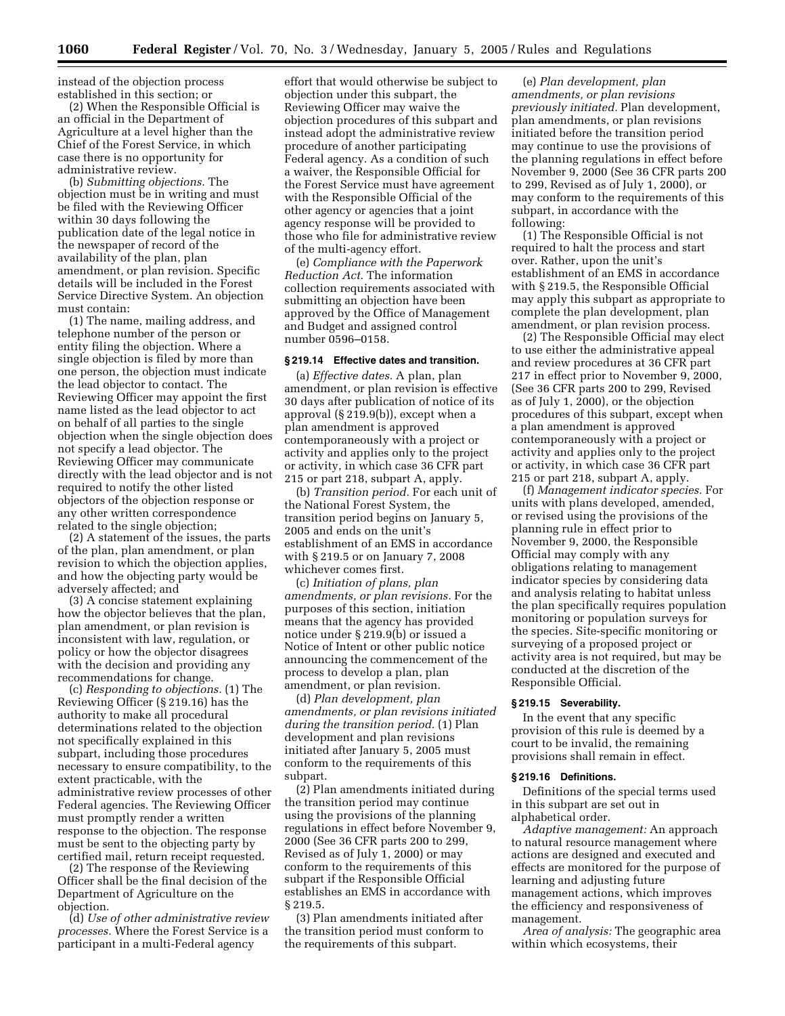instead of the objection process established in this section; or

(2) When the Responsible Official is an official in the Department of Agriculture at a level higher than the Chief of the Forest Service, in which case there is no opportunity for administrative review.

(b) *Submitting objections.* The objection must be in writing and must be filed with the Reviewing Officer within 30 days following the publication date of the legal notice in the newspaper of record of the availability of the plan, plan amendment, or plan revision. Specific details will be included in the Forest Service Directive System. An objection must contain:

(1) The name, mailing address, and telephone number of the person or entity filing the objection. Where a single objection is filed by more than one person, the objection must indicate the lead objector to contact. The Reviewing Officer may appoint the first name listed as the lead objector to act on behalf of all parties to the single objection when the single objection does not specify a lead objector. The Reviewing Officer may communicate directly with the lead objector and is not required to notify the other listed objectors of the objection response or any other written correspondence related to the single objection;

(2) A statement of the issues, the parts of the plan, plan amendment, or plan revision to which the objection applies, and how the objecting party would be adversely affected; and

(3) A concise statement explaining how the objector believes that the plan, plan amendment, or plan revision is inconsistent with law, regulation, or policy or how the objector disagrees with the decision and providing any recommendations for change.

(c) *Responding to objections.* (1) The Reviewing Officer (§ 219.16) has the authority to make all procedural determinations related to the objection not specifically explained in this subpart, including those procedures necessary to ensure compatibility, to the extent practicable, with the administrative review processes of other Federal agencies. The Reviewing Officer must promptly render a written response to the objection. The response must be sent to the objecting party by certified mail, return receipt requested.

(2) The response of the Reviewing Officer shall be the final decision of the Department of Agriculture on the objection.

(d) *Use of other administrative review processes.* Where the Forest Service is a participant in a multi-Federal agency

effort that would otherwise be subject to objection under this subpart, the Reviewing Officer may waive the objection procedures of this subpart and instead adopt the administrative review procedure of another participating Federal agency. As a condition of such a waiver, the Responsible Official for the Forest Service must have agreement with the Responsible Official of the other agency or agencies that a joint agency response will be provided to those who file for administrative review of the multi-agency effort.

(e) *Compliance with the Paperwork Reduction Act.* The information collection requirements associated with submitting an objection have been approved by the Office of Management and Budget and assigned control number 0596–0158.

#### **§ 219.14 Effective dates and transition.**

(a) *Effective dates.* A plan, plan amendment, or plan revision is effective 30 days after publication of notice of its approval (§ 219.9(b)), except when a plan amendment is approved contemporaneously with a project or activity and applies only to the project or activity, in which case 36 CFR part 215 or part 218, subpart A, apply.

(b) *Transition period.* For each unit of the National Forest System, the transition period begins on January 5, 2005 and ends on the unit's establishment of an EMS in accordance with § 219.5 or on January 7, 2008 whichever comes first.

(c) *Initiation of plans, plan amendments, or plan revisions.* For the purposes of this section, initiation means that the agency has provided notice under § 219.9(b) or issued a Notice of Intent or other public notice announcing the commencement of the process to develop a plan, plan amendment, or plan revision.

(d) *Plan development, plan amendments, or plan revisions initiated during the transition period.* (1) Plan development and plan revisions initiated after January 5, 2005 must conform to the requirements of this subpart.

(2) Plan amendments initiated during the transition period may continue using the provisions of the planning regulations in effect before November 9, 2000 (See 36 CFR parts 200 to 299, Revised as of July 1, 2000) or may conform to the requirements of this subpart if the Responsible Official establishes an EMS in accordance with § 219.5.

(3) Plan amendments initiated after the transition period must conform to the requirements of this subpart.

(e) *Plan development, plan amendments, or plan revisions previously initiated.* Plan development, plan amendments, or plan revisions initiated before the transition period may continue to use the provisions of the planning regulations in effect before November 9, 2000 (See 36 CFR parts 200 to 299, Revised as of July 1, 2000), or may conform to the requirements of this subpart, in accordance with the following:

(1) The Responsible Official is not required to halt the process and start over. Rather, upon the unit's establishment of an EMS in accordance with § 219.5, the Responsible Official may apply this subpart as appropriate to complete the plan development, plan amendment, or plan revision process.

(2) The Responsible Official may elect to use either the administrative appeal and review procedures at 36 CFR part 217 in effect prior to November 9, 2000, (See 36 CFR parts 200 to 299, Revised as of July 1, 2000), or the objection procedures of this subpart, except when a plan amendment is approved contemporaneously with a project or activity and applies only to the project or activity, in which case 36 CFR part 215 or part 218, subpart A, apply.

(f) *Management indicator species.* For units with plans developed, amended, or revised using the provisions of the planning rule in effect prior to November 9, 2000, the Responsible Official may comply with any obligations relating to management indicator species by considering data and analysis relating to habitat unless the plan specifically requires population monitoring or population surveys for the species. Site-specific monitoring or surveying of a proposed project or activity area is not required, but may be conducted at the discretion of the Responsible Official.

#### **§ 219.15 Severability.**

In the event that any specific provision of this rule is deemed by a court to be invalid, the remaining provisions shall remain in effect.

# **§ 219.16 Definitions.**

Definitions of the special terms used in this subpart are set out in alphabetical order.

*Adaptive management:* An approach to natural resource management where actions are designed and executed and effects are monitored for the purpose of learning and adjusting future management actions, which improves the efficiency and responsiveness of management.

*Area of analysis:* The geographic area within which ecosystems, their